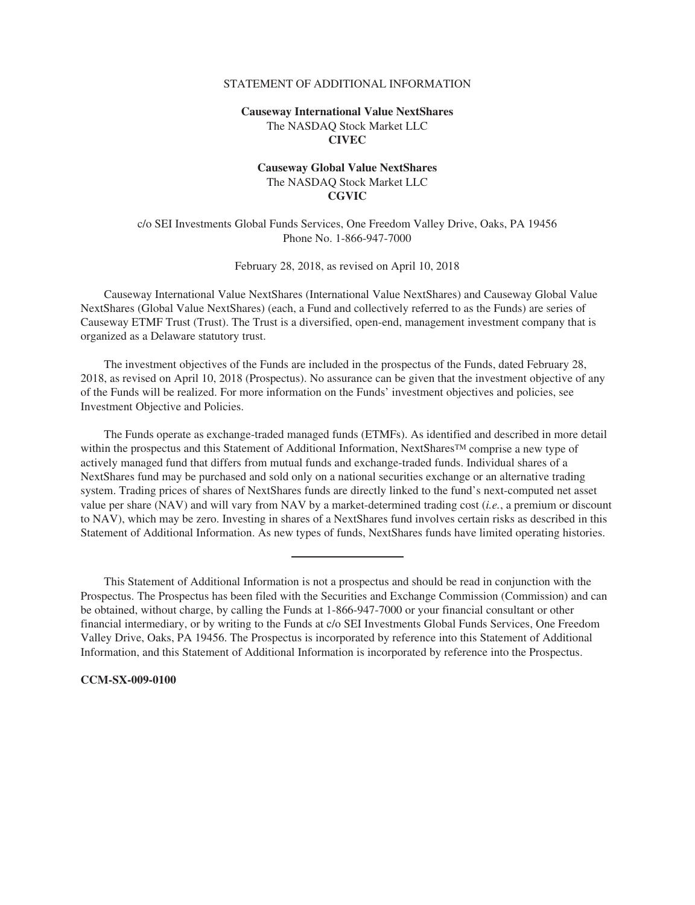### STATEMENT OF ADDITIONAL INFORMATION

# **Causeway International Value NextShares** The NASDAQ Stock Market LLC **CIVEC**

# **Causeway Global Value NextShares** The NASDAQ Stock Market LLC **CGVIC**

c/o SEI Investments Global Funds Services, One Freedom Valley Drive, Oaks, PA 19456 Phone No. 1-866-947-7000

February 28, 2018, as revised on April 10, 2018

Causeway International Value NextShares (International Value NextShares) and Causeway Global Value NextShares (Global Value NextShares) (each, a Fund and collectively referred to as the Funds) are series of Causeway ETMF Trust (Trust). The Trust is a diversified, open-end, management investment company that is organized as a Delaware statutory trust.

The investment objectives of the Funds are included in the prospectus of the Funds, dated February 28, 2018, as revised on April 10, 2018 (Prospectus). No assurance can be given that the investment objective of any of the Funds will be realized. For more information on the Funds' investment objectives and policies, see Investment Objective and Policies.

The Funds operate as exchange-traded managed funds (ETMFs). As identified and described in more detail within the prospectus and this Statement of Additional Information, NextShares<sup>TM</sup> comprise a new type of actively managed fund that differs from mutual funds and exchange-traded funds. Individual shares of a NextShares fund may be purchased and sold only on a national securities exchange or an alternative trading system. Trading prices of shares of NextShares funds are directly linked to the fund's next-computed net asset value per share (NAV) and will vary from NAV by a market-determined trading cost (*i.e.*, a premium or discount to NAV), which may be zero. Investing in shares of a NextShares fund involves certain risks as described in this Statement of Additional Information. As new types of funds, NextShares funds have limited operating histories.

This Statement of Additional Information is not a prospectus and should be read in conjunction with the Prospectus. The Prospectus has been filed with the Securities and Exchange Commission (Commission) and can be obtained, without charge, by calling the Funds at 1-866-947-7000 or your financial consultant or other financial intermediary, or by writing to the Funds at c/o SEI Investments Global Funds Services, One Freedom Valley Drive, Oaks, PA 19456. The Prospectus is incorporated by reference into this Statement of Additional Information, and this Statement of Additional Information is incorporated by reference into the Prospectus.

## **CCM-SX-009-0100**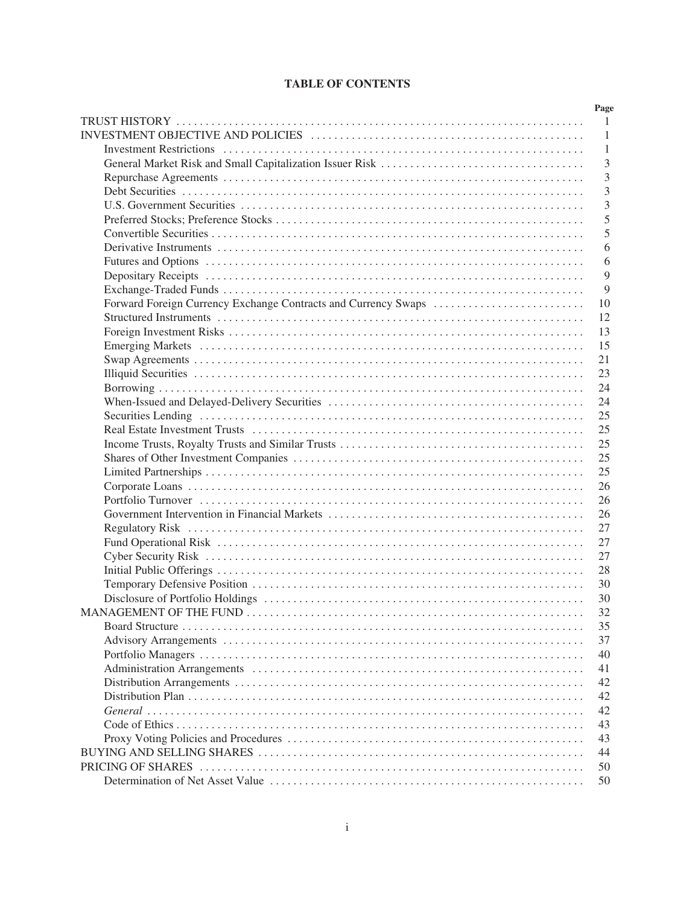# **TABLE OF CONTENTS**

| Page           |
|----------------|
| $\overline{1}$ |
| -1             |
| $\mathbf{1}$   |
| $\overline{3}$ |
| 3              |
| $\overline{3}$ |
| 3              |
| 5              |
| 5              |
| 6              |
| 6              |
| 9              |
| 9              |
| 10             |
| 12             |
| 13             |
| 15             |
| 21             |
| 23             |
| 24             |
| 24             |
| 25             |
| 25             |
| 25             |
| 25             |
| 25             |
| 26             |
| 26             |
| 26             |
| 27             |
| 27             |
| 27             |
| 28             |
| 30             |
| 30             |
| 32             |
|                |
| 37             |
| 40             |
| 41             |
| 42             |
| 42             |
| 42             |
| 43             |
| 43             |
| 44             |
| 50             |
| 50             |
|                |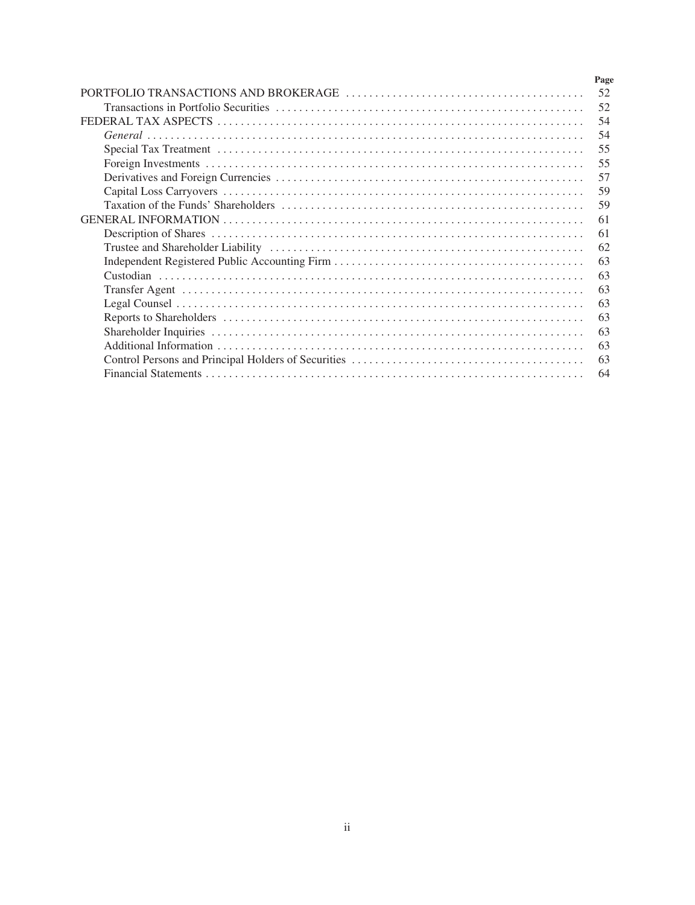| Page |
|------|
| 52   |
| 52   |
| 54   |
| 54   |
| 55   |
| 55   |
| 57   |
| 59   |
| 59   |
| 61   |
| 61   |
| 62   |
| 63   |
| 63   |
| 63   |
| 63   |
| 63   |
| 63   |
| 63   |
| 63   |
| 64   |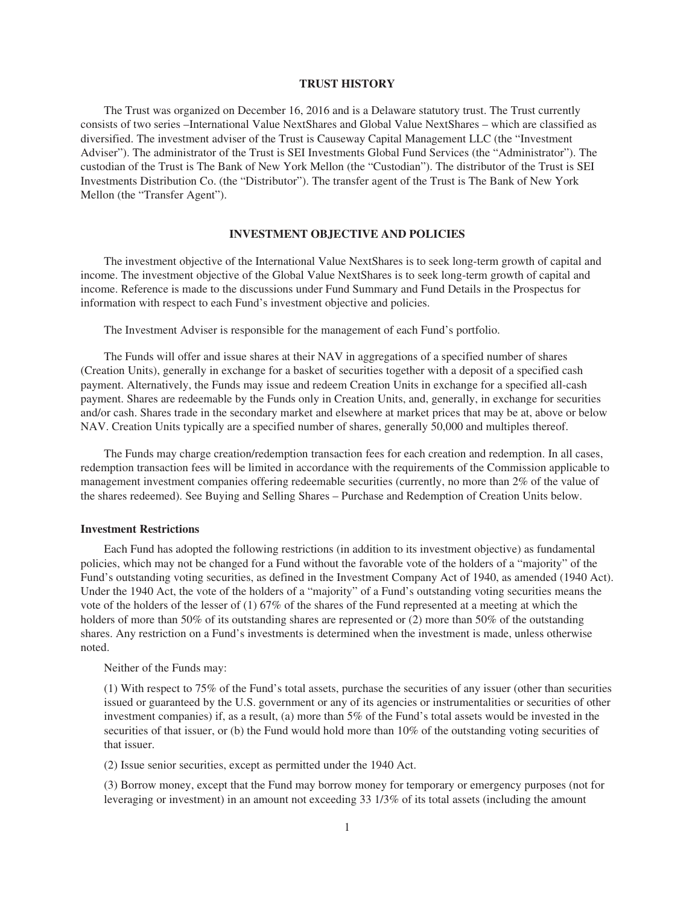## **TRUST HISTORY**

The Trust was organized on December 16, 2016 and is a Delaware statutory trust. The Trust currently consists of two series –International Value NextShares and Global Value NextShares – which are classified as diversified. The investment adviser of the Trust is Causeway Capital Management LLC (the "Investment Adviser"). The administrator of the Trust is SEI Investments Global Fund Services (the "Administrator"). The custodian of the Trust is The Bank of New York Mellon (the "Custodian"). The distributor of the Trust is SEI Investments Distribution Co. (the "Distributor"). The transfer agent of the Trust is The Bank of New York Mellon (the "Transfer Agent").

#### **INVESTMENT OBJECTIVE AND POLICIES**

The investment objective of the International Value NextShares is to seek long-term growth of capital and income. The investment objective of the Global Value NextShares is to seek long-term growth of capital and income. Reference is made to the discussions under Fund Summary and Fund Details in the Prospectus for information with respect to each Fund's investment objective and policies.

The Investment Adviser is responsible for the management of each Fund's portfolio.

The Funds will offer and issue shares at their NAV in aggregations of a specified number of shares (Creation Units), generally in exchange for a basket of securities together with a deposit of a specified cash payment. Alternatively, the Funds may issue and redeem Creation Units in exchange for a specified all-cash payment. Shares are redeemable by the Funds only in Creation Units, and, generally, in exchange for securities and/or cash. Shares trade in the secondary market and elsewhere at market prices that may be at, above or below NAV. Creation Units typically are a specified number of shares, generally 50,000 and multiples thereof.

The Funds may charge creation/redemption transaction fees for each creation and redemption. In all cases, redemption transaction fees will be limited in accordance with the requirements of the Commission applicable to management investment companies offering redeemable securities (currently, no more than 2% of the value of the shares redeemed). See Buying and Selling Shares – Purchase and Redemption of Creation Units below.

#### **Investment Restrictions**

Each Fund has adopted the following restrictions (in addition to its investment objective) as fundamental policies, which may not be changed for a Fund without the favorable vote of the holders of a "majority" of the Fund's outstanding voting securities, as defined in the Investment Company Act of 1940, as amended (1940 Act). Under the 1940 Act, the vote of the holders of a "majority" of a Fund's outstanding voting securities means the vote of the holders of the lesser of (1) 67% of the shares of the Fund represented at a meeting at which the holders of more than 50% of its outstanding shares are represented or (2) more than 50% of the outstanding shares. Any restriction on a Fund's investments is determined when the investment is made, unless otherwise noted.

Neither of the Funds may:

(1) With respect to 75% of the Fund's total assets, purchase the securities of any issuer (other than securities issued or guaranteed by the U.S. government or any of its agencies or instrumentalities or securities of other investment companies) if, as a result, (a) more than 5% of the Fund's total assets would be invested in the securities of that issuer, or (b) the Fund would hold more than 10% of the outstanding voting securities of that issuer.

(2) Issue senior securities, except as permitted under the 1940 Act.

(3) Borrow money, except that the Fund may borrow money for temporary or emergency purposes (not for leveraging or investment) in an amount not exceeding 33 1/3% of its total assets (including the amount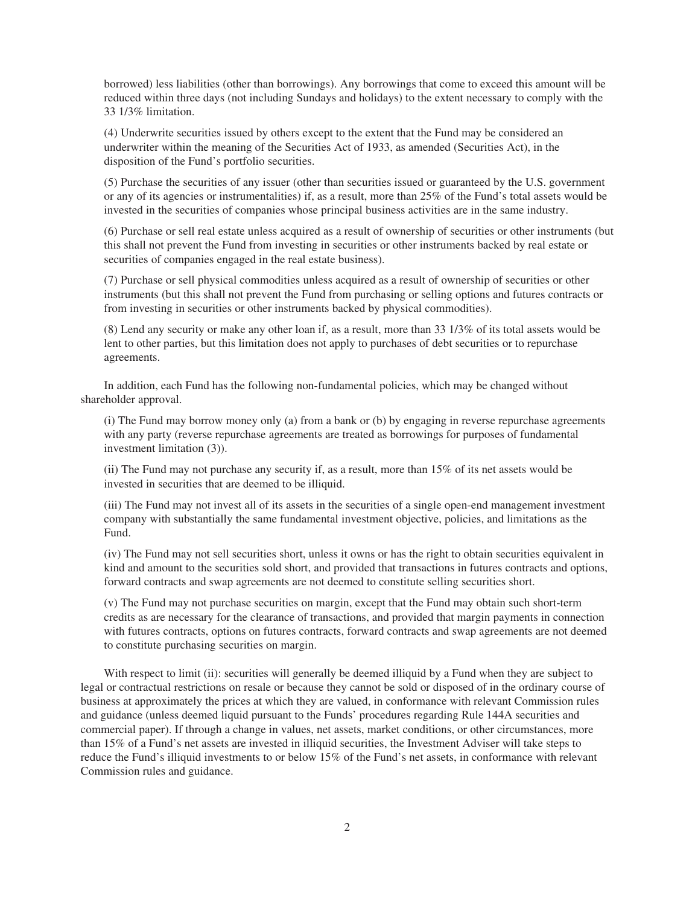borrowed) less liabilities (other than borrowings). Any borrowings that come to exceed this amount will be reduced within three days (not including Sundays and holidays) to the extent necessary to comply with the 33 1/3% limitation.

(4) Underwrite securities issued by others except to the extent that the Fund may be considered an underwriter within the meaning of the Securities Act of 1933, as amended (Securities Act), in the disposition of the Fund's portfolio securities.

(5) Purchase the securities of any issuer (other than securities issued or guaranteed by the U.S. government or any of its agencies or instrumentalities) if, as a result, more than 25% of the Fund's total assets would be invested in the securities of companies whose principal business activities are in the same industry.

(6) Purchase or sell real estate unless acquired as a result of ownership of securities or other instruments (but this shall not prevent the Fund from investing in securities or other instruments backed by real estate or securities of companies engaged in the real estate business).

(7) Purchase or sell physical commodities unless acquired as a result of ownership of securities or other instruments (but this shall not prevent the Fund from purchasing or selling options and futures contracts or from investing in securities or other instruments backed by physical commodities).

(8) Lend any security or make any other loan if, as a result, more than 33 1/3% of its total assets would be lent to other parties, but this limitation does not apply to purchases of debt securities or to repurchase agreements.

In addition, each Fund has the following non-fundamental policies, which may be changed without shareholder approval.

(i) The Fund may borrow money only (a) from a bank or (b) by engaging in reverse repurchase agreements with any party (reverse repurchase agreements are treated as borrowings for purposes of fundamental investment limitation (3)).

(ii) The Fund may not purchase any security if, as a result, more than 15% of its net assets would be invested in securities that are deemed to be illiquid.

(iii) The Fund may not invest all of its assets in the securities of a single open-end management investment company with substantially the same fundamental investment objective, policies, and limitations as the Fund.

(iv) The Fund may not sell securities short, unless it owns or has the right to obtain securities equivalent in kind and amount to the securities sold short, and provided that transactions in futures contracts and options, forward contracts and swap agreements are not deemed to constitute selling securities short.

(v) The Fund may not purchase securities on margin, except that the Fund may obtain such short-term credits as are necessary for the clearance of transactions, and provided that margin payments in connection with futures contracts, options on futures contracts, forward contracts and swap agreements are not deemed to constitute purchasing securities on margin.

With respect to limit (ii): securities will generally be deemed illiquid by a Fund when they are subject to legal or contractual restrictions on resale or because they cannot be sold or disposed of in the ordinary course of business at approximately the prices at which they are valued, in conformance with relevant Commission rules and guidance (unless deemed liquid pursuant to the Funds' procedures regarding Rule 144A securities and commercial paper). If through a change in values, net assets, market conditions, or other circumstances, more than 15% of a Fund's net assets are invested in illiquid securities, the Investment Adviser will take steps to reduce the Fund's illiquid investments to or below 15% of the Fund's net assets, in conformance with relevant Commission rules and guidance.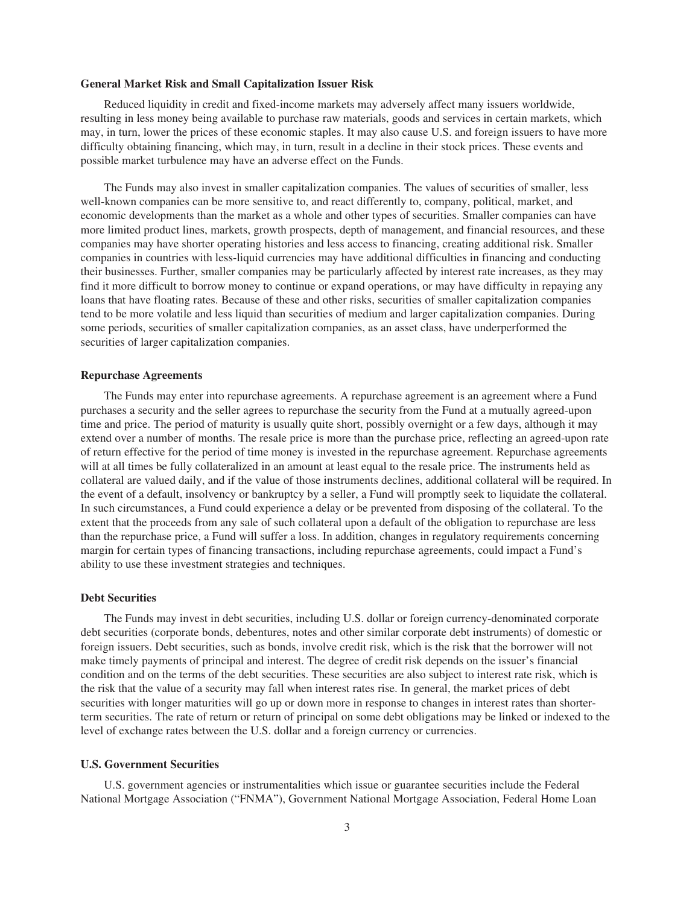#### **General Market Risk and Small Capitalization Issuer Risk**

Reduced liquidity in credit and fixed-income markets may adversely affect many issuers worldwide, resulting in less money being available to purchase raw materials, goods and services in certain markets, which may, in turn, lower the prices of these economic staples. It may also cause U.S. and foreign issuers to have more difficulty obtaining financing, which may, in turn, result in a decline in their stock prices. These events and possible market turbulence may have an adverse effect on the Funds.

The Funds may also invest in smaller capitalization companies. The values of securities of smaller, less well-known companies can be more sensitive to, and react differently to, company, political, market, and economic developments than the market as a whole and other types of securities. Smaller companies can have more limited product lines, markets, growth prospects, depth of management, and financial resources, and these companies may have shorter operating histories and less access to financing, creating additional risk. Smaller companies in countries with less-liquid currencies may have additional difficulties in financing and conducting their businesses. Further, smaller companies may be particularly affected by interest rate increases, as they may find it more difficult to borrow money to continue or expand operations, or may have difficulty in repaying any loans that have floating rates. Because of these and other risks, securities of smaller capitalization companies tend to be more volatile and less liquid than securities of medium and larger capitalization companies. During some periods, securities of smaller capitalization companies, as an asset class, have underperformed the securities of larger capitalization companies.

#### **Repurchase Agreements**

The Funds may enter into repurchase agreements. A repurchase agreement is an agreement where a Fund purchases a security and the seller agrees to repurchase the security from the Fund at a mutually agreed-upon time and price. The period of maturity is usually quite short, possibly overnight or a few days, although it may extend over a number of months. The resale price is more than the purchase price, reflecting an agreed-upon rate of return effective for the period of time money is invested in the repurchase agreement. Repurchase agreements will at all times be fully collateralized in an amount at least equal to the resale price. The instruments held as collateral are valued daily, and if the value of those instruments declines, additional collateral will be required. In the event of a default, insolvency or bankruptcy by a seller, a Fund will promptly seek to liquidate the collateral. In such circumstances, a Fund could experience a delay or be prevented from disposing of the collateral. To the extent that the proceeds from any sale of such collateral upon a default of the obligation to repurchase are less than the repurchase price, a Fund will suffer a loss. In addition, changes in regulatory requirements concerning margin for certain types of financing transactions, including repurchase agreements, could impact a Fund's ability to use these investment strategies and techniques.

## **Debt Securities**

The Funds may invest in debt securities, including U.S. dollar or foreign currency-denominated corporate debt securities (corporate bonds, debentures, notes and other similar corporate debt instruments) of domestic or foreign issuers. Debt securities, such as bonds, involve credit risk, which is the risk that the borrower will not make timely payments of principal and interest. The degree of credit risk depends on the issuer's financial condition and on the terms of the debt securities. These securities are also subject to interest rate risk, which is the risk that the value of a security may fall when interest rates rise. In general, the market prices of debt securities with longer maturities will go up or down more in response to changes in interest rates than shorterterm securities. The rate of return or return of principal on some debt obligations may be linked or indexed to the level of exchange rates between the U.S. dollar and a foreign currency or currencies.

#### **U.S. Government Securities**

U.S. government agencies or instrumentalities which issue or guarantee securities include the Federal National Mortgage Association ("FNMA"), Government National Mortgage Association, Federal Home Loan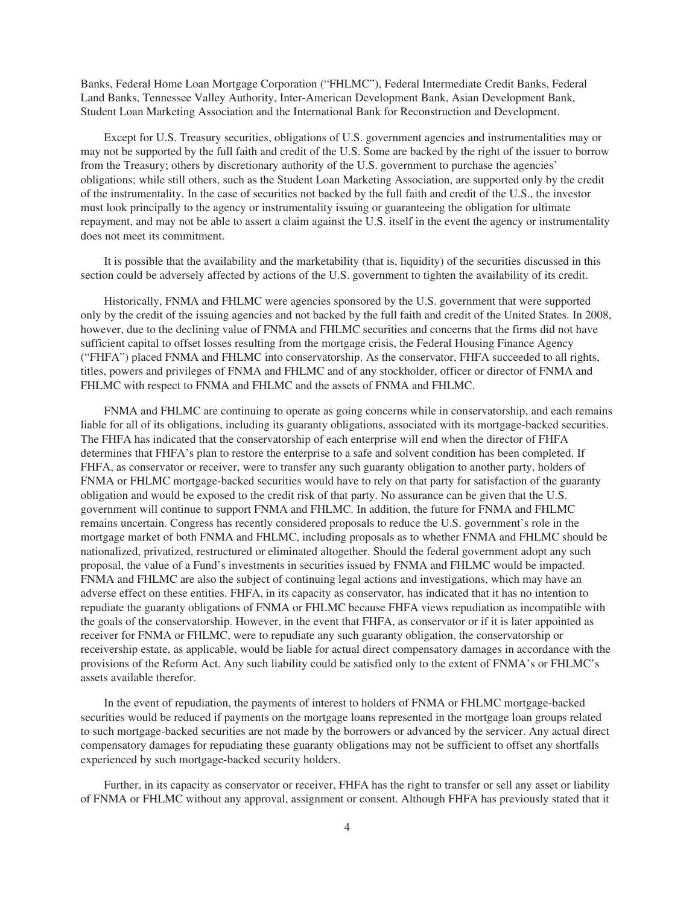Banks, Federal Home Loan Mortgage Corporation ("FHLMC"), Federal Intermediate Credit Banks, Federal Land Banks, Tennessee Valley Authority, Inter-American Development Bank, Asian Development Bank, Student Loan Marketing Association and the International Bank for Reconstruction and Development.

Except for U.S. Treasury securities, obligations of U.S. government agencies and instrumentalities may or may not be supported by the full faith and credit of the U.S. Some are backed by the right of the issuer to borrow from the Treasury; others by discretionary authority of the U.S. government to purchase the agencies' obligations; while still others, such as the Student Loan Marketing Association, are supported only by the credit of the instrumentality. In the case of securities not backed by the full faith and credit of the U.S., the investor must look principally to the agency or instrumentality issuing or guaranteeing the obligation for ultimate repayment, and may not be able to assert a claim against the U.S. itself in the event the agency or instrumentality does not meet its commitment.

It is possible that the availability and the marketability (that is, liquidity) of the securities discussed in this section could be adversely affected by actions of the U.S. government to tighten the availability of its credit.

Historically, FNMA and FHLMC were agencies sponsored by the U.S. government that were supported only by the credit of the issuing agencies and not backed by the full faith and credit of the United States. In 2008, however, due to the declining value of FNMA and FHLMC securities and concerns that the firms did not have sufficient capital to offset losses resulting from the mortgage crisis, the Federal Housing Finance Agency ("FHFA") placed FNMA and FHLMC into conservatorship. As the conservator, FHFA succeeded to all rights, titles, powers and privileges of FNMA and FHLMC and of any stockholder, officer or director of FNMA and FHLMC with respect to FNMA and FHLMC and the assets of FNMA and FHLMC.

FNMA and FHLMC are continuing to operate as going concerns while in conservatorship, and each remains liable for all of its obligations, including its guaranty obligations, associated with its mortgage-backed securities. The FHFA has indicated that the conservatorship of each enterprise will end when the director of FHFA determines that FHFA's plan to restore the enterprise to a safe and solvent condition has been completed. If FHFA, as conservator or receiver, were to transfer any such guaranty obligation to another party, holders of FNMA or FHLMC mortgage-backed securities would have to rely on that party for satisfaction of the guaranty obligation and would be exposed to the credit risk of that party. No assurance can be given that the U.S. government will continue to support FNMA and FHLMC. In addition, the future for FNMA and FHLMC remains uncertain. Congress has recently considered proposals to reduce the U.S. government's role in the mortgage market of both FNMA and FHLMC, including proposals as to whether FNMA and FHLMC should be nationalized, privatized, restructured or eliminated altogether. Should the federal government adopt any such proposal, the value of a Fund's investments in securities issued by FNMA and FHLMC would be impacted. FNMA and FHLMC are also the subject of continuing legal actions and investigations, which may have an adverse effect on these entities. FHFA, in its capacity as conservator, has indicated that it has no intention to repudiate the guaranty obligations of FNMA or FHLMC because FHFA views repudiation as incompatible with the goals of the conservatorship. However, in the event that FHFA, as conservator or if it is later appointed as receiver for FNMA or FHLMC, were to repudiate any such guaranty obligation, the conservatorship or receivership estate, as applicable, would be liable for actual direct compensatory damages in accordance with the provisions of the Reform Act. Any such liability could be satisfied only to the extent of FNMA's or FHLMC's assets available therefor.

In the event of repudiation, the payments of interest to holders of FNMA or FHLMC mortgage-backed securities would be reduced if payments on the mortgage loans represented in the mortgage loan groups related to such mortgage-backed securities are not made by the borrowers or advanced by the servicer. Any actual direct compensatory damages for repudiating these guaranty obligations may not be sufficient to offset any shortfalls experienced by such mortgage-backed security holders.

Further, in its capacity as conservator or receiver, FHFA has the right to transfer or sell any asset or liability of FNMA or FHLMC without any approval, assignment or consent. Although FHFA has previously stated that it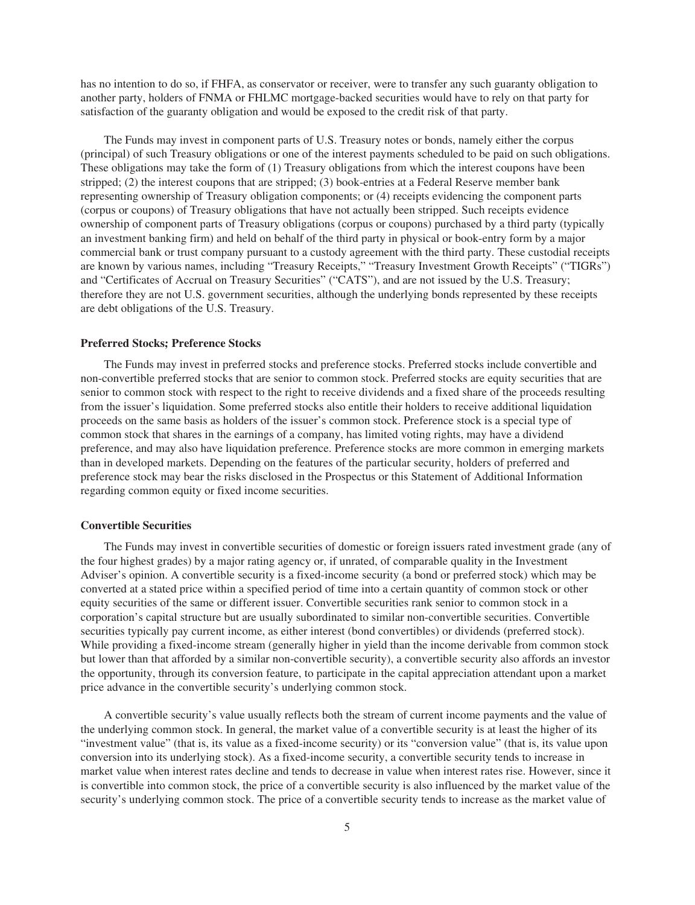has no intention to do so, if FHFA, as conservator or receiver, were to transfer any such guaranty obligation to another party, holders of FNMA or FHLMC mortgage-backed securities would have to rely on that party for satisfaction of the guaranty obligation and would be exposed to the credit risk of that party.

The Funds may invest in component parts of U.S. Treasury notes or bonds, namely either the corpus (principal) of such Treasury obligations or one of the interest payments scheduled to be paid on such obligations. These obligations may take the form of (1) Treasury obligations from which the interest coupons have been stripped; (2) the interest coupons that are stripped; (3) book-entries at a Federal Reserve member bank representing ownership of Treasury obligation components; or (4) receipts evidencing the component parts (corpus or coupons) of Treasury obligations that have not actually been stripped. Such receipts evidence ownership of component parts of Treasury obligations (corpus or coupons) purchased by a third party (typically an investment banking firm) and held on behalf of the third party in physical or book-entry form by a major commercial bank or trust company pursuant to a custody agreement with the third party. These custodial receipts are known by various names, including "Treasury Receipts," "Treasury Investment Growth Receipts" ("TIGRs") and "Certificates of Accrual on Treasury Securities" ("CATS"), and are not issued by the U.S. Treasury; therefore they are not U.S. government securities, although the underlying bonds represented by these receipts are debt obligations of the U.S. Treasury.

#### **Preferred Stocks; Preference Stocks**

The Funds may invest in preferred stocks and preference stocks. Preferred stocks include convertible and non-convertible preferred stocks that are senior to common stock. Preferred stocks are equity securities that are senior to common stock with respect to the right to receive dividends and a fixed share of the proceeds resulting from the issuer's liquidation. Some preferred stocks also entitle their holders to receive additional liquidation proceeds on the same basis as holders of the issuer's common stock. Preference stock is a special type of common stock that shares in the earnings of a company, has limited voting rights, may have a dividend preference, and may also have liquidation preference. Preference stocks are more common in emerging markets than in developed markets. Depending on the features of the particular security, holders of preferred and preference stock may bear the risks disclosed in the Prospectus or this Statement of Additional Information regarding common equity or fixed income securities.

#### **Convertible Securities**

The Funds may invest in convertible securities of domestic or foreign issuers rated investment grade (any of the four highest grades) by a major rating agency or, if unrated, of comparable quality in the Investment Adviser's opinion. A convertible security is a fixed-income security (a bond or preferred stock) which may be converted at a stated price within a specified period of time into a certain quantity of common stock or other equity securities of the same or different issuer. Convertible securities rank senior to common stock in a corporation's capital structure but are usually subordinated to similar non-convertible securities. Convertible securities typically pay current income, as either interest (bond convertibles) or dividends (preferred stock). While providing a fixed-income stream (generally higher in yield than the income derivable from common stock but lower than that afforded by a similar non-convertible security), a convertible security also affords an investor the opportunity, through its conversion feature, to participate in the capital appreciation attendant upon a market price advance in the convertible security's underlying common stock.

A convertible security's value usually reflects both the stream of current income payments and the value of the underlying common stock. In general, the market value of a convertible security is at least the higher of its "investment value" (that is, its value as a fixed-income security) or its "conversion value" (that is, its value upon conversion into its underlying stock). As a fixed-income security, a convertible security tends to increase in market value when interest rates decline and tends to decrease in value when interest rates rise. However, since it is convertible into common stock, the price of a convertible security is also influenced by the market value of the security's underlying common stock. The price of a convertible security tends to increase as the market value of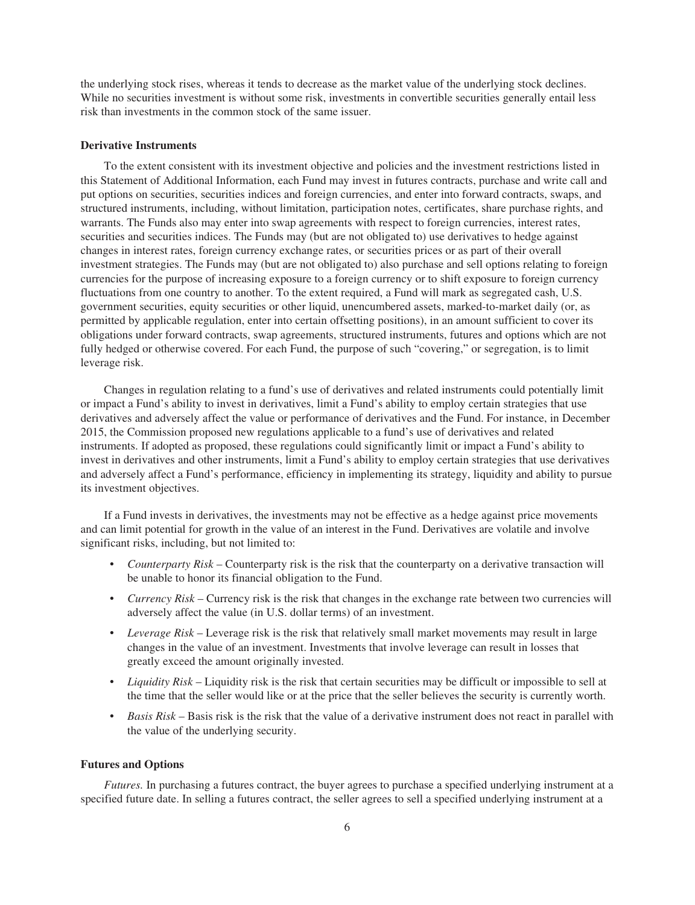the underlying stock rises, whereas it tends to decrease as the market value of the underlying stock declines. While no securities investment is without some risk, investments in convertible securities generally entail less risk than investments in the common stock of the same issuer.

## **Derivative Instruments**

To the extent consistent with its investment objective and policies and the investment restrictions listed in this Statement of Additional Information, each Fund may invest in futures contracts, purchase and write call and put options on securities, securities indices and foreign currencies, and enter into forward contracts, swaps, and structured instruments, including, without limitation, participation notes, certificates, share purchase rights, and warrants. The Funds also may enter into swap agreements with respect to foreign currencies, interest rates, securities and securities indices. The Funds may (but are not obligated to) use derivatives to hedge against changes in interest rates, foreign currency exchange rates, or securities prices or as part of their overall investment strategies. The Funds may (but are not obligated to) also purchase and sell options relating to foreign currencies for the purpose of increasing exposure to a foreign currency or to shift exposure to foreign currency fluctuations from one country to another. To the extent required, a Fund will mark as segregated cash, U.S. government securities, equity securities or other liquid, unencumbered assets, marked-to-market daily (or, as permitted by applicable regulation, enter into certain offsetting positions), in an amount sufficient to cover its obligations under forward contracts, swap agreements, structured instruments, futures and options which are not fully hedged or otherwise covered. For each Fund, the purpose of such "covering," or segregation, is to limit leverage risk.

Changes in regulation relating to a fund's use of derivatives and related instruments could potentially limit or impact a Fund's ability to invest in derivatives, limit a Fund's ability to employ certain strategies that use derivatives and adversely affect the value or performance of derivatives and the Fund. For instance, in December 2015, the Commission proposed new regulations applicable to a fund's use of derivatives and related instruments. If adopted as proposed, these regulations could significantly limit or impact a Fund's ability to invest in derivatives and other instruments, limit a Fund's ability to employ certain strategies that use derivatives and adversely affect a Fund's performance, efficiency in implementing its strategy, liquidity and ability to pursue its investment objectives.

If a Fund invests in derivatives, the investments may not be effective as a hedge against price movements and can limit potential for growth in the value of an interest in the Fund. Derivatives are volatile and involve significant risks, including, but not limited to:

- *Counterparty Risk* Counterparty risk is the risk that the counterparty on a derivative transaction will be unable to honor its financial obligation to the Fund.
- *Currency Risk* Currency risk is the risk that changes in the exchange rate between two currencies will adversely affect the value (in U.S. dollar terms) of an investment.
- *Leverage Risk* Leverage risk is the risk that relatively small market movements may result in large changes in the value of an investment. Investments that involve leverage can result in losses that greatly exceed the amount originally invested.
- *Liquidity Risk* Liquidity risk is the risk that certain securities may be difficult or impossible to sell at the time that the seller would like or at the price that the seller believes the security is currently worth.
- *Basis Risk* Basis risk is the risk that the value of a derivative instrument does not react in parallel with the value of the underlying security.

## **Futures and Options**

*Futures.* In purchasing a futures contract, the buyer agrees to purchase a specified underlying instrument at a specified future date. In selling a futures contract, the seller agrees to sell a specified underlying instrument at a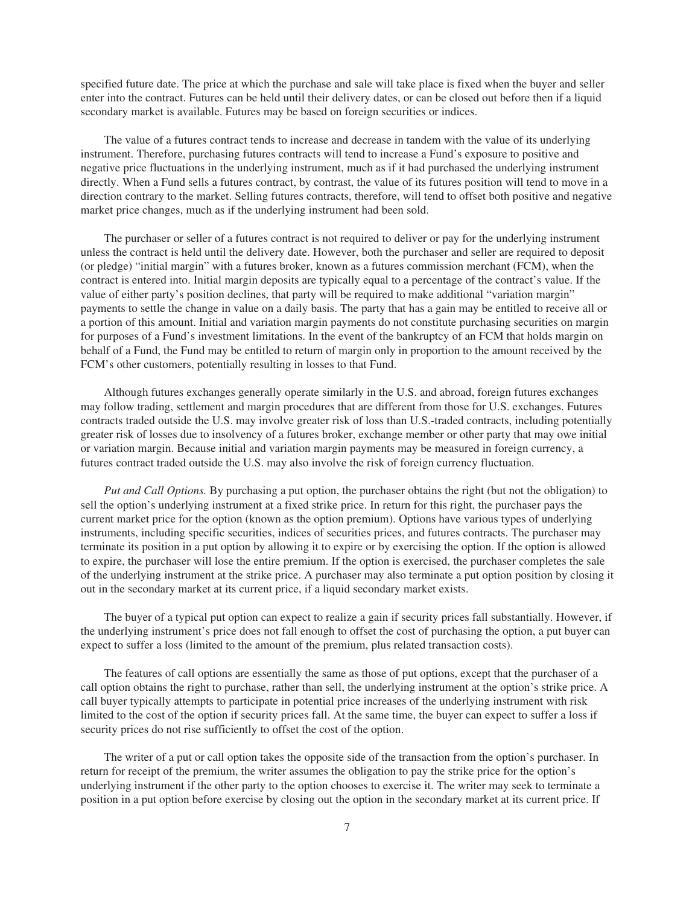specified future date. The price at which the purchase and sale will take place is fixed when the buyer and seller enter into the contract. Futures can be held until their delivery dates, or can be closed out before then if a liquid secondary market is available. Futures may be based on foreign securities or indices.

The value of a futures contract tends to increase and decrease in tandem with the value of its underlying instrument. Therefore, purchasing futures contracts will tend to increase a Fund's exposure to positive and negative price fluctuations in the underlying instrument, much as if it had purchased the underlying instrument directly. When a Fund sells a futures contract, by contrast, the value of its futures position will tend to move in a direction contrary to the market. Selling futures contracts, therefore, will tend to offset both positive and negative market price changes, much as if the underlying instrument had been sold.

The purchaser or seller of a futures contract is not required to deliver or pay for the underlying instrument unless the contract is held until the delivery date. However, both the purchaser and seller are required to deposit (or pledge) "initial margin" with a futures broker, known as a futures commission merchant (FCM), when the contract is entered into. Initial margin deposits are typically equal to a percentage of the contract's value. If the value of either party's position declines, that party will be required to make additional "variation margin" payments to settle the change in value on a daily basis. The party that has a gain may be entitled to receive all or a portion of this amount. Initial and variation margin payments do not constitute purchasing securities on margin for purposes of a Fund's investment limitations. In the event of the bankruptcy of an FCM that holds margin on behalf of a Fund, the Fund may be entitled to return of margin only in proportion to the amount received by the FCM's other customers, potentially resulting in losses to that Fund.

Although futures exchanges generally operate similarly in the U.S. and abroad, foreign futures exchanges may follow trading, settlement and margin procedures that are different from those for U.S. exchanges. Futures contracts traded outside the U.S. may involve greater risk of loss than U.S.-traded contracts, including potentially greater risk of losses due to insolvency of a futures broker, exchange member or other party that may owe initial or variation margin. Because initial and variation margin payments may be measured in foreign currency, a futures contract traded outside the U.S. may also involve the risk of foreign currency fluctuation.

*Put and Call Options.* By purchasing a put option, the purchaser obtains the right (but not the obligation) to sell the option's underlying instrument at a fixed strike price. In return for this right, the purchaser pays the current market price for the option (known as the option premium). Options have various types of underlying instruments, including specific securities, indices of securities prices, and futures contracts. The purchaser may terminate its position in a put option by allowing it to expire or by exercising the option. If the option is allowed to expire, the purchaser will lose the entire premium. If the option is exercised, the purchaser completes the sale of the underlying instrument at the strike price. A purchaser may also terminate a put option position by closing it out in the secondary market at its current price, if a liquid secondary market exists.

The buyer of a typical put option can expect to realize a gain if security prices fall substantially. However, if the underlying instrument's price does not fall enough to offset the cost of purchasing the option, a put buyer can expect to suffer a loss (limited to the amount of the premium, plus related transaction costs).

The features of call options are essentially the same as those of put options, except that the purchaser of a call option obtains the right to purchase, rather than sell, the underlying instrument at the option's strike price. A call buyer typically attempts to participate in potential price increases of the underlying instrument with risk limited to the cost of the option if security prices fall. At the same time, the buyer can expect to suffer a loss if security prices do not rise sufficiently to offset the cost of the option.

The writer of a put or call option takes the opposite side of the transaction from the option's purchaser. In return for receipt of the premium, the writer assumes the obligation to pay the strike price for the option's underlying instrument if the other party to the option chooses to exercise it. The writer may seek to terminate a position in a put option before exercise by closing out the option in the secondary market at its current price. If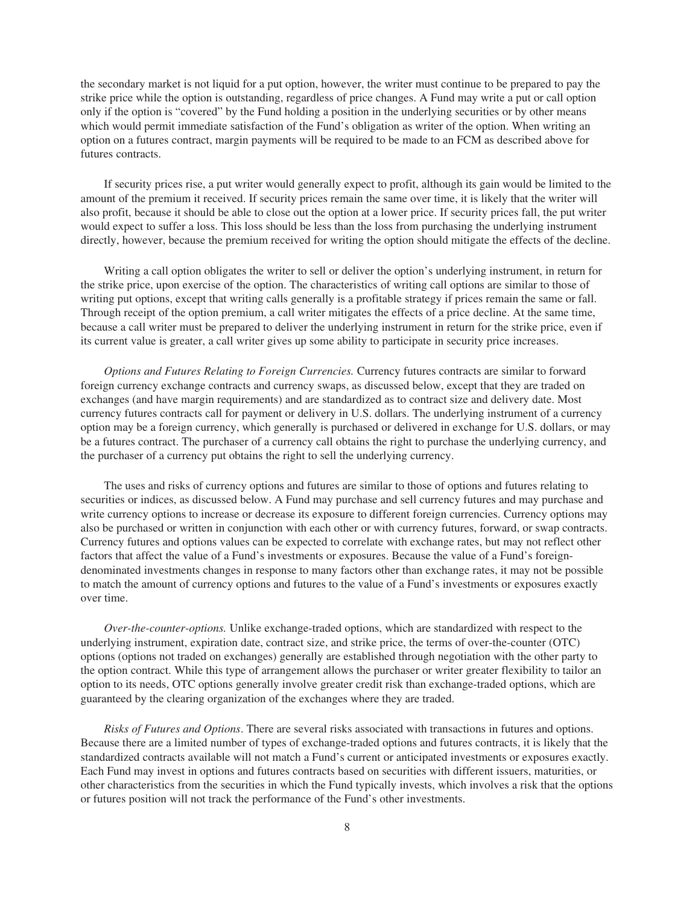the secondary market is not liquid for a put option, however, the writer must continue to be prepared to pay the strike price while the option is outstanding, regardless of price changes. A Fund may write a put or call option only if the option is "covered" by the Fund holding a position in the underlying securities or by other means which would permit immediate satisfaction of the Fund's obligation as writer of the option. When writing an option on a futures contract, margin payments will be required to be made to an FCM as described above for futures contracts.

If security prices rise, a put writer would generally expect to profit, although its gain would be limited to the amount of the premium it received. If security prices remain the same over time, it is likely that the writer will also profit, because it should be able to close out the option at a lower price. If security prices fall, the put writer would expect to suffer a loss. This loss should be less than the loss from purchasing the underlying instrument directly, however, because the premium received for writing the option should mitigate the effects of the decline.

Writing a call option obligates the writer to sell or deliver the option's underlying instrument, in return for the strike price, upon exercise of the option. The characteristics of writing call options are similar to those of writing put options, except that writing calls generally is a profitable strategy if prices remain the same or fall. Through receipt of the option premium, a call writer mitigates the effects of a price decline. At the same time, because a call writer must be prepared to deliver the underlying instrument in return for the strike price, even if its current value is greater, a call writer gives up some ability to participate in security price increases.

*Options and Futures Relating to Foreign Currencies.* Currency futures contracts are similar to forward foreign currency exchange contracts and currency swaps, as discussed below, except that they are traded on exchanges (and have margin requirements) and are standardized as to contract size and delivery date. Most currency futures contracts call for payment or delivery in U.S. dollars. The underlying instrument of a currency option may be a foreign currency, which generally is purchased or delivered in exchange for U.S. dollars, or may be a futures contract. The purchaser of a currency call obtains the right to purchase the underlying currency, and the purchaser of a currency put obtains the right to sell the underlying currency.

The uses and risks of currency options and futures are similar to those of options and futures relating to securities or indices, as discussed below. A Fund may purchase and sell currency futures and may purchase and write currency options to increase or decrease its exposure to different foreign currencies. Currency options may also be purchased or written in conjunction with each other or with currency futures, forward, or swap contracts. Currency futures and options values can be expected to correlate with exchange rates, but may not reflect other factors that affect the value of a Fund's investments or exposures. Because the value of a Fund's foreigndenominated investments changes in response to many factors other than exchange rates, it may not be possible to match the amount of currency options and futures to the value of a Fund's investments or exposures exactly over time.

*Over-the-counter-options.* Unlike exchange-traded options, which are standardized with respect to the underlying instrument, expiration date, contract size, and strike price, the terms of over-the-counter (OTC) options (options not traded on exchanges) generally are established through negotiation with the other party to the option contract. While this type of arrangement allows the purchaser or writer greater flexibility to tailor an option to its needs, OTC options generally involve greater credit risk than exchange-traded options, which are guaranteed by the clearing organization of the exchanges where they are traded.

*Risks of Futures and Options*. There are several risks associated with transactions in futures and options. Because there are a limited number of types of exchange-traded options and futures contracts, it is likely that the standardized contracts available will not match a Fund's current or anticipated investments or exposures exactly. Each Fund may invest in options and futures contracts based on securities with different issuers, maturities, or other characteristics from the securities in which the Fund typically invests, which involves a risk that the options or futures position will not track the performance of the Fund's other investments.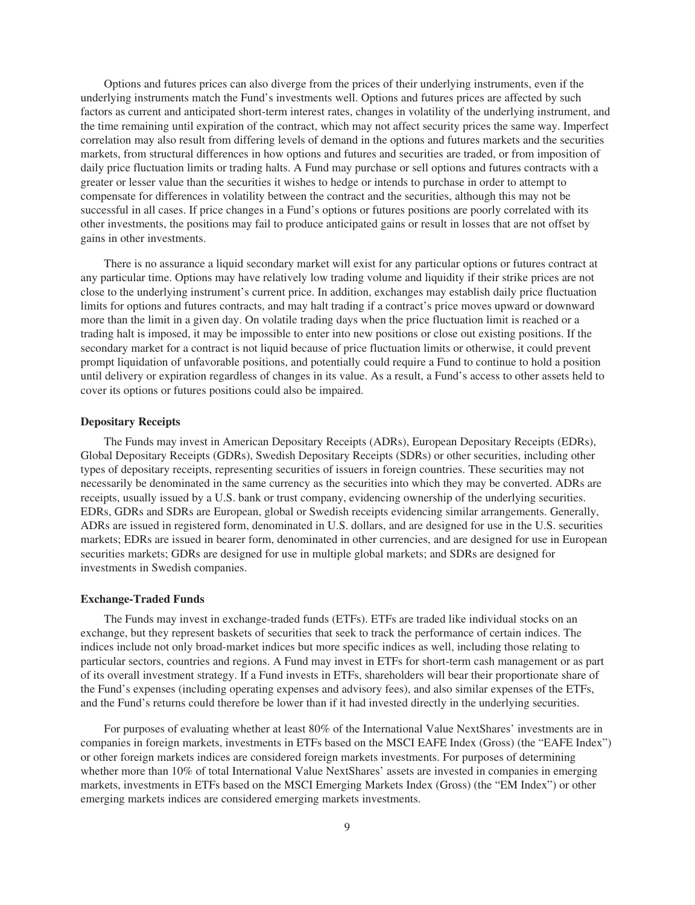Options and futures prices can also diverge from the prices of their underlying instruments, even if the underlying instruments match the Fund's investments well. Options and futures prices are affected by such factors as current and anticipated short-term interest rates, changes in volatility of the underlying instrument, and the time remaining until expiration of the contract, which may not affect security prices the same way. Imperfect correlation may also result from differing levels of demand in the options and futures markets and the securities markets, from structural differences in how options and futures and securities are traded, or from imposition of daily price fluctuation limits or trading halts. A Fund may purchase or sell options and futures contracts with a greater or lesser value than the securities it wishes to hedge or intends to purchase in order to attempt to compensate for differences in volatility between the contract and the securities, although this may not be successful in all cases. If price changes in a Fund's options or futures positions are poorly correlated with its other investments, the positions may fail to produce anticipated gains or result in losses that are not offset by gains in other investments.

There is no assurance a liquid secondary market will exist for any particular options or futures contract at any particular time. Options may have relatively low trading volume and liquidity if their strike prices are not close to the underlying instrument's current price. In addition, exchanges may establish daily price fluctuation limits for options and futures contracts, and may halt trading if a contract's price moves upward or downward more than the limit in a given day. On volatile trading days when the price fluctuation limit is reached or a trading halt is imposed, it may be impossible to enter into new positions or close out existing positions. If the secondary market for a contract is not liquid because of price fluctuation limits or otherwise, it could prevent prompt liquidation of unfavorable positions, and potentially could require a Fund to continue to hold a position until delivery or expiration regardless of changes in its value. As a result, a Fund's access to other assets held to cover its options or futures positions could also be impaired.

### **Depositary Receipts**

The Funds may invest in American Depositary Receipts (ADRs), European Depositary Receipts (EDRs), Global Depositary Receipts (GDRs), Swedish Depositary Receipts (SDRs) or other securities, including other types of depositary receipts, representing securities of issuers in foreign countries. These securities may not necessarily be denominated in the same currency as the securities into which they may be converted. ADRs are receipts, usually issued by a U.S. bank or trust company, evidencing ownership of the underlying securities. EDRs, GDRs and SDRs are European, global or Swedish receipts evidencing similar arrangements. Generally, ADRs are issued in registered form, denominated in U.S. dollars, and are designed for use in the U.S. securities markets; EDRs are issued in bearer form, denominated in other currencies, and are designed for use in European securities markets; GDRs are designed for use in multiple global markets; and SDRs are designed for investments in Swedish companies.

#### **Exchange-Traded Funds**

The Funds may invest in exchange-traded funds (ETFs). ETFs are traded like individual stocks on an exchange, but they represent baskets of securities that seek to track the performance of certain indices. The indices include not only broad-market indices but more specific indices as well, including those relating to particular sectors, countries and regions. A Fund may invest in ETFs for short-term cash management or as part of its overall investment strategy. If a Fund invests in ETFs, shareholders will bear their proportionate share of the Fund's expenses (including operating expenses and advisory fees), and also similar expenses of the ETFs, and the Fund's returns could therefore be lower than if it had invested directly in the underlying securities.

For purposes of evaluating whether at least 80% of the International Value NextShares' investments are in companies in foreign markets, investments in ETFs based on the MSCI EAFE Index (Gross) (the "EAFE Index") or other foreign markets indices are considered foreign markets investments. For purposes of determining whether more than 10% of total International Value NextShares' assets are invested in companies in emerging markets, investments in ETFs based on the MSCI Emerging Markets Index (Gross) (the "EM Index") or other emerging markets indices are considered emerging markets investments.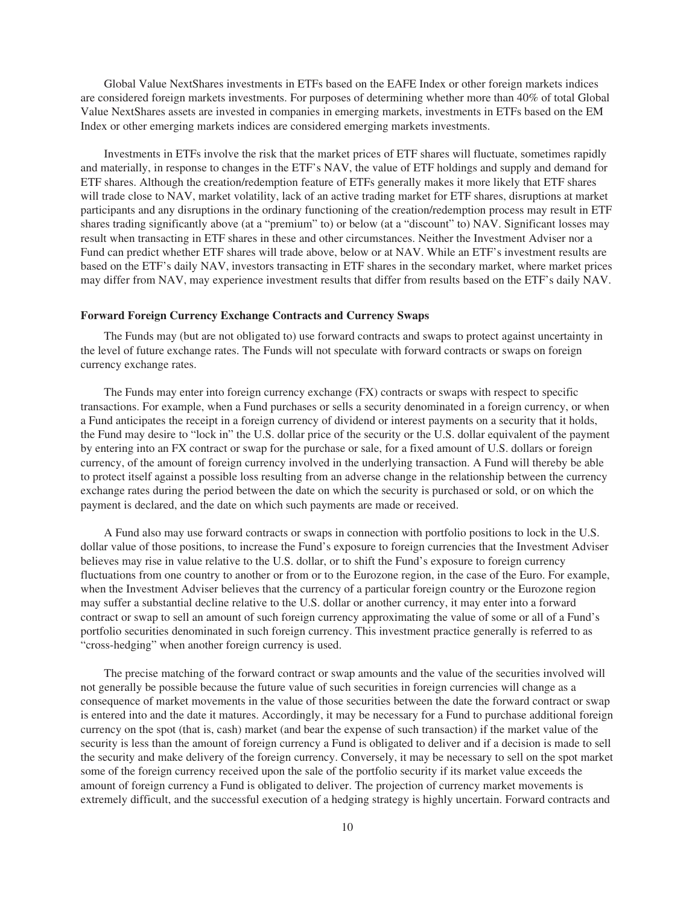Global Value NextShares investments in ETFs based on the EAFE Index or other foreign markets indices are considered foreign markets investments. For purposes of determining whether more than 40% of total Global Value NextShares assets are invested in companies in emerging markets, investments in ETFs based on the EM Index or other emerging markets indices are considered emerging markets investments.

Investments in ETFs involve the risk that the market prices of ETF shares will fluctuate, sometimes rapidly and materially, in response to changes in the ETF's NAV, the value of ETF holdings and supply and demand for ETF shares. Although the creation/redemption feature of ETFs generally makes it more likely that ETF shares will trade close to NAV, market volatility, lack of an active trading market for ETF shares, disruptions at market participants and any disruptions in the ordinary functioning of the creation/redemption process may result in ETF shares trading significantly above (at a "premium" to) or below (at a "discount" to) NAV. Significant losses may result when transacting in ETF shares in these and other circumstances. Neither the Investment Adviser nor a Fund can predict whether ETF shares will trade above, below or at NAV. While an ETF's investment results are based on the ETF's daily NAV, investors transacting in ETF shares in the secondary market, where market prices may differ from NAV, may experience investment results that differ from results based on the ETF's daily NAV.

#### **Forward Foreign Currency Exchange Contracts and Currency Swaps**

The Funds may (but are not obligated to) use forward contracts and swaps to protect against uncertainty in the level of future exchange rates. The Funds will not speculate with forward contracts or swaps on foreign currency exchange rates.

The Funds may enter into foreign currency exchange (FX) contracts or swaps with respect to specific transactions. For example, when a Fund purchases or sells a security denominated in a foreign currency, or when a Fund anticipates the receipt in a foreign currency of dividend or interest payments on a security that it holds, the Fund may desire to "lock in" the U.S. dollar price of the security or the U.S. dollar equivalent of the payment by entering into an FX contract or swap for the purchase or sale, for a fixed amount of U.S. dollars or foreign currency, of the amount of foreign currency involved in the underlying transaction. A Fund will thereby be able to protect itself against a possible loss resulting from an adverse change in the relationship between the currency exchange rates during the period between the date on which the security is purchased or sold, or on which the payment is declared, and the date on which such payments are made or received.

A Fund also may use forward contracts or swaps in connection with portfolio positions to lock in the U.S. dollar value of those positions, to increase the Fund's exposure to foreign currencies that the Investment Adviser believes may rise in value relative to the U.S. dollar, or to shift the Fund's exposure to foreign currency fluctuations from one country to another or from or to the Eurozone region, in the case of the Euro. For example, when the Investment Adviser believes that the currency of a particular foreign country or the Eurozone region may suffer a substantial decline relative to the U.S. dollar or another currency, it may enter into a forward contract or swap to sell an amount of such foreign currency approximating the value of some or all of a Fund's portfolio securities denominated in such foreign currency. This investment practice generally is referred to as "cross-hedging" when another foreign currency is used.

The precise matching of the forward contract or swap amounts and the value of the securities involved will not generally be possible because the future value of such securities in foreign currencies will change as a consequence of market movements in the value of those securities between the date the forward contract or swap is entered into and the date it matures. Accordingly, it may be necessary for a Fund to purchase additional foreign currency on the spot (that is, cash) market (and bear the expense of such transaction) if the market value of the security is less than the amount of foreign currency a Fund is obligated to deliver and if a decision is made to sell the security and make delivery of the foreign currency. Conversely, it may be necessary to sell on the spot market some of the foreign currency received upon the sale of the portfolio security if its market value exceeds the amount of foreign currency a Fund is obligated to deliver. The projection of currency market movements is extremely difficult, and the successful execution of a hedging strategy is highly uncertain. Forward contracts and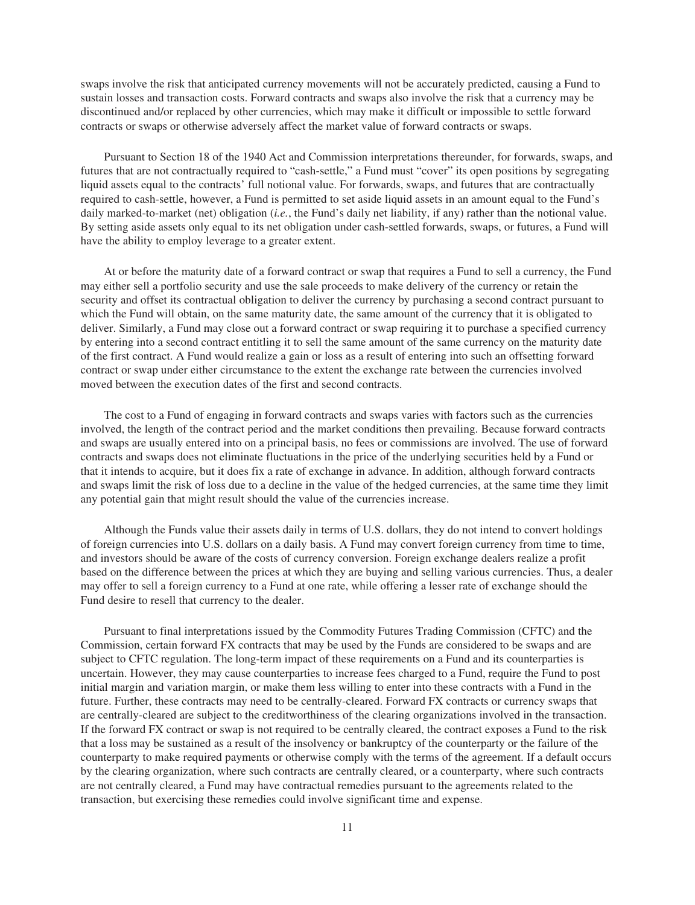swaps involve the risk that anticipated currency movements will not be accurately predicted, causing a Fund to sustain losses and transaction costs. Forward contracts and swaps also involve the risk that a currency may be discontinued and/or replaced by other currencies, which may make it difficult or impossible to settle forward contracts or swaps or otherwise adversely affect the market value of forward contracts or swaps.

Pursuant to Section 18 of the 1940 Act and Commission interpretations thereunder, for forwards, swaps, and futures that are not contractually required to "cash-settle," a Fund must "cover" its open positions by segregating liquid assets equal to the contracts' full notional value. For forwards, swaps, and futures that are contractually required to cash-settle, however, a Fund is permitted to set aside liquid assets in an amount equal to the Fund's daily marked-to-market (net) obligation (*i.e.*, the Fund's daily net liability, if any) rather than the notional value. By setting aside assets only equal to its net obligation under cash-settled forwards, swaps, or futures, a Fund will have the ability to employ leverage to a greater extent.

At or before the maturity date of a forward contract or swap that requires a Fund to sell a currency, the Fund may either sell a portfolio security and use the sale proceeds to make delivery of the currency or retain the security and offset its contractual obligation to deliver the currency by purchasing a second contract pursuant to which the Fund will obtain, on the same maturity date, the same amount of the currency that it is obligated to deliver. Similarly, a Fund may close out a forward contract or swap requiring it to purchase a specified currency by entering into a second contract entitling it to sell the same amount of the same currency on the maturity date of the first contract. A Fund would realize a gain or loss as a result of entering into such an offsetting forward contract or swap under either circumstance to the extent the exchange rate between the currencies involved moved between the execution dates of the first and second contracts.

The cost to a Fund of engaging in forward contracts and swaps varies with factors such as the currencies involved, the length of the contract period and the market conditions then prevailing. Because forward contracts and swaps are usually entered into on a principal basis, no fees or commissions are involved. The use of forward contracts and swaps does not eliminate fluctuations in the price of the underlying securities held by a Fund or that it intends to acquire, but it does fix a rate of exchange in advance. In addition, although forward contracts and swaps limit the risk of loss due to a decline in the value of the hedged currencies, at the same time they limit any potential gain that might result should the value of the currencies increase.

Although the Funds value their assets daily in terms of U.S. dollars, they do not intend to convert holdings of foreign currencies into U.S. dollars on a daily basis. A Fund may convert foreign currency from time to time, and investors should be aware of the costs of currency conversion. Foreign exchange dealers realize a profit based on the difference between the prices at which they are buying and selling various currencies. Thus, a dealer may offer to sell a foreign currency to a Fund at one rate, while offering a lesser rate of exchange should the Fund desire to resell that currency to the dealer.

Pursuant to final interpretations issued by the Commodity Futures Trading Commission (CFTC) and the Commission, certain forward FX contracts that may be used by the Funds are considered to be swaps and are subject to CFTC regulation. The long-term impact of these requirements on a Fund and its counterparties is uncertain. However, they may cause counterparties to increase fees charged to a Fund, require the Fund to post initial margin and variation margin, or make them less willing to enter into these contracts with a Fund in the future. Further, these contracts may need to be centrally-cleared. Forward FX contracts or currency swaps that are centrally-cleared are subject to the creditworthiness of the clearing organizations involved in the transaction. If the forward FX contract or swap is not required to be centrally cleared, the contract exposes a Fund to the risk that a loss may be sustained as a result of the insolvency or bankruptcy of the counterparty or the failure of the counterparty to make required payments or otherwise comply with the terms of the agreement. If a default occurs by the clearing organization, where such contracts are centrally cleared, or a counterparty, where such contracts are not centrally cleared, a Fund may have contractual remedies pursuant to the agreements related to the transaction, but exercising these remedies could involve significant time and expense.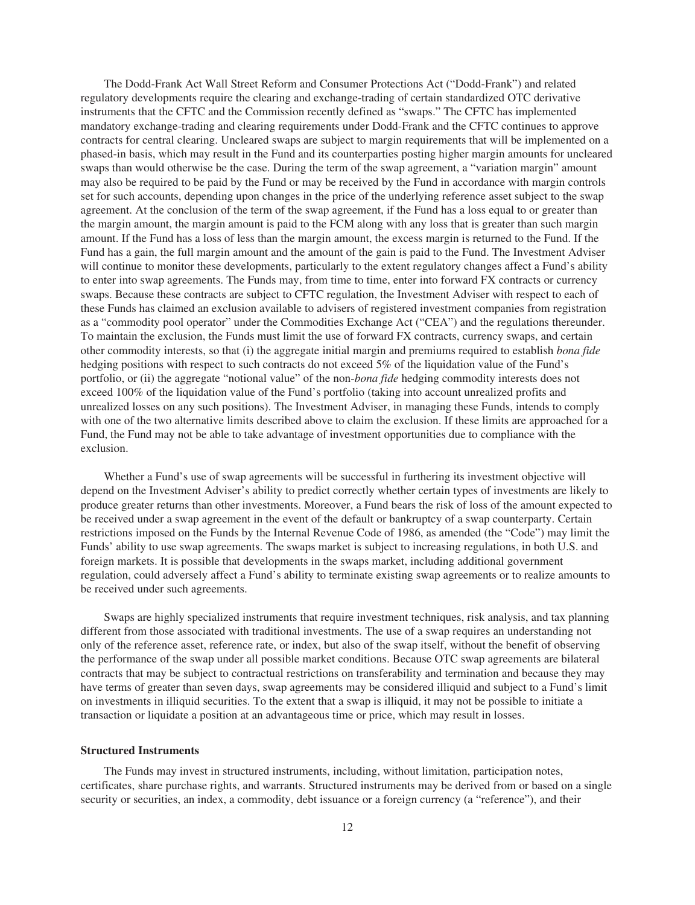The Dodd-Frank Act Wall Street Reform and Consumer Protections Act ("Dodd-Frank") and related regulatory developments require the clearing and exchange-trading of certain standardized OTC derivative instruments that the CFTC and the Commission recently defined as "swaps." The CFTC has implemented mandatory exchange-trading and clearing requirements under Dodd-Frank and the CFTC continues to approve contracts for central clearing. Uncleared swaps are subject to margin requirements that will be implemented on a phased-in basis, which may result in the Fund and its counterparties posting higher margin amounts for uncleared swaps than would otherwise be the case. During the term of the swap agreement, a "variation margin" amount may also be required to be paid by the Fund or may be received by the Fund in accordance with margin controls set for such accounts, depending upon changes in the price of the underlying reference asset subject to the swap agreement. At the conclusion of the term of the swap agreement, if the Fund has a loss equal to or greater than the margin amount, the margin amount is paid to the FCM along with any loss that is greater than such margin amount. If the Fund has a loss of less than the margin amount, the excess margin is returned to the Fund. If the Fund has a gain, the full margin amount and the amount of the gain is paid to the Fund. The Investment Adviser will continue to monitor these developments, particularly to the extent regulatory changes affect a Fund's ability to enter into swap agreements. The Funds may, from time to time, enter into forward FX contracts or currency swaps. Because these contracts are subject to CFTC regulation, the Investment Adviser with respect to each of these Funds has claimed an exclusion available to advisers of registered investment companies from registration as a "commodity pool operator" under the Commodities Exchange Act ("CEA") and the regulations thereunder. To maintain the exclusion, the Funds must limit the use of forward FX contracts, currency swaps, and certain other commodity interests, so that (i) the aggregate initial margin and premiums required to establish *bona fide* hedging positions with respect to such contracts do not exceed 5% of the liquidation value of the Fund's portfolio, or (ii) the aggregate "notional value" of the non-*bona fide* hedging commodity interests does not exceed 100% of the liquidation value of the Fund's portfolio (taking into account unrealized profits and unrealized losses on any such positions). The Investment Adviser, in managing these Funds, intends to comply with one of the two alternative limits described above to claim the exclusion. If these limits are approached for a Fund, the Fund may not be able to take advantage of investment opportunities due to compliance with the exclusion.

Whether a Fund's use of swap agreements will be successful in furthering its investment objective will depend on the Investment Adviser's ability to predict correctly whether certain types of investments are likely to produce greater returns than other investments. Moreover, a Fund bears the risk of loss of the amount expected to be received under a swap agreement in the event of the default or bankruptcy of a swap counterparty. Certain restrictions imposed on the Funds by the Internal Revenue Code of 1986, as amended (the "Code") may limit the Funds' ability to use swap agreements. The swaps market is subject to increasing regulations, in both U.S. and foreign markets. It is possible that developments in the swaps market, including additional government regulation, could adversely affect a Fund's ability to terminate existing swap agreements or to realize amounts to be received under such agreements.

Swaps are highly specialized instruments that require investment techniques, risk analysis, and tax planning different from those associated with traditional investments. The use of a swap requires an understanding not only of the reference asset, reference rate, or index, but also of the swap itself, without the benefit of observing the performance of the swap under all possible market conditions. Because OTC swap agreements are bilateral contracts that may be subject to contractual restrictions on transferability and termination and because they may have terms of greater than seven days, swap agreements may be considered illiquid and subject to a Fund's limit on investments in illiquid securities. To the extent that a swap is illiquid, it may not be possible to initiate a transaction or liquidate a position at an advantageous time or price, which may result in losses.

#### **Structured Instruments**

The Funds may invest in structured instruments, including, without limitation, participation notes, certificates, share purchase rights, and warrants. Structured instruments may be derived from or based on a single security or securities, an index, a commodity, debt issuance or a foreign currency (a "reference"), and their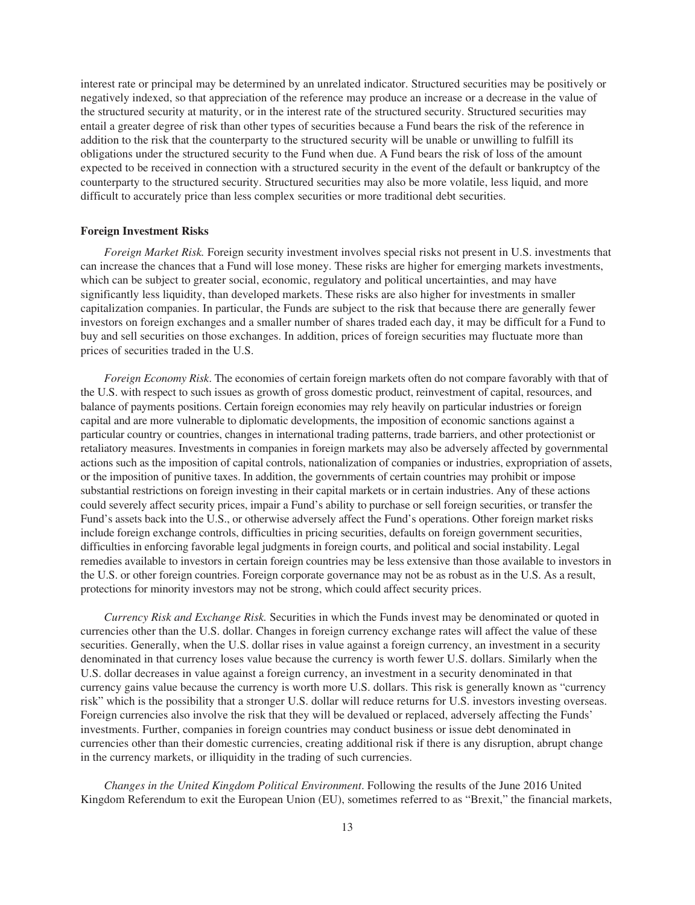interest rate or principal may be determined by an unrelated indicator. Structured securities may be positively or negatively indexed, so that appreciation of the reference may produce an increase or a decrease in the value of the structured security at maturity, or in the interest rate of the structured security. Structured securities may entail a greater degree of risk than other types of securities because a Fund bears the risk of the reference in addition to the risk that the counterparty to the structured security will be unable or unwilling to fulfill its obligations under the structured security to the Fund when due. A Fund bears the risk of loss of the amount expected to be received in connection with a structured security in the event of the default or bankruptcy of the counterparty to the structured security. Structured securities may also be more volatile, less liquid, and more difficult to accurately price than less complex securities or more traditional debt securities.

#### **Foreign Investment Risks**

*Foreign Market Risk.* Foreign security investment involves special risks not present in U.S. investments that can increase the chances that a Fund will lose money. These risks are higher for emerging markets investments, which can be subject to greater social, economic, regulatory and political uncertainties, and may have significantly less liquidity, than developed markets. These risks are also higher for investments in smaller capitalization companies. In particular, the Funds are subject to the risk that because there are generally fewer investors on foreign exchanges and a smaller number of shares traded each day, it may be difficult for a Fund to buy and sell securities on those exchanges. In addition, prices of foreign securities may fluctuate more than prices of securities traded in the U.S.

*Foreign Economy Risk*. The economies of certain foreign markets often do not compare favorably with that of the U.S. with respect to such issues as growth of gross domestic product, reinvestment of capital, resources, and balance of payments positions. Certain foreign economies may rely heavily on particular industries or foreign capital and are more vulnerable to diplomatic developments, the imposition of economic sanctions against a particular country or countries, changes in international trading patterns, trade barriers, and other protectionist or retaliatory measures. Investments in companies in foreign markets may also be adversely affected by governmental actions such as the imposition of capital controls, nationalization of companies or industries, expropriation of assets, or the imposition of punitive taxes. In addition, the governments of certain countries may prohibit or impose substantial restrictions on foreign investing in their capital markets or in certain industries. Any of these actions could severely affect security prices, impair a Fund's ability to purchase or sell foreign securities, or transfer the Fund's assets back into the U.S., or otherwise adversely affect the Fund's operations. Other foreign market risks include foreign exchange controls, difficulties in pricing securities, defaults on foreign government securities, difficulties in enforcing favorable legal judgments in foreign courts, and political and social instability. Legal remedies available to investors in certain foreign countries may be less extensive than those available to investors in the U.S. or other foreign countries. Foreign corporate governance may not be as robust as in the U.S. As a result, protections for minority investors may not be strong, which could affect security prices.

*Currency Risk and Exchange Risk.* Securities in which the Funds invest may be denominated or quoted in currencies other than the U.S. dollar. Changes in foreign currency exchange rates will affect the value of these securities. Generally, when the U.S. dollar rises in value against a foreign currency, an investment in a security denominated in that currency loses value because the currency is worth fewer U.S. dollars. Similarly when the U.S. dollar decreases in value against a foreign currency, an investment in a security denominated in that currency gains value because the currency is worth more U.S. dollars. This risk is generally known as "currency risk" which is the possibility that a stronger U.S. dollar will reduce returns for U.S. investors investing overseas. Foreign currencies also involve the risk that they will be devalued or replaced, adversely affecting the Funds' investments. Further, companies in foreign countries may conduct business or issue debt denominated in currencies other than their domestic currencies, creating additional risk if there is any disruption, abrupt change in the currency markets, or illiquidity in the trading of such currencies.

*Changes in the United Kingdom Political Environment*. Following the results of the June 2016 United Kingdom Referendum to exit the European Union (EU), sometimes referred to as "Brexit," the financial markets,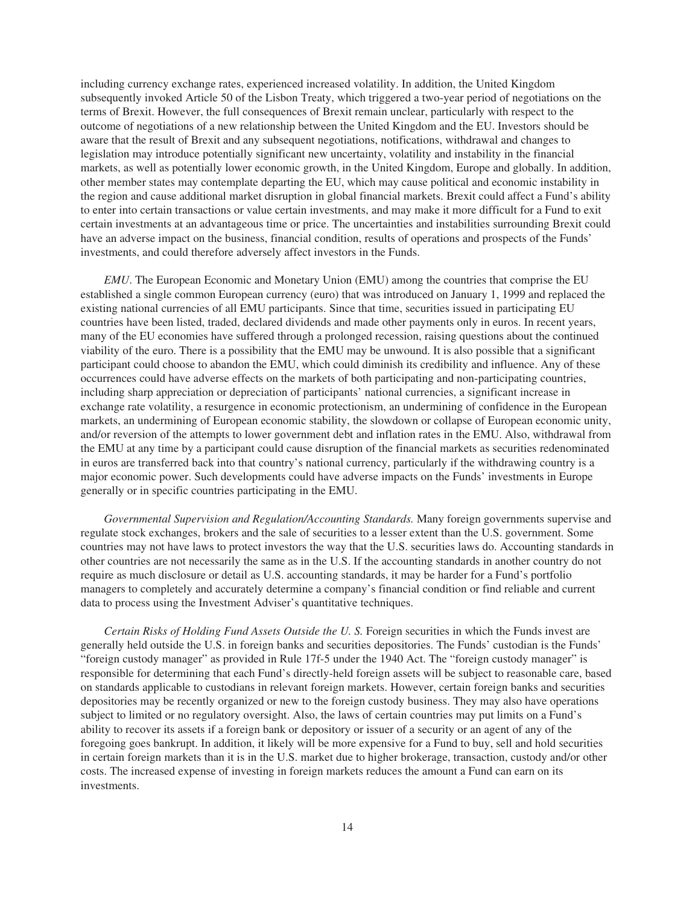including currency exchange rates, experienced increased volatility. In addition, the United Kingdom subsequently invoked Article 50 of the Lisbon Treaty, which triggered a two-year period of negotiations on the terms of Brexit. However, the full consequences of Brexit remain unclear, particularly with respect to the outcome of negotiations of a new relationship between the United Kingdom and the EU. Investors should be aware that the result of Brexit and any subsequent negotiations, notifications, withdrawal and changes to legislation may introduce potentially significant new uncertainty, volatility and instability in the financial markets, as well as potentially lower economic growth, in the United Kingdom, Europe and globally. In addition, other member states may contemplate departing the EU, which may cause political and economic instability in the region and cause additional market disruption in global financial markets. Brexit could affect a Fund's ability to enter into certain transactions or value certain investments, and may make it more difficult for a Fund to exit certain investments at an advantageous time or price. The uncertainties and instabilities surrounding Brexit could have an adverse impact on the business, financial condition, results of operations and prospects of the Funds' investments, and could therefore adversely affect investors in the Funds.

*EMU*. The European Economic and Monetary Union (EMU) among the countries that comprise the EU established a single common European currency (euro) that was introduced on January 1, 1999 and replaced the existing national currencies of all EMU participants. Since that time, securities issued in participating EU countries have been listed, traded, declared dividends and made other payments only in euros. In recent years, many of the EU economies have suffered through a prolonged recession, raising questions about the continued viability of the euro. There is a possibility that the EMU may be unwound. It is also possible that a significant participant could choose to abandon the EMU, which could diminish its credibility and influence. Any of these occurrences could have adverse effects on the markets of both participating and non-participating countries, including sharp appreciation or depreciation of participants' national currencies, a significant increase in exchange rate volatility, a resurgence in economic protectionism, an undermining of confidence in the European markets, an undermining of European economic stability, the slowdown or collapse of European economic unity, and/or reversion of the attempts to lower government debt and inflation rates in the EMU. Also, withdrawal from the EMU at any time by a participant could cause disruption of the financial markets as securities redenominated in euros are transferred back into that country's national currency, particularly if the withdrawing country is a major economic power. Such developments could have adverse impacts on the Funds' investments in Europe generally or in specific countries participating in the EMU.

*Governmental Supervision and Regulation/Accounting Standards.* Many foreign governments supervise and regulate stock exchanges, brokers and the sale of securities to a lesser extent than the U.S. government. Some countries may not have laws to protect investors the way that the U.S. securities laws do. Accounting standards in other countries are not necessarily the same as in the U.S. If the accounting standards in another country do not require as much disclosure or detail as U.S. accounting standards, it may be harder for a Fund's portfolio managers to completely and accurately determine a company's financial condition or find reliable and current data to process using the Investment Adviser's quantitative techniques.

*Certain Risks of Holding Fund Assets Outside the U. S.* Foreign securities in which the Funds invest are generally held outside the U.S. in foreign banks and securities depositories. The Funds' custodian is the Funds' "foreign custody manager" as provided in Rule 17f-5 under the 1940 Act. The "foreign custody manager" is responsible for determining that each Fund's directly-held foreign assets will be subject to reasonable care, based on standards applicable to custodians in relevant foreign markets. However, certain foreign banks and securities depositories may be recently organized or new to the foreign custody business. They may also have operations subject to limited or no regulatory oversight. Also, the laws of certain countries may put limits on a Fund's ability to recover its assets if a foreign bank or depository or issuer of a security or an agent of any of the foregoing goes bankrupt. In addition, it likely will be more expensive for a Fund to buy, sell and hold securities in certain foreign markets than it is in the U.S. market due to higher brokerage, transaction, custody and/or other costs. The increased expense of investing in foreign markets reduces the amount a Fund can earn on its investments.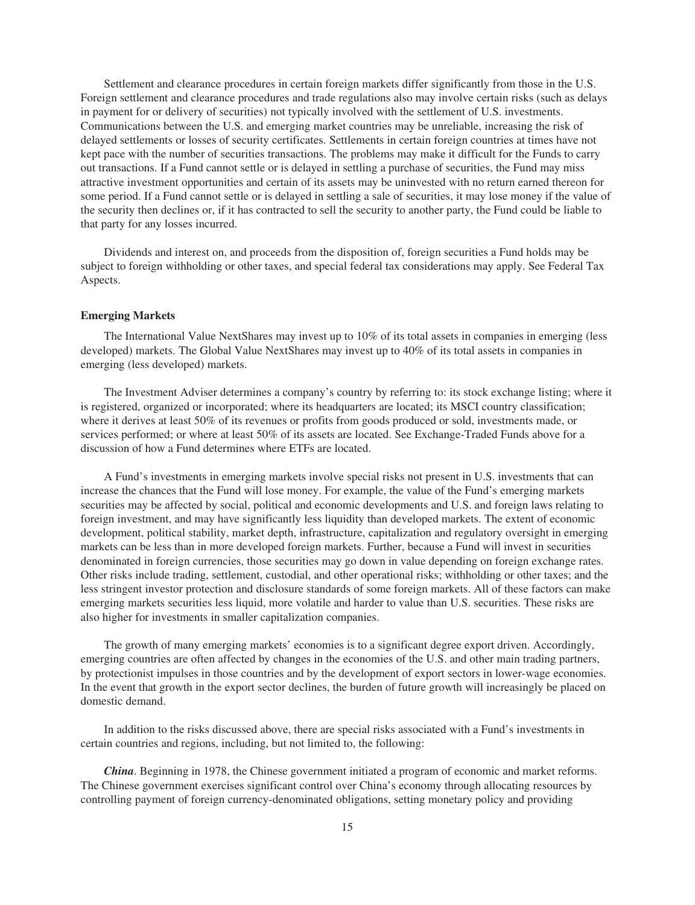Settlement and clearance procedures in certain foreign markets differ significantly from those in the U.S. Foreign settlement and clearance procedures and trade regulations also may involve certain risks (such as delays in payment for or delivery of securities) not typically involved with the settlement of U.S. investments. Communications between the U.S. and emerging market countries may be unreliable, increasing the risk of delayed settlements or losses of security certificates. Settlements in certain foreign countries at times have not kept pace with the number of securities transactions. The problems may make it difficult for the Funds to carry out transactions. If a Fund cannot settle or is delayed in settling a purchase of securities, the Fund may miss attractive investment opportunities and certain of its assets may be uninvested with no return earned thereon for some period. If a Fund cannot settle or is delayed in settling a sale of securities, it may lose money if the value of the security then declines or, if it has contracted to sell the security to another party, the Fund could be liable to that party for any losses incurred.

Dividends and interest on, and proceeds from the disposition of, foreign securities a Fund holds may be subject to foreign withholding or other taxes, and special federal tax considerations may apply. See Federal Tax Aspects.

## **Emerging Markets**

The International Value NextShares may invest up to 10% of its total assets in companies in emerging (less developed) markets. The Global Value NextShares may invest up to 40% of its total assets in companies in emerging (less developed) markets.

The Investment Adviser determines a company's country by referring to: its stock exchange listing; where it is registered, organized or incorporated; where its headquarters are located; its MSCI country classification; where it derives at least 50% of its revenues or profits from goods produced or sold, investments made, or services performed; or where at least 50% of its assets are located. See Exchange-Traded Funds above for a discussion of how a Fund determines where ETFs are located.

A Fund's investments in emerging markets involve special risks not present in U.S. investments that can increase the chances that the Fund will lose money. For example, the value of the Fund's emerging markets securities may be affected by social, political and economic developments and U.S. and foreign laws relating to foreign investment, and may have significantly less liquidity than developed markets. The extent of economic development, political stability, market depth, infrastructure, capitalization and regulatory oversight in emerging markets can be less than in more developed foreign markets. Further, because a Fund will invest in securities denominated in foreign currencies, those securities may go down in value depending on foreign exchange rates. Other risks include trading, settlement, custodial, and other operational risks; withholding or other taxes; and the less stringent investor protection and disclosure standards of some foreign markets. All of these factors can make emerging markets securities less liquid, more volatile and harder to value than U.S. securities. These risks are also higher for investments in smaller capitalization companies.

The growth of many emerging markets' economies is to a significant degree export driven. Accordingly, emerging countries are often affected by changes in the economies of the U.S. and other main trading partners, by protectionist impulses in those countries and by the development of export sectors in lower-wage economies. In the event that growth in the export sector declines, the burden of future growth will increasingly be placed on domestic demand.

In addition to the risks discussed above, there are special risks associated with a Fund's investments in certain countries and regions, including, but not limited to, the following:

*China*. Beginning in 1978, the Chinese government initiated a program of economic and market reforms. The Chinese government exercises significant control over China's economy through allocating resources by controlling payment of foreign currency-denominated obligations, setting monetary policy and providing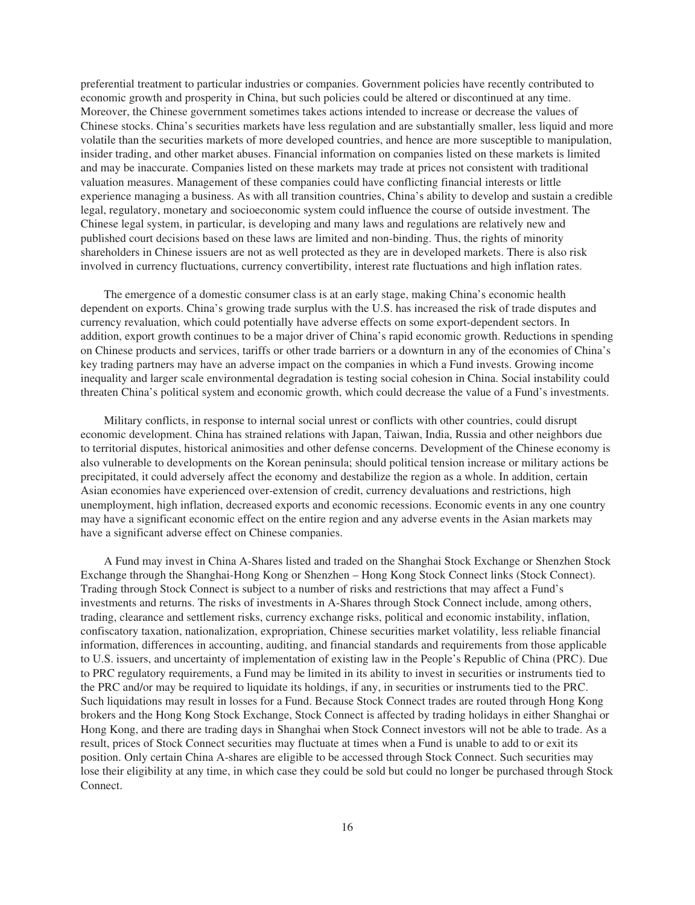preferential treatment to particular industries or companies. Government policies have recently contributed to economic growth and prosperity in China, but such policies could be altered or discontinued at any time. Moreover, the Chinese government sometimes takes actions intended to increase or decrease the values of Chinese stocks. China's securities markets have less regulation and are substantially smaller, less liquid and more volatile than the securities markets of more developed countries, and hence are more susceptible to manipulation, insider trading, and other market abuses. Financial information on companies listed on these markets is limited and may be inaccurate. Companies listed on these markets may trade at prices not consistent with traditional valuation measures. Management of these companies could have conflicting financial interests or little experience managing a business. As with all transition countries, China's ability to develop and sustain a credible legal, regulatory, monetary and socioeconomic system could influence the course of outside investment. The Chinese legal system, in particular, is developing and many laws and regulations are relatively new and published court decisions based on these laws are limited and non-binding. Thus, the rights of minority shareholders in Chinese issuers are not as well protected as they are in developed markets. There is also risk involved in currency fluctuations, currency convertibility, interest rate fluctuations and high inflation rates.

The emergence of a domestic consumer class is at an early stage, making China's economic health dependent on exports. China's growing trade surplus with the U.S. has increased the risk of trade disputes and currency revaluation, which could potentially have adverse effects on some export-dependent sectors. In addition, export growth continues to be a major driver of China's rapid economic growth. Reductions in spending on Chinese products and services, tariffs or other trade barriers or a downturn in any of the economies of China's key trading partners may have an adverse impact on the companies in which a Fund invests. Growing income inequality and larger scale environmental degradation is testing social cohesion in China. Social instability could threaten China's political system and economic growth, which could decrease the value of a Fund's investments.

Military conflicts, in response to internal social unrest or conflicts with other countries, could disrupt economic development. China has strained relations with Japan, Taiwan, India, Russia and other neighbors due to territorial disputes, historical animosities and other defense concerns. Development of the Chinese economy is also vulnerable to developments on the Korean peninsula; should political tension increase or military actions be precipitated, it could adversely affect the economy and destabilize the region as a whole. In addition, certain Asian economies have experienced over-extension of credit, currency devaluations and restrictions, high unemployment, high inflation, decreased exports and economic recessions. Economic events in any one country may have a significant economic effect on the entire region and any adverse events in the Asian markets may have a significant adverse effect on Chinese companies.

A Fund may invest in China A-Shares listed and traded on the Shanghai Stock Exchange or Shenzhen Stock Exchange through the Shanghai-Hong Kong or Shenzhen – Hong Kong Stock Connect links (Stock Connect). Trading through Stock Connect is subject to a number of risks and restrictions that may affect a Fund's investments and returns. The risks of investments in A-Shares through Stock Connect include, among others, trading, clearance and settlement risks, currency exchange risks, political and economic instability, inflation, confiscatory taxation, nationalization, expropriation, Chinese securities market volatility, less reliable financial information, differences in accounting, auditing, and financial standards and requirements from those applicable to U.S. issuers, and uncertainty of implementation of existing law in the People's Republic of China (PRC). Due to PRC regulatory requirements, a Fund may be limited in its ability to invest in securities or instruments tied to the PRC and/or may be required to liquidate its holdings, if any, in securities or instruments tied to the PRC. Such liquidations may result in losses for a Fund. Because Stock Connect trades are routed through Hong Kong brokers and the Hong Kong Stock Exchange, Stock Connect is affected by trading holidays in either Shanghai or Hong Kong, and there are trading days in Shanghai when Stock Connect investors will not be able to trade. As a result, prices of Stock Connect securities may fluctuate at times when a Fund is unable to add to or exit its position. Only certain China A-shares are eligible to be accessed through Stock Connect. Such securities may lose their eligibility at any time, in which case they could be sold but could no longer be purchased through Stock Connect.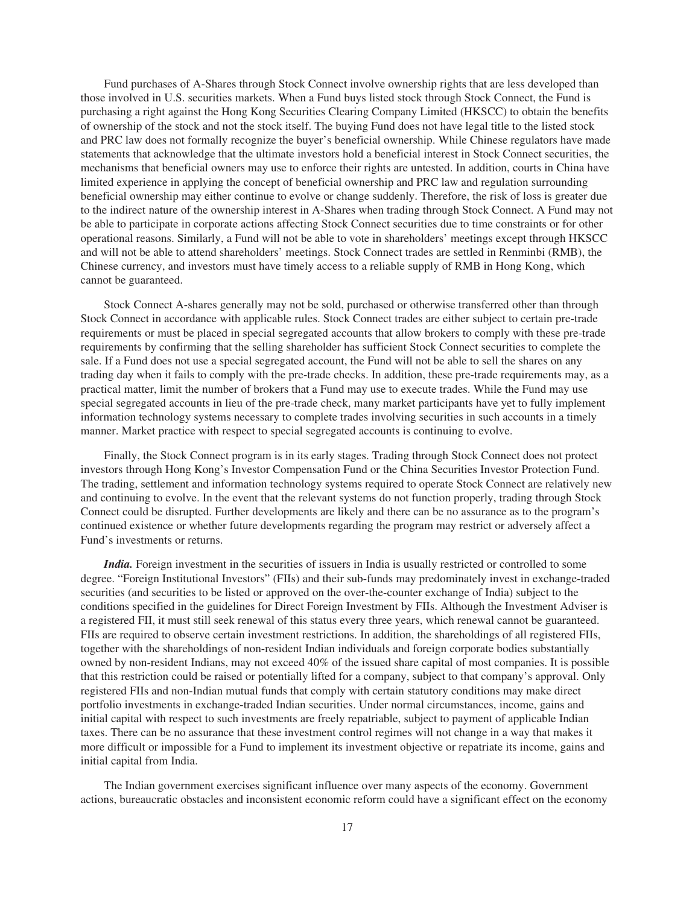Fund purchases of A-Shares through Stock Connect involve ownership rights that are less developed than those involved in U.S. securities markets. When a Fund buys listed stock through Stock Connect, the Fund is purchasing a right against the Hong Kong Securities Clearing Company Limited (HKSCC) to obtain the benefits of ownership of the stock and not the stock itself. The buying Fund does not have legal title to the listed stock and PRC law does not formally recognize the buyer's beneficial ownership. While Chinese regulators have made statements that acknowledge that the ultimate investors hold a beneficial interest in Stock Connect securities, the mechanisms that beneficial owners may use to enforce their rights are untested. In addition, courts in China have limited experience in applying the concept of beneficial ownership and PRC law and regulation surrounding beneficial ownership may either continue to evolve or change suddenly. Therefore, the risk of loss is greater due to the indirect nature of the ownership interest in A-Shares when trading through Stock Connect. A Fund may not be able to participate in corporate actions affecting Stock Connect securities due to time constraints or for other operational reasons. Similarly, a Fund will not be able to vote in shareholders' meetings except through HKSCC and will not be able to attend shareholders' meetings. Stock Connect trades are settled in Renminbi (RMB), the Chinese currency, and investors must have timely access to a reliable supply of RMB in Hong Kong, which cannot be guaranteed.

Stock Connect A-shares generally may not be sold, purchased or otherwise transferred other than through Stock Connect in accordance with applicable rules. Stock Connect trades are either subject to certain pre-trade requirements or must be placed in special segregated accounts that allow brokers to comply with these pre-trade requirements by confirming that the selling shareholder has sufficient Stock Connect securities to complete the sale. If a Fund does not use a special segregated account, the Fund will not be able to sell the shares on any trading day when it fails to comply with the pre-trade checks. In addition, these pre-trade requirements may, as a practical matter, limit the number of brokers that a Fund may use to execute trades. While the Fund may use special segregated accounts in lieu of the pre-trade check, many market participants have yet to fully implement information technology systems necessary to complete trades involving securities in such accounts in a timely manner. Market practice with respect to special segregated accounts is continuing to evolve.

Finally, the Stock Connect program is in its early stages. Trading through Stock Connect does not protect investors through Hong Kong's Investor Compensation Fund or the China Securities Investor Protection Fund. The trading, settlement and information technology systems required to operate Stock Connect are relatively new and continuing to evolve. In the event that the relevant systems do not function properly, trading through Stock Connect could be disrupted. Further developments are likely and there can be no assurance as to the program's continued existence or whether future developments regarding the program may restrict or adversely affect a Fund's investments or returns.

*India.* Foreign investment in the securities of issuers in India is usually restricted or controlled to some degree. "Foreign Institutional Investors" (FIIs) and their sub-funds may predominately invest in exchange-traded securities (and securities to be listed or approved on the over-the-counter exchange of India) subject to the conditions specified in the guidelines for Direct Foreign Investment by FIIs. Although the Investment Adviser is a registered FII, it must still seek renewal of this status every three years, which renewal cannot be guaranteed. FIIs are required to observe certain investment restrictions. In addition, the shareholdings of all registered FIIs, together with the shareholdings of non-resident Indian individuals and foreign corporate bodies substantially owned by non-resident Indians, may not exceed 40% of the issued share capital of most companies. It is possible that this restriction could be raised or potentially lifted for a company, subject to that company's approval. Only registered FIIs and non-Indian mutual funds that comply with certain statutory conditions may make direct portfolio investments in exchange-traded Indian securities. Under normal circumstances, income, gains and initial capital with respect to such investments are freely repatriable, subject to payment of applicable Indian taxes. There can be no assurance that these investment control regimes will not change in a way that makes it more difficult or impossible for a Fund to implement its investment objective or repatriate its income, gains and initial capital from India.

The Indian government exercises significant influence over many aspects of the economy. Government actions, bureaucratic obstacles and inconsistent economic reform could have a significant effect on the economy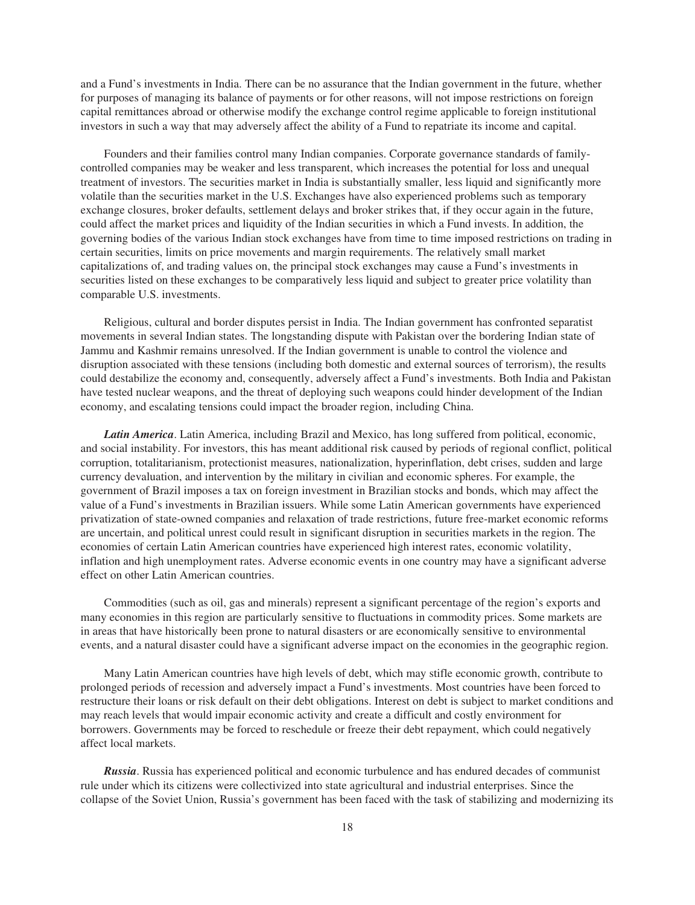and a Fund's investments in India. There can be no assurance that the Indian government in the future, whether for purposes of managing its balance of payments or for other reasons, will not impose restrictions on foreign capital remittances abroad or otherwise modify the exchange control regime applicable to foreign institutional investors in such a way that may adversely affect the ability of a Fund to repatriate its income and capital.

Founders and their families control many Indian companies. Corporate governance standards of familycontrolled companies may be weaker and less transparent, which increases the potential for loss and unequal treatment of investors. The securities market in India is substantially smaller, less liquid and significantly more volatile than the securities market in the U.S. Exchanges have also experienced problems such as temporary exchange closures, broker defaults, settlement delays and broker strikes that, if they occur again in the future, could affect the market prices and liquidity of the Indian securities in which a Fund invests. In addition, the governing bodies of the various Indian stock exchanges have from time to time imposed restrictions on trading in certain securities, limits on price movements and margin requirements. The relatively small market capitalizations of, and trading values on, the principal stock exchanges may cause a Fund's investments in securities listed on these exchanges to be comparatively less liquid and subject to greater price volatility than comparable U.S. investments.

Religious, cultural and border disputes persist in India. The Indian government has confronted separatist movements in several Indian states. The longstanding dispute with Pakistan over the bordering Indian state of Jammu and Kashmir remains unresolved. If the Indian government is unable to control the violence and disruption associated with these tensions (including both domestic and external sources of terrorism), the results could destabilize the economy and, consequently, adversely affect a Fund's investments. Both India and Pakistan have tested nuclear weapons, and the threat of deploying such weapons could hinder development of the Indian economy, and escalating tensions could impact the broader region, including China.

*Latin America*. Latin America, including Brazil and Mexico, has long suffered from political, economic, and social instability. For investors, this has meant additional risk caused by periods of regional conflict, political corruption, totalitarianism, protectionist measures, nationalization, hyperinflation, debt crises, sudden and large currency devaluation, and intervention by the military in civilian and economic spheres. For example, the government of Brazil imposes a tax on foreign investment in Brazilian stocks and bonds, which may affect the value of a Fund's investments in Brazilian issuers. While some Latin American governments have experienced privatization of state-owned companies and relaxation of trade restrictions, future free-market economic reforms are uncertain, and political unrest could result in significant disruption in securities markets in the region. The economies of certain Latin American countries have experienced high interest rates, economic volatility, inflation and high unemployment rates. Adverse economic events in one country may have a significant adverse effect on other Latin American countries.

Commodities (such as oil, gas and minerals) represent a significant percentage of the region's exports and many economies in this region are particularly sensitive to fluctuations in commodity prices. Some markets are in areas that have historically been prone to natural disasters or are economically sensitive to environmental events, and a natural disaster could have a significant adverse impact on the economies in the geographic region.

Many Latin American countries have high levels of debt, which may stifle economic growth, contribute to prolonged periods of recession and adversely impact a Fund's investments. Most countries have been forced to restructure their loans or risk default on their debt obligations. Interest on debt is subject to market conditions and may reach levels that would impair economic activity and create a difficult and costly environment for borrowers. Governments may be forced to reschedule or freeze their debt repayment, which could negatively affect local markets.

*Russia*. Russia has experienced political and economic turbulence and has endured decades of communist rule under which its citizens were collectivized into state agricultural and industrial enterprises. Since the collapse of the Soviet Union, Russia's government has been faced with the task of stabilizing and modernizing its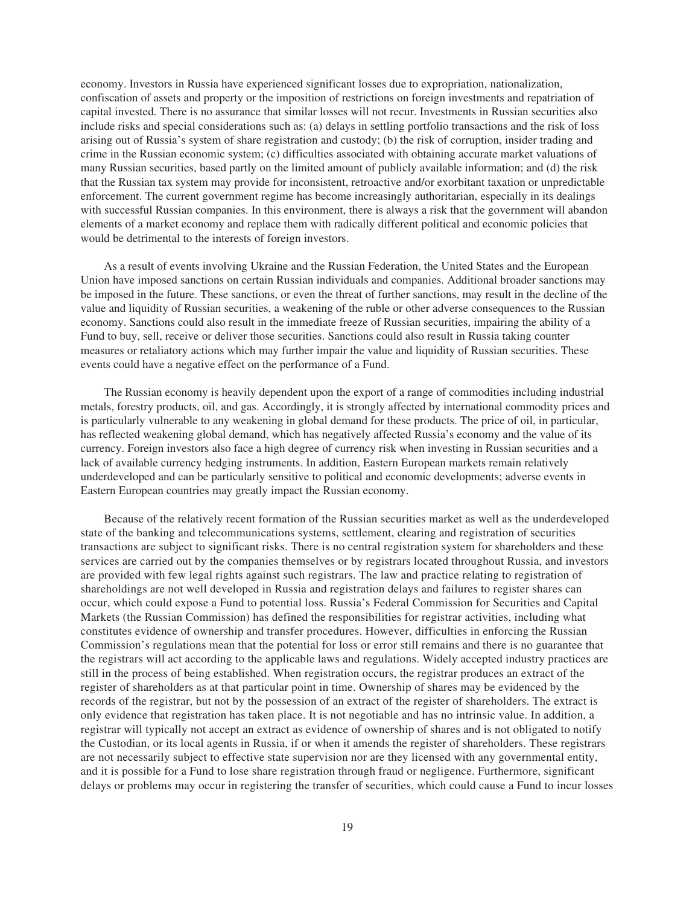economy. Investors in Russia have experienced significant losses due to expropriation, nationalization, confiscation of assets and property or the imposition of restrictions on foreign investments and repatriation of capital invested. There is no assurance that similar losses will not recur. Investments in Russian securities also include risks and special considerations such as: (a) delays in settling portfolio transactions and the risk of loss arising out of Russia's system of share registration and custody; (b) the risk of corruption, insider trading and crime in the Russian economic system; (c) difficulties associated with obtaining accurate market valuations of many Russian securities, based partly on the limited amount of publicly available information; and (d) the risk that the Russian tax system may provide for inconsistent, retroactive and/or exorbitant taxation or unpredictable enforcement. The current government regime has become increasingly authoritarian, especially in its dealings with successful Russian companies. In this environment, there is always a risk that the government will abandon elements of a market economy and replace them with radically different political and economic policies that would be detrimental to the interests of foreign investors.

As a result of events involving Ukraine and the Russian Federation, the United States and the European Union have imposed sanctions on certain Russian individuals and companies. Additional broader sanctions may be imposed in the future. These sanctions, or even the threat of further sanctions, may result in the decline of the value and liquidity of Russian securities, a weakening of the ruble or other adverse consequences to the Russian economy. Sanctions could also result in the immediate freeze of Russian securities, impairing the ability of a Fund to buy, sell, receive or deliver those securities. Sanctions could also result in Russia taking counter measures or retaliatory actions which may further impair the value and liquidity of Russian securities. These events could have a negative effect on the performance of a Fund.

The Russian economy is heavily dependent upon the export of a range of commodities including industrial metals, forestry products, oil, and gas. Accordingly, it is strongly affected by international commodity prices and is particularly vulnerable to any weakening in global demand for these products. The price of oil, in particular, has reflected weakening global demand, which has negatively affected Russia's economy and the value of its currency. Foreign investors also face a high degree of currency risk when investing in Russian securities and a lack of available currency hedging instruments. In addition, Eastern European markets remain relatively underdeveloped and can be particularly sensitive to political and economic developments; adverse events in Eastern European countries may greatly impact the Russian economy.

Because of the relatively recent formation of the Russian securities market as well as the underdeveloped state of the banking and telecommunications systems, settlement, clearing and registration of securities transactions are subject to significant risks. There is no central registration system for shareholders and these services are carried out by the companies themselves or by registrars located throughout Russia, and investors are provided with few legal rights against such registrars. The law and practice relating to registration of shareholdings are not well developed in Russia and registration delays and failures to register shares can occur, which could expose a Fund to potential loss. Russia's Federal Commission for Securities and Capital Markets (the Russian Commission) has defined the responsibilities for registrar activities, including what constitutes evidence of ownership and transfer procedures. However, difficulties in enforcing the Russian Commission's regulations mean that the potential for loss or error still remains and there is no guarantee that the registrars will act according to the applicable laws and regulations. Widely accepted industry practices are still in the process of being established. When registration occurs, the registrar produces an extract of the register of shareholders as at that particular point in time. Ownership of shares may be evidenced by the records of the registrar, but not by the possession of an extract of the register of shareholders. The extract is only evidence that registration has taken place. It is not negotiable and has no intrinsic value. In addition, a registrar will typically not accept an extract as evidence of ownership of shares and is not obligated to notify the Custodian, or its local agents in Russia, if or when it amends the register of shareholders. These registrars are not necessarily subject to effective state supervision nor are they licensed with any governmental entity, and it is possible for a Fund to lose share registration through fraud or negligence. Furthermore, significant delays or problems may occur in registering the transfer of securities, which could cause a Fund to incur losses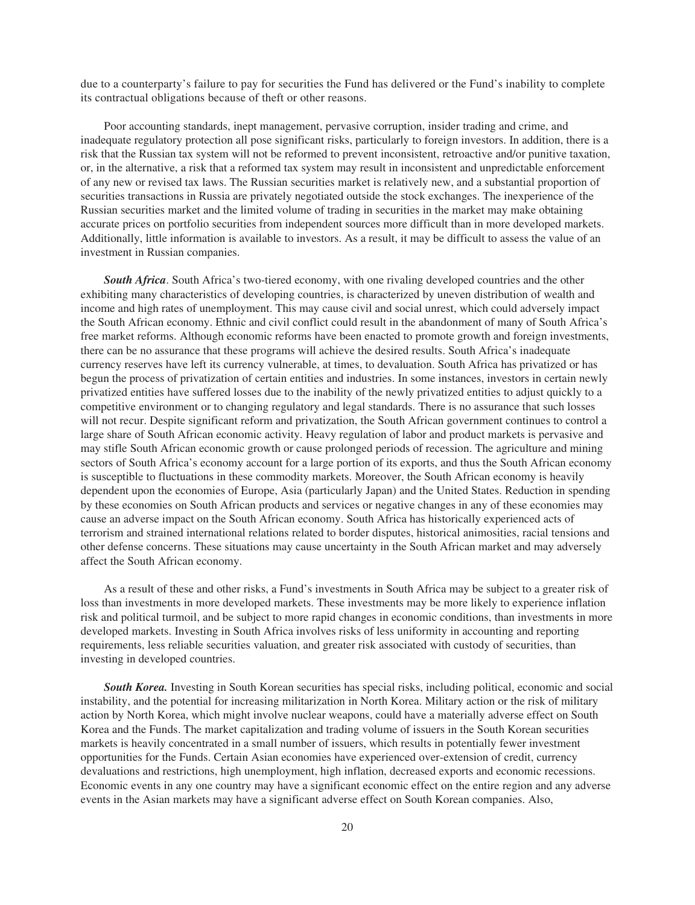due to a counterparty's failure to pay for securities the Fund has delivered or the Fund's inability to complete its contractual obligations because of theft or other reasons.

Poor accounting standards, inept management, pervasive corruption, insider trading and crime, and inadequate regulatory protection all pose significant risks, particularly to foreign investors. In addition, there is a risk that the Russian tax system will not be reformed to prevent inconsistent, retroactive and/or punitive taxation, or, in the alternative, a risk that a reformed tax system may result in inconsistent and unpredictable enforcement of any new or revised tax laws. The Russian securities market is relatively new, and a substantial proportion of securities transactions in Russia are privately negotiated outside the stock exchanges. The inexperience of the Russian securities market and the limited volume of trading in securities in the market may make obtaining accurate prices on portfolio securities from independent sources more difficult than in more developed markets. Additionally, little information is available to investors. As a result, it may be difficult to assess the value of an investment in Russian companies.

*South Africa*. South Africa's two-tiered economy, with one rivaling developed countries and the other exhibiting many characteristics of developing countries, is characterized by uneven distribution of wealth and income and high rates of unemployment. This may cause civil and social unrest, which could adversely impact the South African economy. Ethnic and civil conflict could result in the abandonment of many of South Africa's free market reforms. Although economic reforms have been enacted to promote growth and foreign investments, there can be no assurance that these programs will achieve the desired results. South Africa's inadequate currency reserves have left its currency vulnerable, at times, to devaluation. South Africa has privatized or has begun the process of privatization of certain entities and industries. In some instances, investors in certain newly privatized entities have suffered losses due to the inability of the newly privatized entities to adjust quickly to a competitive environment or to changing regulatory and legal standards. There is no assurance that such losses will not recur. Despite significant reform and privatization, the South African government continues to control a large share of South African economic activity. Heavy regulation of labor and product markets is pervasive and may stifle South African economic growth or cause prolonged periods of recession. The agriculture and mining sectors of South Africa's economy account for a large portion of its exports, and thus the South African economy is susceptible to fluctuations in these commodity markets. Moreover, the South African economy is heavily dependent upon the economies of Europe, Asia (particularly Japan) and the United States. Reduction in spending by these economies on South African products and services or negative changes in any of these economies may cause an adverse impact on the South African economy. South Africa has historically experienced acts of terrorism and strained international relations related to border disputes, historical animosities, racial tensions and other defense concerns. These situations may cause uncertainty in the South African market and may adversely affect the South African economy.

As a result of these and other risks, a Fund's investments in South Africa may be subject to a greater risk of loss than investments in more developed markets. These investments may be more likely to experience inflation risk and political turmoil, and be subject to more rapid changes in economic conditions, than investments in more developed markets. Investing in South Africa involves risks of less uniformity in accounting and reporting requirements, less reliable securities valuation, and greater risk associated with custody of securities, than investing in developed countries.

*South Korea.* Investing in South Korean securities has special risks, including political, economic and social instability, and the potential for increasing militarization in North Korea. Military action or the risk of military action by North Korea, which might involve nuclear weapons, could have a materially adverse effect on South Korea and the Funds. The market capitalization and trading volume of issuers in the South Korean securities markets is heavily concentrated in a small number of issuers, which results in potentially fewer investment opportunities for the Funds. Certain Asian economies have experienced over-extension of credit, currency devaluations and restrictions, high unemployment, high inflation, decreased exports and economic recessions. Economic events in any one country may have a significant economic effect on the entire region and any adverse events in the Asian markets may have a significant adverse effect on South Korean companies. Also,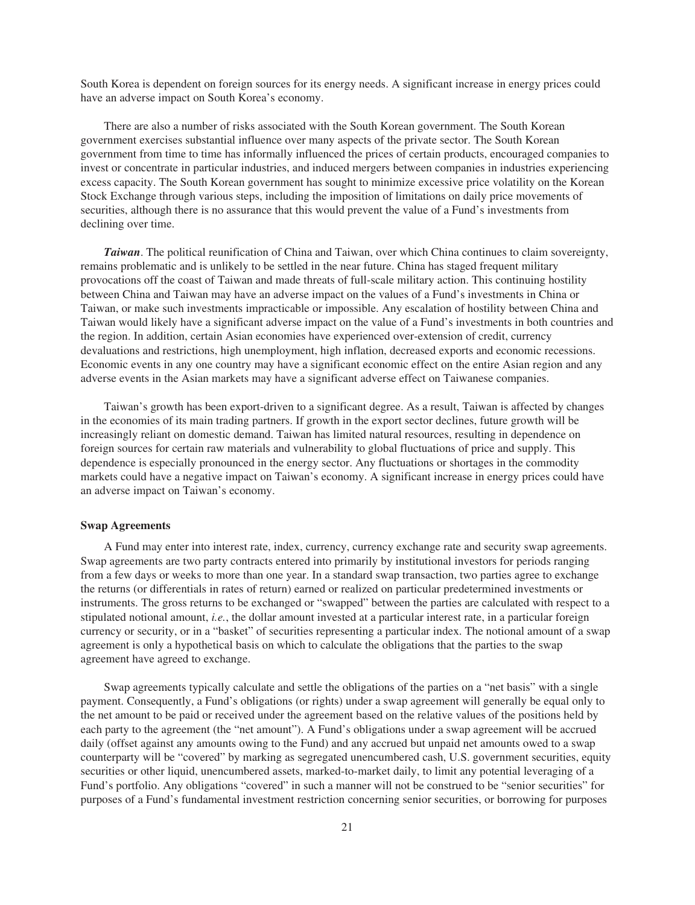South Korea is dependent on foreign sources for its energy needs. A significant increase in energy prices could have an adverse impact on South Korea's economy.

There are also a number of risks associated with the South Korean government. The South Korean government exercises substantial influence over many aspects of the private sector. The South Korean government from time to time has informally influenced the prices of certain products, encouraged companies to invest or concentrate in particular industries, and induced mergers between companies in industries experiencing excess capacity. The South Korean government has sought to minimize excessive price volatility on the Korean Stock Exchange through various steps, including the imposition of limitations on daily price movements of securities, although there is no assurance that this would prevent the value of a Fund's investments from declining over time.

*Taiwan*. The political reunification of China and Taiwan, over which China continues to claim sovereignty, remains problematic and is unlikely to be settled in the near future. China has staged frequent military provocations off the coast of Taiwan and made threats of full-scale military action. This continuing hostility between China and Taiwan may have an adverse impact on the values of a Fund's investments in China or Taiwan, or make such investments impracticable or impossible. Any escalation of hostility between China and Taiwan would likely have a significant adverse impact on the value of a Fund's investments in both countries and the region. In addition, certain Asian economies have experienced over-extension of credit, currency devaluations and restrictions, high unemployment, high inflation, decreased exports and economic recessions. Economic events in any one country may have a significant economic effect on the entire Asian region and any adverse events in the Asian markets may have a significant adverse effect on Taiwanese companies.

Taiwan's growth has been export-driven to a significant degree. As a result, Taiwan is affected by changes in the economies of its main trading partners. If growth in the export sector declines, future growth will be increasingly reliant on domestic demand. Taiwan has limited natural resources, resulting in dependence on foreign sources for certain raw materials and vulnerability to global fluctuations of price and supply. This dependence is especially pronounced in the energy sector. Any fluctuations or shortages in the commodity markets could have a negative impact on Taiwan's economy. A significant increase in energy prices could have an adverse impact on Taiwan's economy.

## **Swap Agreements**

A Fund may enter into interest rate, index, currency, currency exchange rate and security swap agreements. Swap agreements are two party contracts entered into primarily by institutional investors for periods ranging from a few days or weeks to more than one year. In a standard swap transaction, two parties agree to exchange the returns (or differentials in rates of return) earned or realized on particular predetermined investments or instruments. The gross returns to be exchanged or "swapped" between the parties are calculated with respect to a stipulated notional amount, *i.e.*, the dollar amount invested at a particular interest rate, in a particular foreign currency or security, or in a "basket" of securities representing a particular index. The notional amount of a swap agreement is only a hypothetical basis on which to calculate the obligations that the parties to the swap agreement have agreed to exchange.

Swap agreements typically calculate and settle the obligations of the parties on a "net basis" with a single payment. Consequently, a Fund's obligations (or rights) under a swap agreement will generally be equal only to the net amount to be paid or received under the agreement based on the relative values of the positions held by each party to the agreement (the "net amount"). A Fund's obligations under a swap agreement will be accrued daily (offset against any amounts owing to the Fund) and any accrued but unpaid net amounts owed to a swap counterparty will be "covered" by marking as segregated unencumbered cash, U.S. government securities, equity securities or other liquid, unencumbered assets, marked-to-market daily, to limit any potential leveraging of a Fund's portfolio. Any obligations "covered" in such a manner will not be construed to be "senior securities" for purposes of a Fund's fundamental investment restriction concerning senior securities, or borrowing for purposes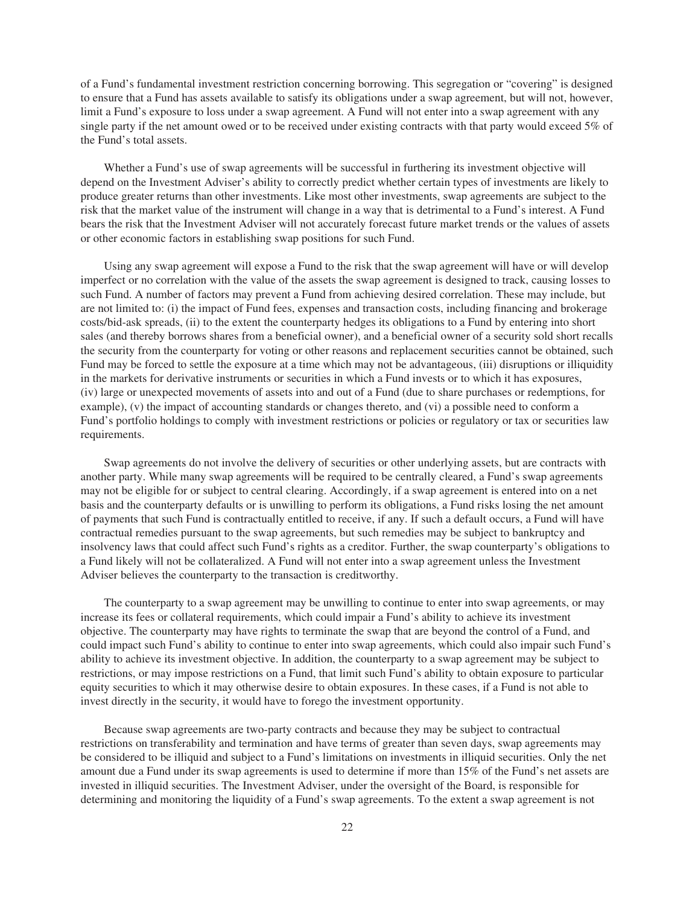of a Fund's fundamental investment restriction concerning borrowing. This segregation or "covering" is designed to ensure that a Fund has assets available to satisfy its obligations under a swap agreement, but will not, however, limit a Fund's exposure to loss under a swap agreement. A Fund will not enter into a swap agreement with any single party if the net amount owed or to be received under existing contracts with that party would exceed 5% of the Fund's total assets.

Whether a Fund's use of swap agreements will be successful in furthering its investment objective will depend on the Investment Adviser's ability to correctly predict whether certain types of investments are likely to produce greater returns than other investments. Like most other investments, swap agreements are subject to the risk that the market value of the instrument will change in a way that is detrimental to a Fund's interest. A Fund bears the risk that the Investment Adviser will not accurately forecast future market trends or the values of assets or other economic factors in establishing swap positions for such Fund.

Using any swap agreement will expose a Fund to the risk that the swap agreement will have or will develop imperfect or no correlation with the value of the assets the swap agreement is designed to track, causing losses to such Fund. A number of factors may prevent a Fund from achieving desired correlation. These may include, but are not limited to: (i) the impact of Fund fees, expenses and transaction costs, including financing and brokerage costs/bid-ask spreads, (ii) to the extent the counterparty hedges its obligations to a Fund by entering into short sales (and thereby borrows shares from a beneficial owner), and a beneficial owner of a security sold short recalls the security from the counterparty for voting or other reasons and replacement securities cannot be obtained, such Fund may be forced to settle the exposure at a time which may not be advantageous, (iii) disruptions or illiquidity in the markets for derivative instruments or securities in which a Fund invests or to which it has exposures, (iv) large or unexpected movements of assets into and out of a Fund (due to share purchases or redemptions, for example), (v) the impact of accounting standards or changes thereto, and (vi) a possible need to conform a Fund's portfolio holdings to comply with investment restrictions or policies or regulatory or tax or securities law requirements.

Swap agreements do not involve the delivery of securities or other underlying assets, but are contracts with another party. While many swap agreements will be required to be centrally cleared, a Fund's swap agreements may not be eligible for or subject to central clearing. Accordingly, if a swap agreement is entered into on a net basis and the counterparty defaults or is unwilling to perform its obligations, a Fund risks losing the net amount of payments that such Fund is contractually entitled to receive, if any. If such a default occurs, a Fund will have contractual remedies pursuant to the swap agreements, but such remedies may be subject to bankruptcy and insolvency laws that could affect such Fund's rights as a creditor. Further, the swap counterparty's obligations to a Fund likely will not be collateralized. A Fund will not enter into a swap agreement unless the Investment Adviser believes the counterparty to the transaction is creditworthy.

The counterparty to a swap agreement may be unwilling to continue to enter into swap agreements, or may increase its fees or collateral requirements, which could impair a Fund's ability to achieve its investment objective. The counterparty may have rights to terminate the swap that are beyond the control of a Fund, and could impact such Fund's ability to continue to enter into swap agreements, which could also impair such Fund's ability to achieve its investment objective. In addition, the counterparty to a swap agreement may be subject to restrictions, or may impose restrictions on a Fund, that limit such Fund's ability to obtain exposure to particular equity securities to which it may otherwise desire to obtain exposures. In these cases, if a Fund is not able to invest directly in the security, it would have to forego the investment opportunity.

Because swap agreements are two-party contracts and because they may be subject to contractual restrictions on transferability and termination and have terms of greater than seven days, swap agreements may be considered to be illiquid and subject to a Fund's limitations on investments in illiquid securities. Only the net amount due a Fund under its swap agreements is used to determine if more than 15% of the Fund's net assets are invested in illiquid securities. The Investment Adviser, under the oversight of the Board, is responsible for determining and monitoring the liquidity of a Fund's swap agreements. To the extent a swap agreement is not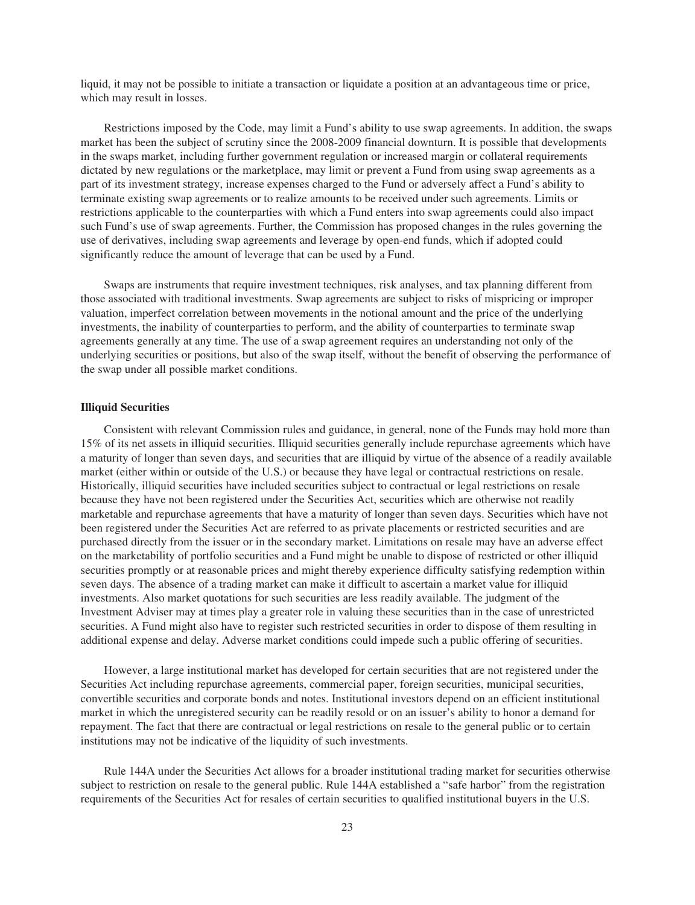liquid, it may not be possible to initiate a transaction or liquidate a position at an advantageous time or price, which may result in losses.

Restrictions imposed by the Code, may limit a Fund's ability to use swap agreements. In addition, the swaps market has been the subject of scrutiny since the 2008-2009 financial downturn. It is possible that developments in the swaps market, including further government regulation or increased margin or collateral requirements dictated by new regulations or the marketplace, may limit or prevent a Fund from using swap agreements as a part of its investment strategy, increase expenses charged to the Fund or adversely affect a Fund's ability to terminate existing swap agreements or to realize amounts to be received under such agreements. Limits or restrictions applicable to the counterparties with which a Fund enters into swap agreements could also impact such Fund's use of swap agreements. Further, the Commission has proposed changes in the rules governing the use of derivatives, including swap agreements and leverage by open-end funds, which if adopted could significantly reduce the amount of leverage that can be used by a Fund.

Swaps are instruments that require investment techniques, risk analyses, and tax planning different from those associated with traditional investments. Swap agreements are subject to risks of mispricing or improper valuation, imperfect correlation between movements in the notional amount and the price of the underlying investments, the inability of counterparties to perform, and the ability of counterparties to terminate swap agreements generally at any time. The use of a swap agreement requires an understanding not only of the underlying securities or positions, but also of the swap itself, without the benefit of observing the performance of the swap under all possible market conditions.

#### **Illiquid Securities**

Consistent with relevant Commission rules and guidance, in general, none of the Funds may hold more than 15% of its net assets in illiquid securities. Illiquid securities generally include repurchase agreements which have a maturity of longer than seven days, and securities that are illiquid by virtue of the absence of a readily available market (either within or outside of the U.S.) or because they have legal or contractual restrictions on resale. Historically, illiquid securities have included securities subject to contractual or legal restrictions on resale because they have not been registered under the Securities Act, securities which are otherwise not readily marketable and repurchase agreements that have a maturity of longer than seven days. Securities which have not been registered under the Securities Act are referred to as private placements or restricted securities and are purchased directly from the issuer or in the secondary market. Limitations on resale may have an adverse effect on the marketability of portfolio securities and a Fund might be unable to dispose of restricted or other illiquid securities promptly or at reasonable prices and might thereby experience difficulty satisfying redemption within seven days. The absence of a trading market can make it difficult to ascertain a market value for illiquid investments. Also market quotations for such securities are less readily available. The judgment of the Investment Adviser may at times play a greater role in valuing these securities than in the case of unrestricted securities. A Fund might also have to register such restricted securities in order to dispose of them resulting in additional expense and delay. Adverse market conditions could impede such a public offering of securities.

However, a large institutional market has developed for certain securities that are not registered under the Securities Act including repurchase agreements, commercial paper, foreign securities, municipal securities, convertible securities and corporate bonds and notes. Institutional investors depend on an efficient institutional market in which the unregistered security can be readily resold or on an issuer's ability to honor a demand for repayment. The fact that there are contractual or legal restrictions on resale to the general public or to certain institutions may not be indicative of the liquidity of such investments.

Rule 144A under the Securities Act allows for a broader institutional trading market for securities otherwise subject to restriction on resale to the general public. Rule 144A established a "safe harbor" from the registration requirements of the Securities Act for resales of certain securities to qualified institutional buyers in the U.S.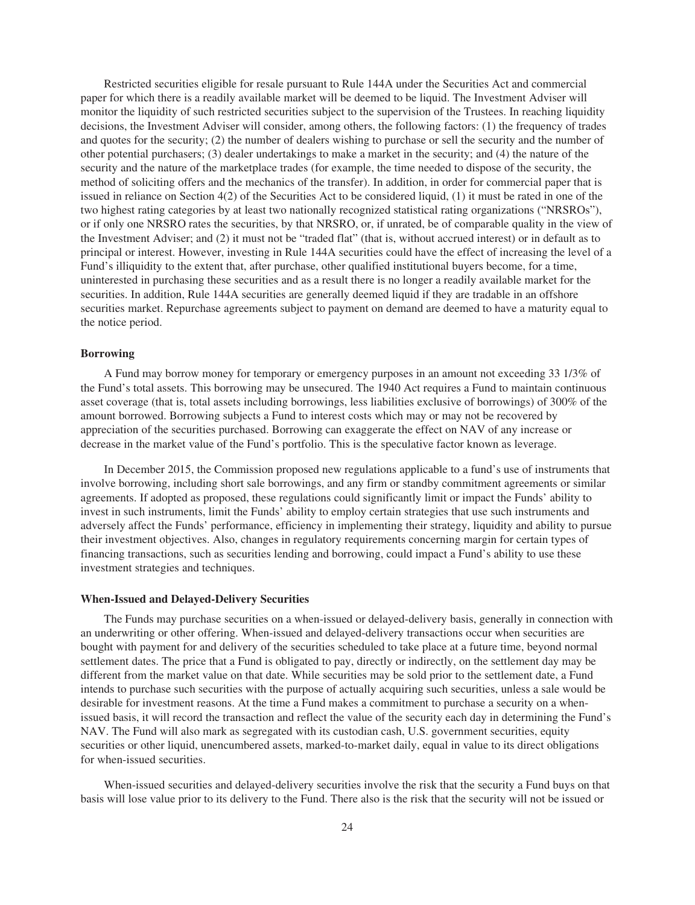Restricted securities eligible for resale pursuant to Rule 144A under the Securities Act and commercial paper for which there is a readily available market will be deemed to be liquid. The Investment Adviser will monitor the liquidity of such restricted securities subject to the supervision of the Trustees. In reaching liquidity decisions, the Investment Adviser will consider, among others, the following factors: (1) the frequency of trades and quotes for the security; (2) the number of dealers wishing to purchase or sell the security and the number of other potential purchasers; (3) dealer undertakings to make a market in the security; and (4) the nature of the security and the nature of the marketplace trades (for example, the time needed to dispose of the security, the method of soliciting offers and the mechanics of the transfer). In addition, in order for commercial paper that is issued in reliance on Section 4(2) of the Securities Act to be considered liquid, (1) it must be rated in one of the two highest rating categories by at least two nationally recognized statistical rating organizations ("NRSROs"), or if only one NRSRO rates the securities, by that NRSRO, or, if unrated, be of comparable quality in the view of the Investment Adviser; and (2) it must not be "traded flat" (that is, without accrued interest) or in default as to principal or interest. However, investing in Rule 144A securities could have the effect of increasing the level of a Fund's illiquidity to the extent that, after purchase, other qualified institutional buyers become, for a time, uninterested in purchasing these securities and as a result there is no longer a readily available market for the securities. In addition, Rule 144A securities are generally deemed liquid if they are tradable in an offshore securities market. Repurchase agreements subject to payment on demand are deemed to have a maturity equal to the notice period.

## **Borrowing**

A Fund may borrow money for temporary or emergency purposes in an amount not exceeding 33 1/3% of the Fund's total assets. This borrowing may be unsecured. The 1940 Act requires a Fund to maintain continuous asset coverage (that is, total assets including borrowings, less liabilities exclusive of borrowings) of 300% of the amount borrowed. Borrowing subjects a Fund to interest costs which may or may not be recovered by appreciation of the securities purchased. Borrowing can exaggerate the effect on NAV of any increase or decrease in the market value of the Fund's portfolio. This is the speculative factor known as leverage.

In December 2015, the Commission proposed new regulations applicable to a fund's use of instruments that involve borrowing, including short sale borrowings, and any firm or standby commitment agreements or similar agreements. If adopted as proposed, these regulations could significantly limit or impact the Funds' ability to invest in such instruments, limit the Funds' ability to employ certain strategies that use such instruments and adversely affect the Funds' performance, efficiency in implementing their strategy, liquidity and ability to pursue their investment objectives. Also, changes in regulatory requirements concerning margin for certain types of financing transactions, such as securities lending and borrowing, could impact a Fund's ability to use these investment strategies and techniques.

#### **When-Issued and Delayed-Delivery Securities**

The Funds may purchase securities on a when-issued or delayed-delivery basis, generally in connection with an underwriting or other offering. When-issued and delayed-delivery transactions occur when securities are bought with payment for and delivery of the securities scheduled to take place at a future time, beyond normal settlement dates. The price that a Fund is obligated to pay, directly or indirectly, on the settlement day may be different from the market value on that date. While securities may be sold prior to the settlement date, a Fund intends to purchase such securities with the purpose of actually acquiring such securities, unless a sale would be desirable for investment reasons. At the time a Fund makes a commitment to purchase a security on a whenissued basis, it will record the transaction and reflect the value of the security each day in determining the Fund's NAV. The Fund will also mark as segregated with its custodian cash, U.S. government securities, equity securities or other liquid, unencumbered assets, marked-to-market daily, equal in value to its direct obligations for when-issued securities.

When-issued securities and delayed-delivery securities involve the risk that the security a Fund buys on that basis will lose value prior to its delivery to the Fund. There also is the risk that the security will not be issued or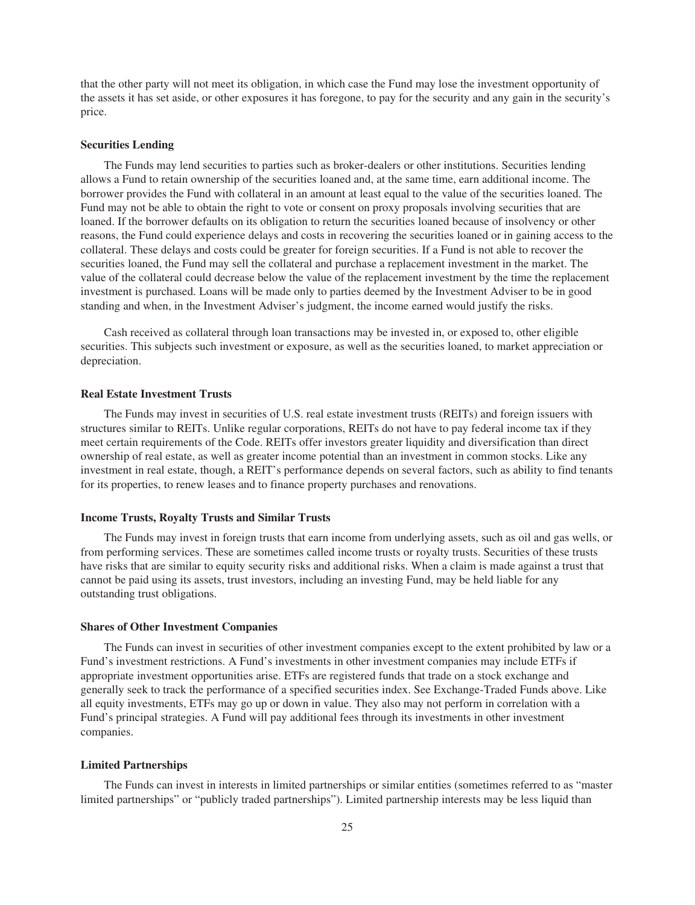that the other party will not meet its obligation, in which case the Fund may lose the investment opportunity of the assets it has set aside, or other exposures it has foregone, to pay for the security and any gain in the security's price.

#### **Securities Lending**

The Funds may lend securities to parties such as broker-dealers or other institutions. Securities lending allows a Fund to retain ownership of the securities loaned and, at the same time, earn additional income. The borrower provides the Fund with collateral in an amount at least equal to the value of the securities loaned. The Fund may not be able to obtain the right to vote or consent on proxy proposals involving securities that are loaned. If the borrower defaults on its obligation to return the securities loaned because of insolvency or other reasons, the Fund could experience delays and costs in recovering the securities loaned or in gaining access to the collateral. These delays and costs could be greater for foreign securities. If a Fund is not able to recover the securities loaned, the Fund may sell the collateral and purchase a replacement investment in the market. The value of the collateral could decrease below the value of the replacement investment by the time the replacement investment is purchased. Loans will be made only to parties deemed by the Investment Adviser to be in good standing and when, in the Investment Adviser's judgment, the income earned would justify the risks.

Cash received as collateral through loan transactions may be invested in, or exposed to, other eligible securities. This subjects such investment or exposure, as well as the securities loaned, to market appreciation or depreciation.

## **Real Estate Investment Trusts**

The Funds may invest in securities of U.S. real estate investment trusts (REITs) and foreign issuers with structures similar to REITs. Unlike regular corporations, REITs do not have to pay federal income tax if they meet certain requirements of the Code. REITs offer investors greater liquidity and diversification than direct ownership of real estate, as well as greater income potential than an investment in common stocks. Like any investment in real estate, though, a REIT's performance depends on several factors, such as ability to find tenants for its properties, to renew leases and to finance property purchases and renovations.

# **Income Trusts, Royalty Trusts and Similar Trusts**

The Funds may invest in foreign trusts that earn income from underlying assets, such as oil and gas wells, or from performing services. These are sometimes called income trusts or royalty trusts. Securities of these trusts have risks that are similar to equity security risks and additional risks. When a claim is made against a trust that cannot be paid using its assets, trust investors, including an investing Fund, may be held liable for any outstanding trust obligations.

## **Shares of Other Investment Companies**

The Funds can invest in securities of other investment companies except to the extent prohibited by law or a Fund's investment restrictions. A Fund's investments in other investment companies may include ETFs if appropriate investment opportunities arise. ETFs are registered funds that trade on a stock exchange and generally seek to track the performance of a specified securities index. See Exchange-Traded Funds above. Like all equity investments, ETFs may go up or down in value. They also may not perform in correlation with a Fund's principal strategies. A Fund will pay additional fees through its investments in other investment companies.

## **Limited Partnerships**

The Funds can invest in interests in limited partnerships or similar entities (sometimes referred to as "master limited partnerships" or "publicly traded partnerships"). Limited partnership interests may be less liquid than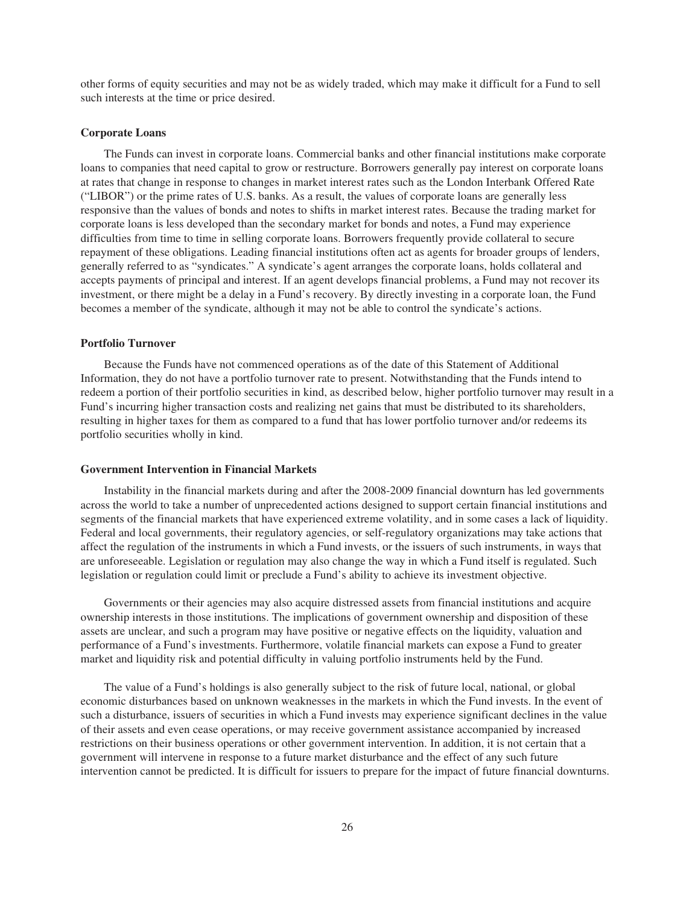other forms of equity securities and may not be as widely traded, which may make it difficult for a Fund to sell such interests at the time or price desired.

#### **Corporate Loans**

The Funds can invest in corporate loans. Commercial banks and other financial institutions make corporate loans to companies that need capital to grow or restructure. Borrowers generally pay interest on corporate loans at rates that change in response to changes in market interest rates such as the London Interbank Offered Rate ("LIBOR") or the prime rates of U.S. banks. As a result, the values of corporate loans are generally less responsive than the values of bonds and notes to shifts in market interest rates. Because the trading market for corporate loans is less developed than the secondary market for bonds and notes, a Fund may experience difficulties from time to time in selling corporate loans. Borrowers frequently provide collateral to secure repayment of these obligations. Leading financial institutions often act as agents for broader groups of lenders, generally referred to as "syndicates." A syndicate's agent arranges the corporate loans, holds collateral and accepts payments of principal and interest. If an agent develops financial problems, a Fund may not recover its investment, or there might be a delay in a Fund's recovery. By directly investing in a corporate loan, the Fund becomes a member of the syndicate, although it may not be able to control the syndicate's actions.

#### **Portfolio Turnover**

Because the Funds have not commenced operations as of the date of this Statement of Additional Information, they do not have a portfolio turnover rate to present. Notwithstanding that the Funds intend to redeem a portion of their portfolio securities in kind, as described below, higher portfolio turnover may result in a Fund's incurring higher transaction costs and realizing net gains that must be distributed to its shareholders, resulting in higher taxes for them as compared to a fund that has lower portfolio turnover and/or redeems its portfolio securities wholly in kind.

#### **Government Intervention in Financial Markets**

Instability in the financial markets during and after the 2008-2009 financial downturn has led governments across the world to take a number of unprecedented actions designed to support certain financial institutions and segments of the financial markets that have experienced extreme volatility, and in some cases a lack of liquidity. Federal and local governments, their regulatory agencies, or self-regulatory organizations may take actions that affect the regulation of the instruments in which a Fund invests, or the issuers of such instruments, in ways that are unforeseeable. Legislation or regulation may also change the way in which a Fund itself is regulated. Such legislation or regulation could limit or preclude a Fund's ability to achieve its investment objective.

Governments or their agencies may also acquire distressed assets from financial institutions and acquire ownership interests in those institutions. The implications of government ownership and disposition of these assets are unclear, and such a program may have positive or negative effects on the liquidity, valuation and performance of a Fund's investments. Furthermore, volatile financial markets can expose a Fund to greater market and liquidity risk and potential difficulty in valuing portfolio instruments held by the Fund.

The value of a Fund's holdings is also generally subject to the risk of future local, national, or global economic disturbances based on unknown weaknesses in the markets in which the Fund invests. In the event of such a disturbance, issuers of securities in which a Fund invests may experience significant declines in the value of their assets and even cease operations, or may receive government assistance accompanied by increased restrictions on their business operations or other government intervention. In addition, it is not certain that a government will intervene in response to a future market disturbance and the effect of any such future intervention cannot be predicted. It is difficult for issuers to prepare for the impact of future financial downturns.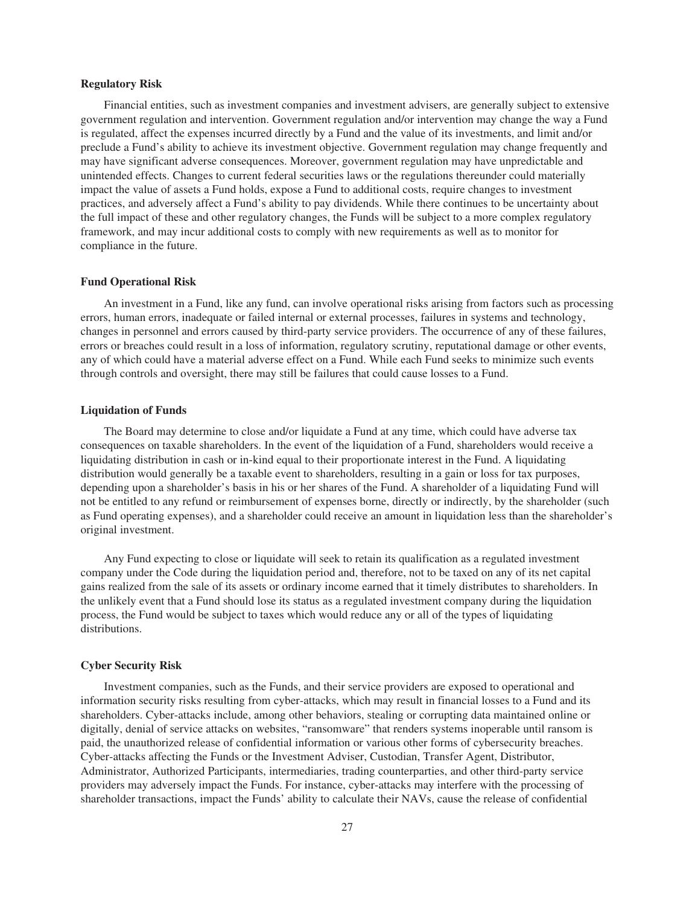## **Regulatory Risk**

Financial entities, such as investment companies and investment advisers, are generally subject to extensive government regulation and intervention. Government regulation and/or intervention may change the way a Fund is regulated, affect the expenses incurred directly by a Fund and the value of its investments, and limit and/or preclude a Fund's ability to achieve its investment objective. Government regulation may change frequently and may have significant adverse consequences. Moreover, government regulation may have unpredictable and unintended effects. Changes to current federal securities laws or the regulations thereunder could materially impact the value of assets a Fund holds, expose a Fund to additional costs, require changes to investment practices, and adversely affect a Fund's ability to pay dividends. While there continues to be uncertainty about the full impact of these and other regulatory changes, the Funds will be subject to a more complex regulatory framework, and may incur additional costs to comply with new requirements as well as to monitor for compliance in the future.

#### **Fund Operational Risk**

An investment in a Fund, like any fund, can involve operational risks arising from factors such as processing errors, human errors, inadequate or failed internal or external processes, failures in systems and technology, changes in personnel and errors caused by third-party service providers. The occurrence of any of these failures, errors or breaches could result in a loss of information, regulatory scrutiny, reputational damage or other events, any of which could have a material adverse effect on a Fund. While each Fund seeks to minimize such events through controls and oversight, there may still be failures that could cause losses to a Fund.

#### **Liquidation of Funds**

The Board may determine to close and/or liquidate a Fund at any time, which could have adverse tax consequences on taxable shareholders. In the event of the liquidation of a Fund, shareholders would receive a liquidating distribution in cash or in-kind equal to their proportionate interest in the Fund. A liquidating distribution would generally be a taxable event to shareholders, resulting in a gain or loss for tax purposes, depending upon a shareholder's basis in his or her shares of the Fund. A shareholder of a liquidating Fund will not be entitled to any refund or reimbursement of expenses borne, directly or indirectly, by the shareholder (such as Fund operating expenses), and a shareholder could receive an amount in liquidation less than the shareholder's original investment.

Any Fund expecting to close or liquidate will seek to retain its qualification as a regulated investment company under the Code during the liquidation period and, therefore, not to be taxed on any of its net capital gains realized from the sale of its assets or ordinary income earned that it timely distributes to shareholders. In the unlikely event that a Fund should lose its status as a regulated investment company during the liquidation process, the Fund would be subject to taxes which would reduce any or all of the types of liquidating distributions.

#### **Cyber Security Risk**

Investment companies, such as the Funds, and their service providers are exposed to operational and information security risks resulting from cyber-attacks, which may result in financial losses to a Fund and its shareholders. Cyber-attacks include, among other behaviors, stealing or corrupting data maintained online or digitally, denial of service attacks on websites, "ransomware" that renders systems inoperable until ransom is paid, the unauthorized release of confidential information or various other forms of cybersecurity breaches. Cyber-attacks affecting the Funds or the Investment Adviser, Custodian, Transfer Agent, Distributor, Administrator, Authorized Participants, intermediaries, trading counterparties, and other third-party service providers may adversely impact the Funds. For instance, cyber-attacks may interfere with the processing of shareholder transactions, impact the Funds' ability to calculate their NAVs, cause the release of confidential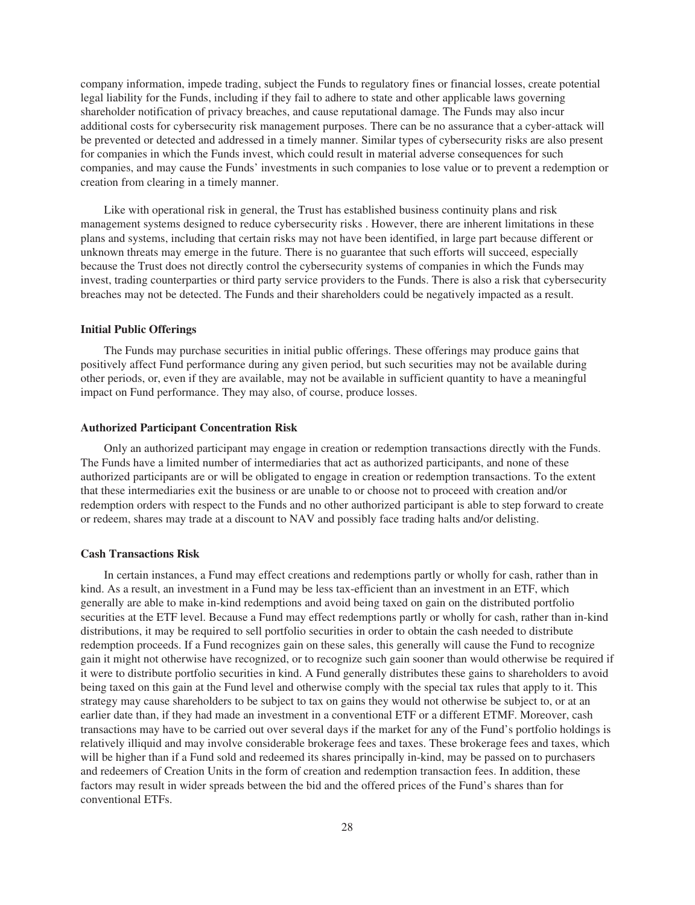company information, impede trading, subject the Funds to regulatory fines or financial losses, create potential legal liability for the Funds, including if they fail to adhere to state and other applicable laws governing shareholder notification of privacy breaches, and cause reputational damage. The Funds may also incur additional costs for cybersecurity risk management purposes. There can be no assurance that a cyber-attack will be prevented or detected and addressed in a timely manner. Similar types of cybersecurity risks are also present for companies in which the Funds invest, which could result in material adverse consequences for such companies, and may cause the Funds' investments in such companies to lose value or to prevent a redemption or creation from clearing in a timely manner.

Like with operational risk in general, the Trust has established business continuity plans and risk management systems designed to reduce cybersecurity risks . However, there are inherent limitations in these plans and systems, including that certain risks may not have been identified, in large part because different or unknown threats may emerge in the future. There is no guarantee that such efforts will succeed, especially because the Trust does not directly control the cybersecurity systems of companies in which the Funds may invest, trading counterparties or third party service providers to the Funds. There is also a risk that cybersecurity breaches may not be detected. The Funds and their shareholders could be negatively impacted as a result.

## **Initial Public Offerings**

The Funds may purchase securities in initial public offerings. These offerings may produce gains that positively affect Fund performance during any given period, but such securities may not be available during other periods, or, even if they are available, may not be available in sufficient quantity to have a meaningful impact on Fund performance. They may also, of course, produce losses.

#### **Authorized Participant Concentration Risk**

Only an authorized participant may engage in creation or redemption transactions directly with the Funds. The Funds have a limited number of intermediaries that act as authorized participants, and none of these authorized participants are or will be obligated to engage in creation or redemption transactions. To the extent that these intermediaries exit the business or are unable to or choose not to proceed with creation and/or redemption orders with respect to the Funds and no other authorized participant is able to step forward to create or redeem, shares may trade at a discount to NAV and possibly face trading halts and/or delisting.

#### **Cash Transactions Risk**

In certain instances, a Fund may effect creations and redemptions partly or wholly for cash, rather than in kind. As a result, an investment in a Fund may be less tax-efficient than an investment in an ETF, which generally are able to make in-kind redemptions and avoid being taxed on gain on the distributed portfolio securities at the ETF level. Because a Fund may effect redemptions partly or wholly for cash, rather than in-kind distributions, it may be required to sell portfolio securities in order to obtain the cash needed to distribute redemption proceeds. If a Fund recognizes gain on these sales, this generally will cause the Fund to recognize gain it might not otherwise have recognized, or to recognize such gain sooner than would otherwise be required if it were to distribute portfolio securities in kind. A Fund generally distributes these gains to shareholders to avoid being taxed on this gain at the Fund level and otherwise comply with the special tax rules that apply to it. This strategy may cause shareholders to be subject to tax on gains they would not otherwise be subject to, or at an earlier date than, if they had made an investment in a conventional ETF or a different ETMF. Moreover, cash transactions may have to be carried out over several days if the market for any of the Fund's portfolio holdings is relatively illiquid and may involve considerable brokerage fees and taxes. These brokerage fees and taxes, which will be higher than if a Fund sold and redeemed its shares principally in-kind, may be passed on to purchasers and redeemers of Creation Units in the form of creation and redemption transaction fees. In addition, these factors may result in wider spreads between the bid and the offered prices of the Fund's shares than for conventional ETFs.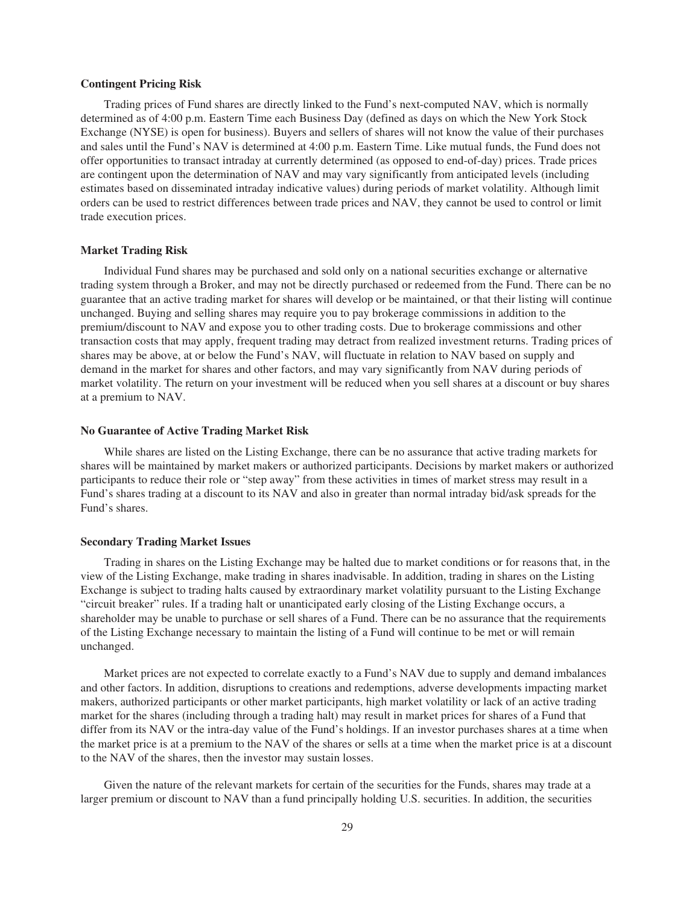#### **Contingent Pricing Risk**

Trading prices of Fund shares are directly linked to the Fund's next-computed NAV, which is normally determined as of 4:00 p.m. Eastern Time each Business Day (defined as days on which the New York Stock Exchange (NYSE) is open for business). Buyers and sellers of shares will not know the value of their purchases and sales until the Fund's NAV is determined at 4:00 p.m. Eastern Time. Like mutual funds, the Fund does not offer opportunities to transact intraday at currently determined (as opposed to end-of-day) prices. Trade prices are contingent upon the determination of NAV and may vary significantly from anticipated levels (including estimates based on disseminated intraday indicative values) during periods of market volatility. Although limit orders can be used to restrict differences between trade prices and NAV, they cannot be used to control or limit trade execution prices.

### **Market Trading Risk**

Individual Fund shares may be purchased and sold only on a national securities exchange or alternative trading system through a Broker, and may not be directly purchased or redeemed from the Fund. There can be no guarantee that an active trading market for shares will develop or be maintained, or that their listing will continue unchanged. Buying and selling shares may require you to pay brokerage commissions in addition to the premium/discount to NAV and expose you to other trading costs. Due to brokerage commissions and other transaction costs that may apply, frequent trading may detract from realized investment returns. Trading prices of shares may be above, at or below the Fund's NAV, will fluctuate in relation to NAV based on supply and demand in the market for shares and other factors, and may vary significantly from NAV during periods of market volatility. The return on your investment will be reduced when you sell shares at a discount or buy shares at a premium to NAV.

## **No Guarantee of Active Trading Market Risk**

While shares are listed on the Listing Exchange, there can be no assurance that active trading markets for shares will be maintained by market makers or authorized participants. Decisions by market makers or authorized participants to reduce their role or "step away" from these activities in times of market stress may result in a Fund's shares trading at a discount to its NAV and also in greater than normal intraday bid/ask spreads for the Fund's shares.

#### **Secondary Trading Market Issues**

Trading in shares on the Listing Exchange may be halted due to market conditions or for reasons that, in the view of the Listing Exchange, make trading in shares inadvisable. In addition, trading in shares on the Listing Exchange is subject to trading halts caused by extraordinary market volatility pursuant to the Listing Exchange "circuit breaker" rules. If a trading halt or unanticipated early closing of the Listing Exchange occurs, a shareholder may be unable to purchase or sell shares of a Fund. There can be no assurance that the requirements of the Listing Exchange necessary to maintain the listing of a Fund will continue to be met or will remain unchanged.

Market prices are not expected to correlate exactly to a Fund's NAV due to supply and demand imbalances and other factors. In addition, disruptions to creations and redemptions, adverse developments impacting market makers, authorized participants or other market participants, high market volatility or lack of an active trading market for the shares (including through a trading halt) may result in market prices for shares of a Fund that differ from its NAV or the intra-day value of the Fund's holdings. If an investor purchases shares at a time when the market price is at a premium to the NAV of the shares or sells at a time when the market price is at a discount to the NAV of the shares, then the investor may sustain losses.

Given the nature of the relevant markets for certain of the securities for the Funds, shares may trade at a larger premium or discount to NAV than a fund principally holding U.S. securities. In addition, the securities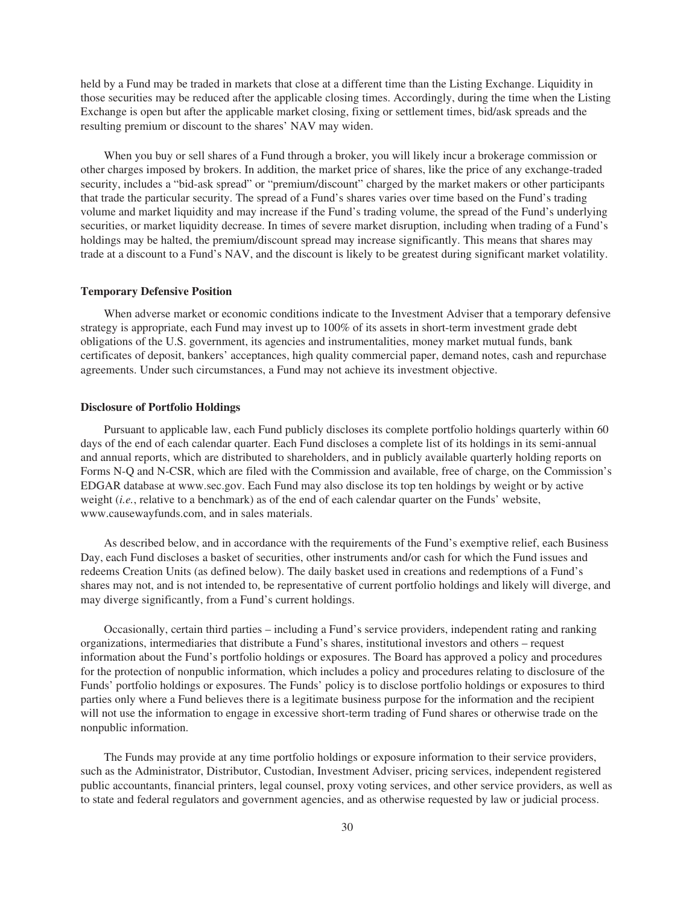held by a Fund may be traded in markets that close at a different time than the Listing Exchange. Liquidity in those securities may be reduced after the applicable closing times. Accordingly, during the time when the Listing Exchange is open but after the applicable market closing, fixing or settlement times, bid/ask spreads and the resulting premium or discount to the shares' NAV may widen.

When you buy or sell shares of a Fund through a broker, you will likely incur a brokerage commission or other charges imposed by brokers. In addition, the market price of shares, like the price of any exchange-traded security, includes a "bid-ask spread" or "premium/discount" charged by the market makers or other participants that trade the particular security. The spread of a Fund's shares varies over time based on the Fund's trading volume and market liquidity and may increase if the Fund's trading volume, the spread of the Fund's underlying securities, or market liquidity decrease. In times of severe market disruption, including when trading of a Fund's holdings may be halted, the premium/discount spread may increase significantly. This means that shares may trade at a discount to a Fund's NAV, and the discount is likely to be greatest during significant market volatility.

#### **Temporary Defensive Position**

When adverse market or economic conditions indicate to the Investment Adviser that a temporary defensive strategy is appropriate, each Fund may invest up to 100% of its assets in short-term investment grade debt obligations of the U.S. government, its agencies and instrumentalities, money market mutual funds, bank certificates of deposit, bankers' acceptances, high quality commercial paper, demand notes, cash and repurchase agreements. Under such circumstances, a Fund may not achieve its investment objective.

#### **Disclosure of Portfolio Holdings**

Pursuant to applicable law, each Fund publicly discloses its complete portfolio holdings quarterly within 60 days of the end of each calendar quarter. Each Fund discloses a complete list of its holdings in its semi-annual and annual reports, which are distributed to shareholders, and in publicly available quarterly holding reports on Forms N-Q and N-CSR, which are filed with the Commission and available, free of charge, on the Commission's EDGAR database at www.sec.gov. Each Fund may also disclose its top ten holdings by weight or by active weight (*i.e.*, relative to a benchmark) as of the end of each calendar quarter on the Funds' website, www.causewayfunds.com, and in sales materials.

As described below, and in accordance with the requirements of the Fund's exemptive relief, each Business Day, each Fund discloses a basket of securities, other instruments and/or cash for which the Fund issues and redeems Creation Units (as defined below). The daily basket used in creations and redemptions of a Fund's shares may not, and is not intended to, be representative of current portfolio holdings and likely will diverge, and may diverge significantly, from a Fund's current holdings.

Occasionally, certain third parties – including a Fund's service providers, independent rating and ranking organizations, intermediaries that distribute a Fund's shares, institutional investors and others – request information about the Fund's portfolio holdings or exposures. The Board has approved a policy and procedures for the protection of nonpublic information, which includes a policy and procedures relating to disclosure of the Funds' portfolio holdings or exposures. The Funds' policy is to disclose portfolio holdings or exposures to third parties only where a Fund believes there is a legitimate business purpose for the information and the recipient will not use the information to engage in excessive short-term trading of Fund shares or otherwise trade on the nonpublic information.

The Funds may provide at any time portfolio holdings or exposure information to their service providers, such as the Administrator, Distributor, Custodian, Investment Adviser, pricing services, independent registered public accountants, financial printers, legal counsel, proxy voting services, and other service providers, as well as to state and federal regulators and government agencies, and as otherwise requested by law or judicial process.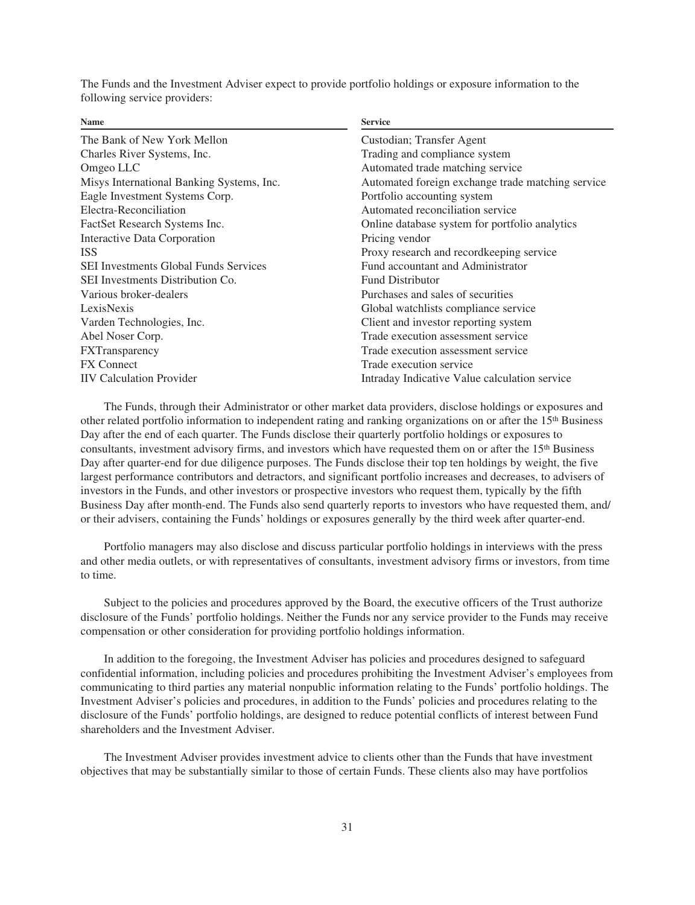The Funds and the Investment Adviser expect to provide portfolio holdings or exposure information to the following service providers:

| <b>Name</b>                                  | <b>Service</b>                                    |  |  |
|----------------------------------------------|---------------------------------------------------|--|--|
| The Bank of New York Mellon                  | Custodian; Transfer Agent                         |  |  |
| Charles River Systems, Inc.                  | Trading and compliance system                     |  |  |
| Omgeo LLC                                    | Automated trade matching service                  |  |  |
| Misys International Banking Systems, Inc.    | Automated foreign exchange trade matching service |  |  |
| Eagle Investment Systems Corp.               | Portfolio accounting system                       |  |  |
| Electra-Reconciliation                       | Automated reconciliation service                  |  |  |
| FactSet Research Systems Inc.                | Online database system for portfolio analytics    |  |  |
| Interactive Data Corporation                 | Pricing vendor                                    |  |  |
| <b>ISS</b>                                   | Proxy research and recordkeeping service          |  |  |
| <b>SEI Investments Global Funds Services</b> | Fund accountant and Administrator                 |  |  |
| SEI Investments Distribution Co.             | <b>Fund Distributor</b>                           |  |  |
| Various broker-dealers                       | Purchases and sales of securities                 |  |  |
| LexisNexis                                   | Global watchlists compliance service              |  |  |
| Varden Technologies, Inc.                    | Client and investor reporting system              |  |  |
| Abel Noser Corp.                             | Trade execution assessment service                |  |  |
| <b>FXTransparency</b>                        | Trade execution assessment service                |  |  |
| <b>FX</b> Connect                            | Trade execution service                           |  |  |
| <b>IIV</b> Calculation Provider              | Intraday Indicative Value calculation service     |  |  |
|                                              |                                                   |  |  |

The Funds, through their Administrator or other market data providers, disclose holdings or exposures and other related portfolio information to independent rating and ranking organizations on or after the 15<sup>th</sup> Business Day after the end of each quarter. The Funds disclose their quarterly portfolio holdings or exposures to consultants, investment advisory firms, and investors which have requested them on or after the 15<sup>th</sup> Business Day after quarter-end for due diligence purposes. The Funds disclose their top ten holdings by weight, the five largest performance contributors and detractors, and significant portfolio increases and decreases, to advisers of investors in the Funds, and other investors or prospective investors who request them, typically by the fifth Business Day after month-end. The Funds also send quarterly reports to investors who have requested them, and/ or their advisers, containing the Funds' holdings or exposures generally by the third week after quarter-end.

Portfolio managers may also disclose and discuss particular portfolio holdings in interviews with the press and other media outlets, or with representatives of consultants, investment advisory firms or investors, from time to time.

Subject to the policies and procedures approved by the Board, the executive officers of the Trust authorize disclosure of the Funds' portfolio holdings. Neither the Funds nor any service provider to the Funds may receive compensation or other consideration for providing portfolio holdings information.

In addition to the foregoing, the Investment Adviser has policies and procedures designed to safeguard confidential information, including policies and procedures prohibiting the Investment Adviser's employees from communicating to third parties any material nonpublic information relating to the Funds' portfolio holdings. The Investment Adviser's policies and procedures, in addition to the Funds' policies and procedures relating to the disclosure of the Funds' portfolio holdings, are designed to reduce potential conflicts of interest between Fund shareholders and the Investment Adviser.

The Investment Adviser provides investment advice to clients other than the Funds that have investment objectives that may be substantially similar to those of certain Funds. These clients also may have portfolios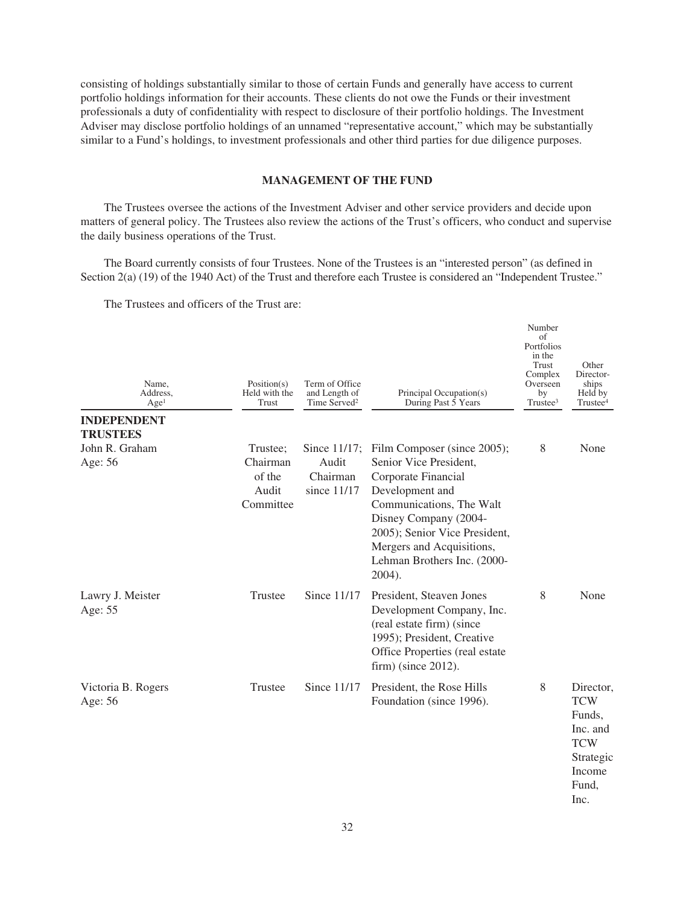consisting of holdings substantially similar to those of certain Funds and generally have access to current portfolio holdings information for their accounts. These clients do not owe the Funds or their investment professionals a duty of confidentiality with respect to disclosure of their portfolio holdings. The Investment Adviser may disclose portfolio holdings of an unnamed "representative account," which may be substantially similar to a Fund's holdings, to investment professionals and other third parties for due diligence purposes.

## **MANAGEMENT OF THE FUND**

The Trustees oversee the actions of the Investment Adviser and other service providers and decide upon matters of general policy. The Trustees also review the actions of the Trust's officers, who conduct and supervise the daily business operations of the Trust.

The Board currently consists of four Trustees. None of the Trustees is an "interested person" (as defined in Section 2(a) (19) of the 1940 Act) of the Trust and therefore each Trustee is considered an "Independent Trustee."

The Trustees and officers of the Trust are:

| Name,<br>Address.<br>Age <sup>1</sup> | Position(s)<br>Held with the<br>Trust                | Term of Office<br>and Length of<br>Time Served <sup>2</sup> | Principal Occupation(s)<br>During Past 5 Years                                                                                                                                                                                                              | Number<br>of<br>Portfolios<br>in the<br>Trust<br>Complex<br>Overseen<br>bv<br>Trustee <sup>3</sup> | Other<br>Director-<br>ships<br>Held by<br>Trustee <sup>4</sup>                                      |
|---------------------------------------|------------------------------------------------------|-------------------------------------------------------------|-------------------------------------------------------------------------------------------------------------------------------------------------------------------------------------------------------------------------------------------------------------|----------------------------------------------------------------------------------------------------|-----------------------------------------------------------------------------------------------------|
| <b>INDEPENDENT</b>                    |                                                      |                                                             |                                                                                                                                                                                                                                                             |                                                                                                    |                                                                                                     |
| TRUSTEES<br>John R. Graham<br>Age: 56 | Trustee:<br>Chairman<br>of the<br>Audit<br>Committee | Since 11/17;<br>Audit<br>Chairman<br>since $11/17$          | Film Composer (since 2005);<br>Senior Vice President,<br>Corporate Financial<br>Development and<br>Communications, The Walt<br>Disney Company (2004-<br>2005); Senior Vice President,<br>Mergers and Acquisitions,<br>Lehman Brothers Inc. (2000-<br>2004). | 8                                                                                                  | None                                                                                                |
| Lawry J. Meister<br>Age: 55           | Trustee                                              | Since 11/17                                                 | President, Steaven Jones<br>Development Company, Inc.<br>(real estate firm) (since<br>1995); President, Creative<br>Office Properties (real estate<br>$firm)$ (since 2012).                                                                                 | 8                                                                                                  | None                                                                                                |
| Victoria B. Rogers<br>Age: 56         | Trustee                                              | Since 11/17                                                 | President, the Rose Hills<br>Foundation (since 1996).                                                                                                                                                                                                       | 8                                                                                                  | Director,<br><b>TCW</b><br>Funds,<br>Inc. and<br><b>TCW</b><br>Strategic<br>Income<br>Fund,<br>Inc. |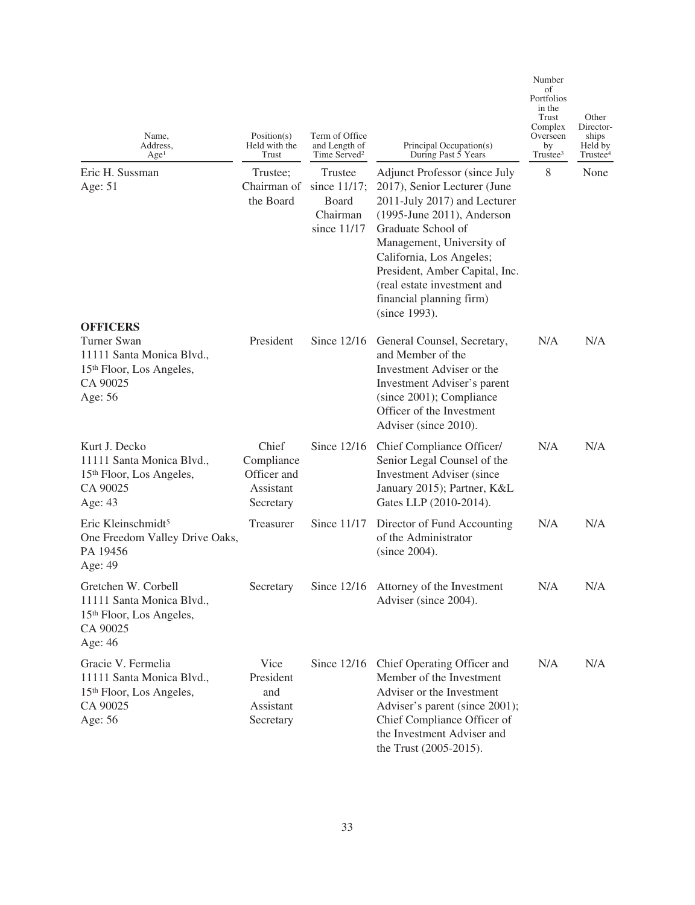| Name,<br>Address,<br>Age <sup>1</sup>                                                                           | Position(s)<br>Held with the<br><b>Trust</b>                 | Term of Office<br>and Length of<br>Time Served <sup>2</sup> | Principal Occupation(s)<br>During Past 5 Years                                                                                                                                                                                                                                                                                            | of<br>Portfolios<br>in the<br><b>Trust</b><br>Complex<br>Overseen<br>by<br>Trustee <sup>3</sup> | Other<br>Director-<br>ships<br>Held by<br>Trustee <sup>4</sup> |
|-----------------------------------------------------------------------------------------------------------------|--------------------------------------------------------------|-------------------------------------------------------------|-------------------------------------------------------------------------------------------------------------------------------------------------------------------------------------------------------------------------------------------------------------------------------------------------------------------------------------------|-------------------------------------------------------------------------------------------------|----------------------------------------------------------------|
| Eric H. Sussman<br>Age: 51                                                                                      | Trustee;<br>Chairman of<br>the Board                         | Trustee<br>since 11/17;<br>Board<br>Chairman<br>since 11/17 | <b>Adjunct Professor (since July</b><br>2017), Senior Lecturer (June<br>2011-July 2017) and Lecturer<br>$(1995\text{-June }2011)$ , Anderson<br>Graduate School of<br>Management, University of<br>California, Los Angeles;<br>President, Amber Capital, Inc.<br>(real estate investment and<br>financial planning firm)<br>(since 1993). | 8                                                                                               | None                                                           |
| <b>OFFICERS</b>                                                                                                 |                                                              |                                                             |                                                                                                                                                                                                                                                                                                                                           |                                                                                                 |                                                                |
| <b>Turner Swan</b><br>11111 Santa Monica Blvd.,<br>15 <sup>th</sup> Floor, Los Angeles,<br>CA 90025<br>Age: 56  | President                                                    | Since $12/16$                                               | General Counsel, Secretary,<br>and Member of the<br>Investment Adviser or the<br>Investment Adviser's parent<br>(since 2001); Compliance<br>Officer of the Investment<br>Adviser (since 2010).                                                                                                                                            | N/A                                                                                             | N/A                                                            |
| Kurt J. Decko<br>11111 Santa Monica Blvd.,<br>15 <sup>th</sup> Floor, Los Angeles,<br>CA 90025<br>Age: 43       | Chief<br>Compliance<br>Officer and<br>Assistant<br>Secretary | Since $12/16$                                               | Chief Compliance Officer/<br>Senior Legal Counsel of the<br><b>Investment Adviser</b> (since<br>January 2015); Partner, K&L<br>Gates LLP (2010-2014).                                                                                                                                                                                     | N/A                                                                                             | N/A                                                            |
| Eric Kleinschmidt <sup>5</sup><br>One Freedom Valley Drive Oaks,<br>PA 19456<br>Age: 49                         | Treasurer                                                    | Since 11/17                                                 | Director of Fund Accounting<br>of the Administrator<br>(since 2004).                                                                                                                                                                                                                                                                      | N/A                                                                                             | N/A                                                            |
| Gretchen W. Corbell<br>11111 Santa Monica Blvd.,<br>15 <sup>th</sup> Floor, Los Angeles,<br>CA 90025<br>Age: 46 | Secretary                                                    | Since 12/16                                                 | Attorney of the Investment<br>Adviser (since 2004).                                                                                                                                                                                                                                                                                       | N/A                                                                                             | N/A                                                            |
| Gracie V. Fermelia<br>11111 Santa Monica Blvd.,<br>15 <sup>th</sup> Floor, Los Angeles,<br>CA 90025<br>Age: 56  | Vice<br>President<br>and<br>Assistant<br>Secretary           | Since $12/16$                                               | Chief Operating Officer and<br>Member of the Investment<br>Adviser or the Investment<br>Adviser's parent (since 2001);<br>Chief Compliance Officer of<br>the Investment Adviser and<br>the Trust (2005-2015).                                                                                                                             | N/A                                                                                             | N/A                                                            |

Number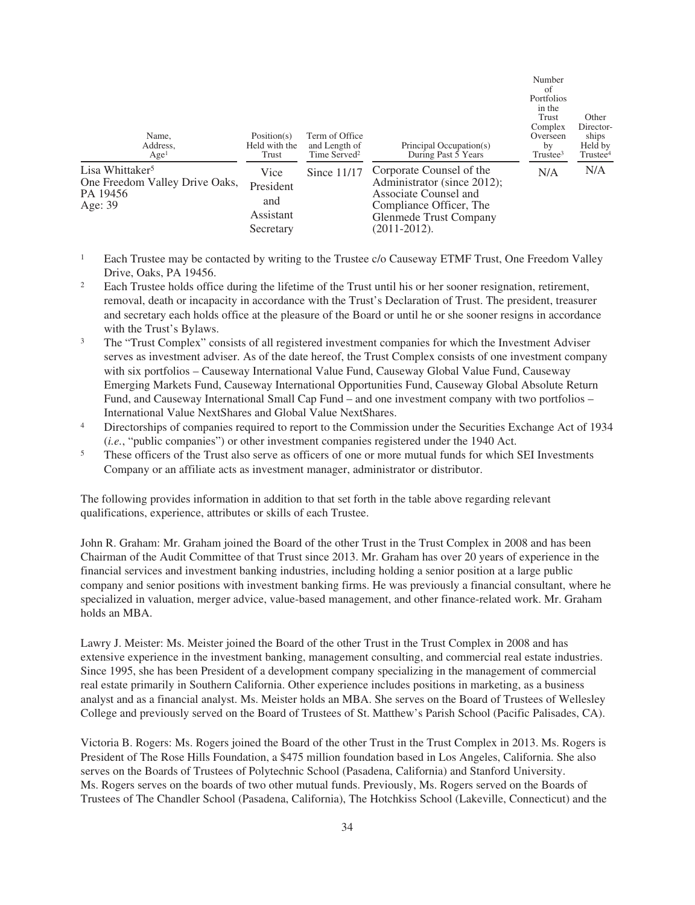| Name,<br>Address.<br>Age <sup>1</sup>                                                | Position(s)<br>Held with the<br>Trust              | Term of Office<br>and Length of<br>Time Served <sup>2</sup> | Principal Occupation(s)<br>During Past $\bar{5}$ Years                                                                                                     | Number<br>of<br>Portfolios<br>in the<br>Trust<br>Complex<br>Overseen<br>by<br>Trustee <sup>3</sup> | Other<br>Director-<br>ships<br>Held by<br>Trustee <sup>4</sup> |
|--------------------------------------------------------------------------------------|----------------------------------------------------|-------------------------------------------------------------|------------------------------------------------------------------------------------------------------------------------------------------------------------|----------------------------------------------------------------------------------------------------|----------------------------------------------------------------|
| Lisa Whittaker <sup>5</sup><br>One Freedom Valley Drive Oaks,<br>PA 19456<br>Age: 39 | Vice<br>President<br>and<br>Assistant<br>Secretary | Since $11/17$                                               | Corporate Counsel of the<br>Administrator (since 2012);<br>Associate Counsel and<br>Compliance Officer, The<br>Glenmede Trust Company<br>$(2011 - 2012)$ . | N/A                                                                                                | N/A                                                            |

- <sup>1</sup> Each Trustee may be contacted by writing to the Trustee c/o Causeway ETMF Trust, One Freedom Valley Drive, Oaks, PA 19456.
- <sup>2</sup> Each Trustee holds office during the lifetime of the Trust until his or her sooner resignation, retirement, removal, death or incapacity in accordance with the Trust's Declaration of Trust. The president, treasurer and secretary each holds office at the pleasure of the Board or until he or she sooner resigns in accordance with the Trust's Bylaws.
- <sup>3</sup> The "Trust Complex" consists of all registered investment companies for which the Investment Adviser serves as investment adviser. As of the date hereof, the Trust Complex consists of one investment company with six portfolios – Causeway International Value Fund, Causeway Global Value Fund, Causeway Emerging Markets Fund, Causeway International Opportunities Fund, Causeway Global Absolute Return Fund, and Causeway International Small Cap Fund – and one investment company with two portfolios – International Value NextShares and Global Value NextShares.
- <sup>4</sup> Directorships of companies required to report to the Commission under the Securities Exchange Act of 1934 (*i.e.*, "public companies") or other investment companies registered under the 1940 Act.
- <sup>5</sup> These officers of the Trust also serve as officers of one or more mutual funds for which SEI Investments Company or an affiliate acts as investment manager, administrator or distributor.

The following provides information in addition to that set forth in the table above regarding relevant qualifications, experience, attributes or skills of each Trustee.

John R. Graham: Mr. Graham joined the Board of the other Trust in the Trust Complex in 2008 and has been Chairman of the Audit Committee of that Trust since 2013. Mr. Graham has over 20 years of experience in the financial services and investment banking industries, including holding a senior position at a large public company and senior positions with investment banking firms. He was previously a financial consultant, where he specialized in valuation, merger advice, value-based management, and other finance-related work. Mr. Graham holds an MBA.

Lawry J. Meister: Ms. Meister joined the Board of the other Trust in the Trust Complex in 2008 and has extensive experience in the investment banking, management consulting, and commercial real estate industries. Since 1995, she has been President of a development company specializing in the management of commercial real estate primarily in Southern California. Other experience includes positions in marketing, as a business analyst and as a financial analyst. Ms. Meister holds an MBA. She serves on the Board of Trustees of Wellesley College and previously served on the Board of Trustees of St. Matthew's Parish School (Pacific Palisades, CA).

Victoria B. Rogers: Ms. Rogers joined the Board of the other Trust in the Trust Complex in 2013. Ms. Rogers is President of The Rose Hills Foundation, a \$475 million foundation based in Los Angeles, California. She also serves on the Boards of Trustees of Polytechnic School (Pasadena, California) and Stanford University. Ms. Rogers serves on the boards of two other mutual funds. Previously, Ms. Rogers served on the Boards of Trustees of The Chandler School (Pasadena, California), The Hotchkiss School (Lakeville, Connecticut) and the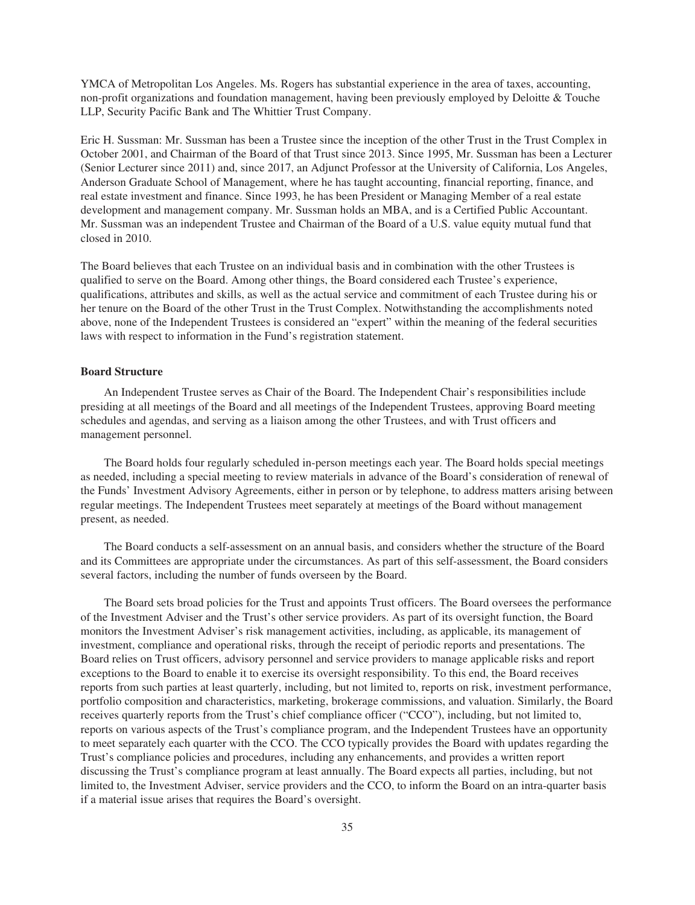YMCA of Metropolitan Los Angeles. Ms. Rogers has substantial experience in the area of taxes, accounting, non-profit organizations and foundation management, having been previously employed by Deloitte & Touche LLP, Security Pacific Bank and The Whittier Trust Company.

Eric H. Sussman: Mr. Sussman has been a Trustee since the inception of the other Trust in the Trust Complex in October 2001, and Chairman of the Board of that Trust since 2013. Since 1995, Mr. Sussman has been a Lecturer (Senior Lecturer since 2011) and, since 2017, an Adjunct Professor at the University of California, Los Angeles, Anderson Graduate School of Management, where he has taught accounting, financial reporting, finance, and real estate investment and finance. Since 1993, he has been President or Managing Member of a real estate development and management company. Mr. Sussman holds an MBA, and is a Certified Public Accountant. Mr. Sussman was an independent Trustee and Chairman of the Board of a U.S. value equity mutual fund that closed in 2010.

The Board believes that each Trustee on an individual basis and in combination with the other Trustees is qualified to serve on the Board. Among other things, the Board considered each Trustee's experience, qualifications, attributes and skills, as well as the actual service and commitment of each Trustee during his or her tenure on the Board of the other Trust in the Trust Complex. Notwithstanding the accomplishments noted above, none of the Independent Trustees is considered an "expert" within the meaning of the federal securities laws with respect to information in the Fund's registration statement.

# **Board Structure**

An Independent Trustee serves as Chair of the Board. The Independent Chair's responsibilities include presiding at all meetings of the Board and all meetings of the Independent Trustees, approving Board meeting schedules and agendas, and serving as a liaison among the other Trustees, and with Trust officers and management personnel.

The Board holds four regularly scheduled in-person meetings each year. The Board holds special meetings as needed, including a special meeting to review materials in advance of the Board's consideration of renewal of the Funds' Investment Advisory Agreements, either in person or by telephone, to address matters arising between regular meetings. The Independent Trustees meet separately at meetings of the Board without management present, as needed.

The Board conducts a self-assessment on an annual basis, and considers whether the structure of the Board and its Committees are appropriate under the circumstances. As part of this self-assessment, the Board considers several factors, including the number of funds overseen by the Board.

The Board sets broad policies for the Trust and appoints Trust officers. The Board oversees the performance of the Investment Adviser and the Trust's other service providers. As part of its oversight function, the Board monitors the Investment Adviser's risk management activities, including, as applicable, its management of investment, compliance and operational risks, through the receipt of periodic reports and presentations. The Board relies on Trust officers, advisory personnel and service providers to manage applicable risks and report exceptions to the Board to enable it to exercise its oversight responsibility. To this end, the Board receives reports from such parties at least quarterly, including, but not limited to, reports on risk, investment performance, portfolio composition and characteristics, marketing, brokerage commissions, and valuation. Similarly, the Board receives quarterly reports from the Trust's chief compliance officer ("CCO"), including, but not limited to, reports on various aspects of the Trust's compliance program, and the Independent Trustees have an opportunity to meet separately each quarter with the CCO. The CCO typically provides the Board with updates regarding the Trust's compliance policies and procedures, including any enhancements, and provides a written report discussing the Trust's compliance program at least annually. The Board expects all parties, including, but not limited to, the Investment Adviser, service providers and the CCO, to inform the Board on an intra-quarter basis if a material issue arises that requires the Board's oversight.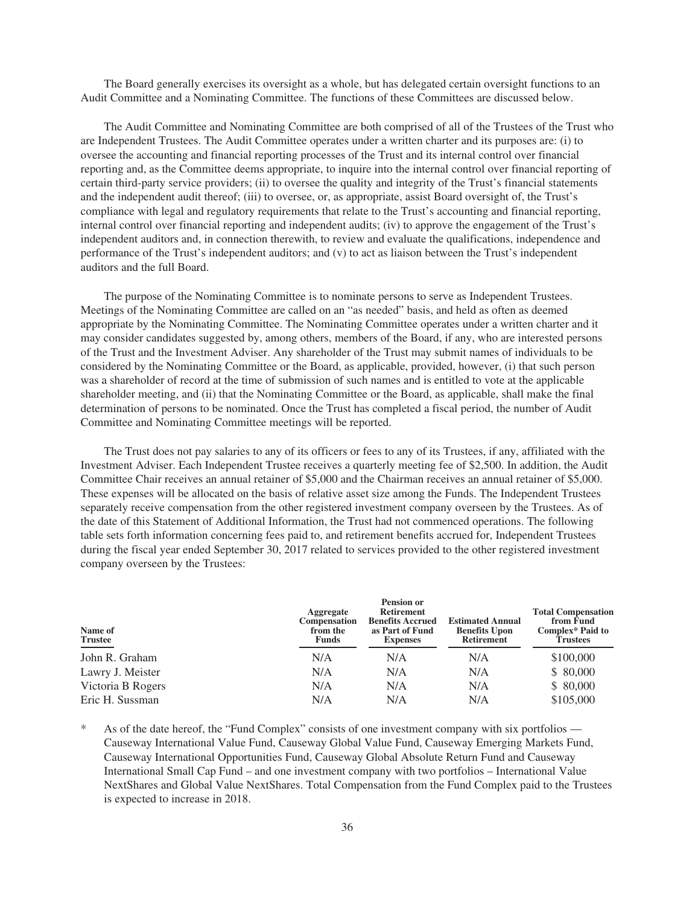The Board generally exercises its oversight as a whole, but has delegated certain oversight functions to an Audit Committee and a Nominating Committee. The functions of these Committees are discussed below.

The Audit Committee and Nominating Committee are both comprised of all of the Trustees of the Trust who are Independent Trustees. The Audit Committee operates under a written charter and its purposes are: (i) to oversee the accounting and financial reporting processes of the Trust and its internal control over financial reporting and, as the Committee deems appropriate, to inquire into the internal control over financial reporting of certain third-party service providers; (ii) to oversee the quality and integrity of the Trust's financial statements and the independent audit thereof; (iii) to oversee, or, as appropriate, assist Board oversight of, the Trust's compliance with legal and regulatory requirements that relate to the Trust's accounting and financial reporting, internal control over financial reporting and independent audits; (iv) to approve the engagement of the Trust's independent auditors and, in connection therewith, to review and evaluate the qualifications, independence and performance of the Trust's independent auditors; and (v) to act as liaison between the Trust's independent auditors and the full Board.

The purpose of the Nominating Committee is to nominate persons to serve as Independent Trustees. Meetings of the Nominating Committee are called on an "as needed" basis, and held as often as deemed appropriate by the Nominating Committee. The Nominating Committee operates under a written charter and it may consider candidates suggested by, among others, members of the Board, if any, who are interested persons of the Trust and the Investment Adviser. Any shareholder of the Trust may submit names of individuals to be considered by the Nominating Committee or the Board, as applicable, provided, however, (i) that such person was a shareholder of record at the time of submission of such names and is entitled to vote at the applicable shareholder meeting, and (ii) that the Nominating Committee or the Board, as applicable, shall make the final determination of persons to be nominated. Once the Trust has completed a fiscal period, the number of Audit Committee and Nominating Committee meetings will be reported.

The Trust does not pay salaries to any of its officers or fees to any of its Trustees, if any, affiliated with the Investment Adviser. Each Independent Trustee receives a quarterly meeting fee of \$2,500. In addition, the Audit Committee Chair receives an annual retainer of \$5,000 and the Chairman receives an annual retainer of \$5,000. These expenses will be allocated on the basis of relative asset size among the Funds. The Independent Trustees separately receive compensation from the other registered investment company overseen by the Trustees. As of the date of this Statement of Additional Information, the Trust had not commenced operations. The following table sets forth information concerning fees paid to, and retirement benefits accrued for, Independent Trustees during the fiscal year ended September 30, 2017 related to services provided to the other registered investment company overseen by the Trustees:

| Name of<br><b>Trustee</b> | Aggregate<br><b>Compensation</b><br>from the<br><b>Funds</b> | <b>Pension or</b><br><b>Retirement</b><br><b>Benefits Accrued</b><br>as Part of Fund<br><b>Expenses</b> | <b>Estimated Annual</b><br><b>Benefits Upon</b><br><b>Retirement</b> | <b>Total Compensation</b><br>from Fund<br>Complex* Paid to<br>Trustees |  |
|---------------------------|--------------------------------------------------------------|---------------------------------------------------------------------------------------------------------|----------------------------------------------------------------------|------------------------------------------------------------------------|--|
| John R. Graham            | N/A                                                          | N/A                                                                                                     | N/A                                                                  | \$100,000                                                              |  |
| Lawry J. Meister          | N/A                                                          | N/A                                                                                                     | N/A                                                                  | \$ 80,000                                                              |  |
| Victoria B Rogers         | N/A                                                          | N/A                                                                                                     | N/A                                                                  | \$ 80,000                                                              |  |
| Eric H. Sussman           | N/A                                                          | N/A                                                                                                     | N/A                                                                  | \$105,000                                                              |  |

As of the date hereof, the "Fund Complex" consists of one investment company with six portfolios — Causeway International Value Fund, Causeway Global Value Fund, Causeway Emerging Markets Fund, Causeway International Opportunities Fund, Causeway Global Absolute Return Fund and Causeway International Small Cap Fund – and one investment company with two portfolios – International Value NextShares and Global Value NextShares. Total Compensation from the Fund Complex paid to the Trustees is expected to increase in 2018.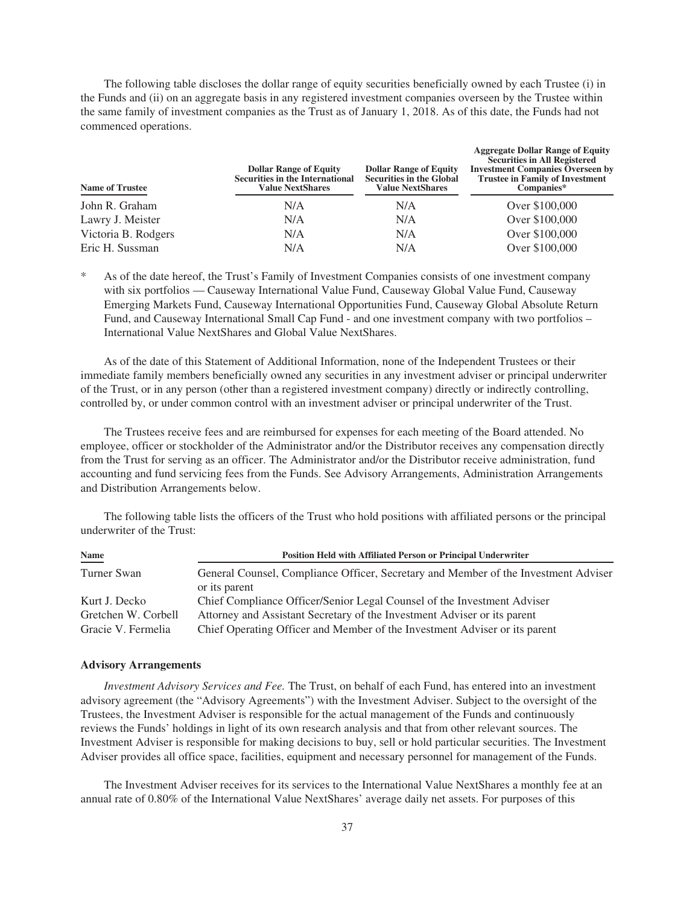The following table discloses the dollar range of equity securities beneficially owned by each Trustee (i) in the Funds and (ii) on an aggregate basis in any registered investment companies overseen by the Trustee within the same family of investment companies as the Trust as of January 1, 2018. As of this date, the Funds had not commenced operations.

| <b>Name of Trustee</b> | <b>Dollar Range of Equity</b><br><b>Securities in the International</b><br><b>Value NextShares</b> | <b>Dollar Range of Equity</b><br><b>Securities in the Global</b><br><b>Value NextShares</b> | <b>Aggregate Dollar Range of Equity</b><br><b>Securities in All Registered</b><br><b>Investment Companies Overseen by</b><br><b>Trustee in Family of Investment</b><br>Companies* |  |
|------------------------|----------------------------------------------------------------------------------------------------|---------------------------------------------------------------------------------------------|-----------------------------------------------------------------------------------------------------------------------------------------------------------------------------------|--|
| John R. Graham         | N/A                                                                                                | N/A                                                                                         | Over \$100,000                                                                                                                                                                    |  |
| Lawry J. Meister       | N/A                                                                                                | N/A                                                                                         | Over \$100,000                                                                                                                                                                    |  |
| Victoria B. Rodgers    | N/A                                                                                                | N/A                                                                                         | Over \$100,000                                                                                                                                                                    |  |
| Eric H. Sussman        | N/A                                                                                                | N/A                                                                                         | Over \$100,000                                                                                                                                                                    |  |

As of the date hereof, the Trust's Family of Investment Companies consists of one investment company with six portfolios — Causeway International Value Fund, Causeway Global Value Fund, Causeway Emerging Markets Fund, Causeway International Opportunities Fund, Causeway Global Absolute Return Fund, and Causeway International Small Cap Fund - and one investment company with two portfolios – International Value NextShares and Global Value NextShares.

As of the date of this Statement of Additional Information, none of the Independent Trustees or their immediate family members beneficially owned any securities in any investment adviser or principal underwriter of the Trust, or in any person (other than a registered investment company) directly or indirectly controlling, controlled by, or under common control with an investment adviser or principal underwriter of the Trust.

The Trustees receive fees and are reimbursed for expenses for each meeting of the Board attended. No employee, officer or stockholder of the Administrator and/or the Distributor receives any compensation directly from the Trust for serving as an officer. The Administrator and/or the Distributor receive administration, fund accounting and fund servicing fees from the Funds. See Advisory Arrangements, Administration Arrangements and Distribution Arrangements below.

The following table lists the officers of the Trust who hold positions with affiliated persons or the principal underwriter of the Trust:

| <b>Name</b>         | <b>Position Held with Affiliated Person or Principal Underwriter</b>                |  |  |
|---------------------|-------------------------------------------------------------------------------------|--|--|
| Turner Swan         | General Counsel, Compliance Officer, Secretary and Member of the Investment Adviser |  |  |
|                     | or its parent                                                                       |  |  |
| Kurt J. Decko       | Chief Compliance Officer/Senior Legal Counsel of the Investment Adviser             |  |  |
| Gretchen W. Corbell | Attorney and Assistant Secretary of the Investment Adviser or its parent            |  |  |
| Gracie V. Fermelia  | Chief Operating Officer and Member of the Investment Adviser or its parent          |  |  |

## **Advisory Arrangements**

*Investment Advisory Services and Fee.* The Trust, on behalf of each Fund, has entered into an investment advisory agreement (the "Advisory Agreements") with the Investment Adviser. Subject to the oversight of the Trustees, the Investment Adviser is responsible for the actual management of the Funds and continuously reviews the Funds' holdings in light of its own research analysis and that from other relevant sources. The Investment Adviser is responsible for making decisions to buy, sell or hold particular securities. The Investment Adviser provides all office space, facilities, equipment and necessary personnel for management of the Funds.

The Investment Adviser receives for its services to the International Value NextShares a monthly fee at an annual rate of 0.80% of the International Value NextShares' average daily net assets. For purposes of this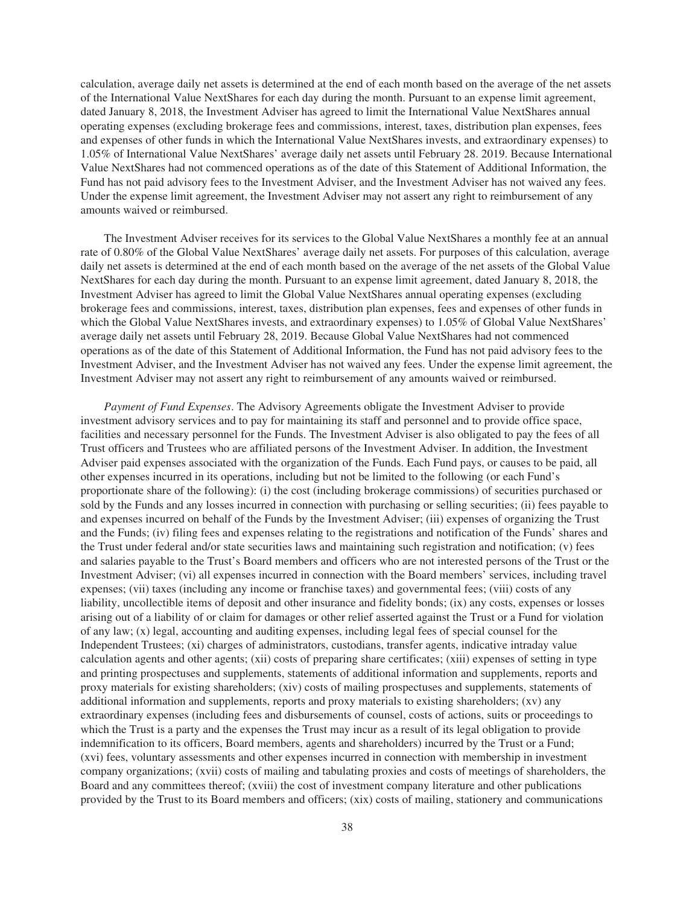calculation, average daily net assets is determined at the end of each month based on the average of the net assets of the International Value NextShares for each day during the month. Pursuant to an expense limit agreement, dated January 8, 2018, the Investment Adviser has agreed to limit the International Value NextShares annual operating expenses (excluding brokerage fees and commissions, interest, taxes, distribution plan expenses, fees and expenses of other funds in which the International Value NextShares invests, and extraordinary expenses) to 1.05% of International Value NextShares' average daily net assets until February 28. 2019. Because International Value NextShares had not commenced operations as of the date of this Statement of Additional Information, the Fund has not paid advisory fees to the Investment Adviser, and the Investment Adviser has not waived any fees. Under the expense limit agreement, the Investment Adviser may not assert any right to reimbursement of any amounts waived or reimbursed.

The Investment Adviser receives for its services to the Global Value NextShares a monthly fee at an annual rate of 0.80% of the Global Value NextShares' average daily net assets. For purposes of this calculation, average daily net assets is determined at the end of each month based on the average of the net assets of the Global Value NextShares for each day during the month. Pursuant to an expense limit agreement, dated January 8, 2018, the Investment Adviser has agreed to limit the Global Value NextShares annual operating expenses (excluding brokerage fees and commissions, interest, taxes, distribution plan expenses, fees and expenses of other funds in which the Global Value NextShares invests, and extraordinary expenses) to 1.05% of Global Value NextShares' average daily net assets until February 28, 2019. Because Global Value NextShares had not commenced operations as of the date of this Statement of Additional Information, the Fund has not paid advisory fees to the Investment Adviser, and the Investment Adviser has not waived any fees. Under the expense limit agreement, the Investment Adviser may not assert any right to reimbursement of any amounts waived or reimbursed.

*Payment of Fund Expenses*. The Advisory Agreements obligate the Investment Adviser to provide investment advisory services and to pay for maintaining its staff and personnel and to provide office space, facilities and necessary personnel for the Funds. The Investment Adviser is also obligated to pay the fees of all Trust officers and Trustees who are affiliated persons of the Investment Adviser. In addition, the Investment Adviser paid expenses associated with the organization of the Funds. Each Fund pays, or causes to be paid, all other expenses incurred in its operations, including but not be limited to the following (or each Fund's proportionate share of the following): (i) the cost (including brokerage commissions) of securities purchased or sold by the Funds and any losses incurred in connection with purchasing or selling securities; (ii) fees payable to and expenses incurred on behalf of the Funds by the Investment Adviser; (iii) expenses of organizing the Trust and the Funds; (iv) filing fees and expenses relating to the registrations and notification of the Funds' shares and the Trust under federal and/or state securities laws and maintaining such registration and notification; (v) fees and salaries payable to the Trust's Board members and officers who are not interested persons of the Trust or the Investment Adviser; (vi) all expenses incurred in connection with the Board members' services, including travel expenses; (vii) taxes (including any income or franchise taxes) and governmental fees; (viii) costs of any liability, uncollectible items of deposit and other insurance and fidelity bonds; (ix) any costs, expenses or losses arising out of a liability of or claim for damages or other relief asserted against the Trust or a Fund for violation of any law; (x) legal, accounting and auditing expenses, including legal fees of special counsel for the Independent Trustees; (xi) charges of administrators, custodians, transfer agents, indicative intraday value calculation agents and other agents; (xii) costs of preparing share certificates; (xiii) expenses of setting in type and printing prospectuses and supplements, statements of additional information and supplements, reports and proxy materials for existing shareholders; (xiv) costs of mailing prospectuses and supplements, statements of additional information and supplements, reports and proxy materials to existing shareholders; (xv) any extraordinary expenses (including fees and disbursements of counsel, costs of actions, suits or proceedings to which the Trust is a party and the expenses the Trust may incur as a result of its legal obligation to provide indemnification to its officers, Board members, agents and shareholders) incurred by the Trust or a Fund; (xvi) fees, voluntary assessments and other expenses incurred in connection with membership in investment company organizations; (xvii) costs of mailing and tabulating proxies and costs of meetings of shareholders, the Board and any committees thereof; (xviii) the cost of investment company literature and other publications provided by the Trust to its Board members and officers; (xix) costs of mailing, stationery and communications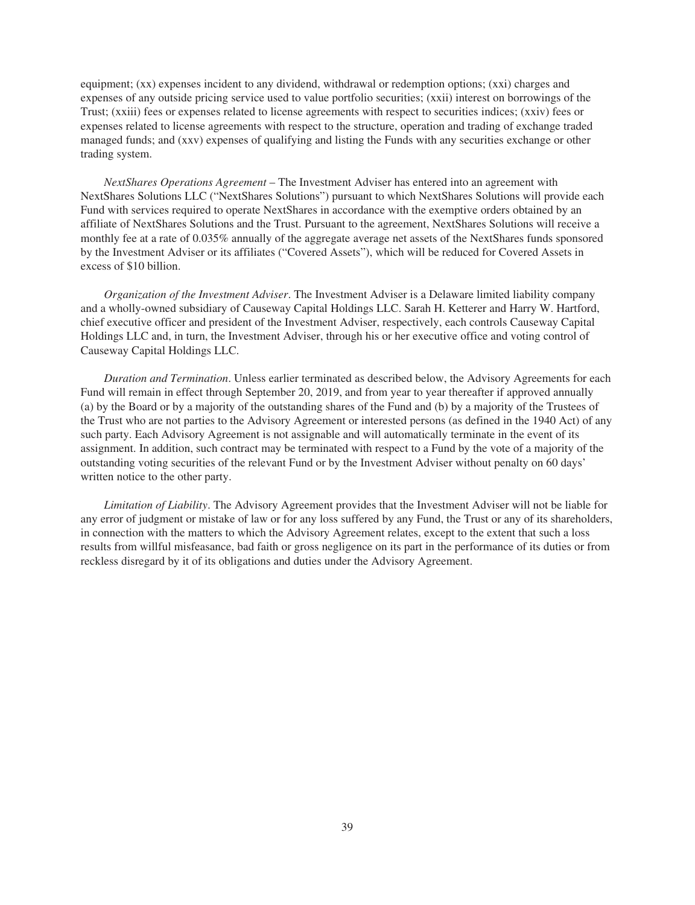equipment; (xx) expenses incident to any dividend, withdrawal or redemption options; (xxi) charges and expenses of any outside pricing service used to value portfolio securities; (xxii) interest on borrowings of the Trust; (xxiii) fees or expenses related to license agreements with respect to securities indices; (xxiv) fees or expenses related to license agreements with respect to the structure, operation and trading of exchange traded managed funds; and (xxv) expenses of qualifying and listing the Funds with any securities exchange or other trading system.

*NextShares Operations Agreement* – The Investment Adviser has entered into an agreement with NextShares Solutions LLC ("NextShares Solutions") pursuant to which NextShares Solutions will provide each Fund with services required to operate NextShares in accordance with the exemptive orders obtained by an affiliate of NextShares Solutions and the Trust. Pursuant to the agreement, NextShares Solutions will receive a monthly fee at a rate of 0.035% annually of the aggregate average net assets of the NextShares funds sponsored by the Investment Adviser or its affiliates ("Covered Assets"), which will be reduced for Covered Assets in excess of \$10 billion.

*Organization of the Investment Adviser*. The Investment Adviser is a Delaware limited liability company and a wholly-owned subsidiary of Causeway Capital Holdings LLC. Sarah H. Ketterer and Harry W. Hartford, chief executive officer and president of the Investment Adviser, respectively, each controls Causeway Capital Holdings LLC and, in turn, the Investment Adviser, through his or her executive office and voting control of Causeway Capital Holdings LLC.

*Duration and Termination*. Unless earlier terminated as described below, the Advisory Agreements for each Fund will remain in effect through September 20, 2019, and from year to year thereafter if approved annually (a) by the Board or by a majority of the outstanding shares of the Fund and (b) by a majority of the Trustees of the Trust who are not parties to the Advisory Agreement or interested persons (as defined in the 1940 Act) of any such party. Each Advisory Agreement is not assignable and will automatically terminate in the event of its assignment. In addition, such contract may be terminated with respect to a Fund by the vote of a majority of the outstanding voting securities of the relevant Fund or by the Investment Adviser without penalty on 60 days' written notice to the other party.

*Limitation of Liability*. The Advisory Agreement provides that the Investment Adviser will not be liable for any error of judgment or mistake of law or for any loss suffered by any Fund, the Trust or any of its shareholders, in connection with the matters to which the Advisory Agreement relates, except to the extent that such a loss results from willful misfeasance, bad faith or gross negligence on its part in the performance of its duties or from reckless disregard by it of its obligations and duties under the Advisory Agreement.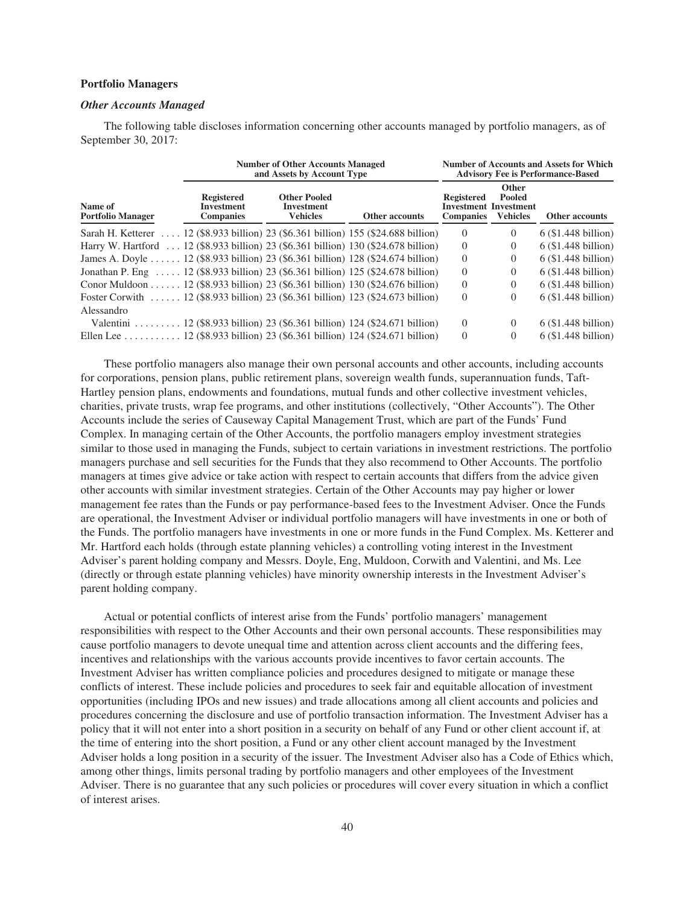## **Portfolio Managers**

## *Other Accounts Managed*

The following table discloses information concerning other accounts managed by portfolio managers, as of September 30, 2017:

|                                                                                     | <b>Number of Other Accounts Managed</b><br>and Assets by Account Type | <b>Number of Accounts and Assets for Which</b><br><b>Advisory Fee is Performance-Based</b> |                       |                                       |                                                             |                       |
|-------------------------------------------------------------------------------------|-----------------------------------------------------------------------|--------------------------------------------------------------------------------------------|-----------------------|---------------------------------------|-------------------------------------------------------------|-----------------------|
| Name of<br><b>Portfolio Manager</b>                                                 | <b>Registered</b><br><b>Investment</b><br><b>Companies</b>            | <b>Other Pooled</b><br>Investment<br><b>Vehicles</b>                                       | <b>Other accounts</b> | <b>Registered</b><br><b>Companies</b> | Other<br>Pooled<br>Investment Investment<br><b>Vehicles</b> | Other accounts        |
| Sarah H. Ketterer  12 (\$8.933 billion) 23 (\$6.361 billion) 155 (\$24.688 billion) |                                                                       |                                                                                            |                       | $\Omega$                              | $\Omega$                                                    | $6$ (\$1.448 billion) |
| Harry W. Hartford  12 (\$8.933 billion) 23 (\$6.361 billion) 130 (\$24.678 billion) |                                                                       |                                                                                            |                       | $\Omega$                              | 0                                                           | $6$ (\$1.448 billion) |
| James A. Doyle  12 (\$8.933 billion) 23 (\$6.361 billion) 128 (\$24.674 billion)    |                                                                       |                                                                                            |                       | $\theta$                              | 0                                                           | $6$ (\$1.448 billion) |
| Jonathan P. Eng $12$ (\$8.933 billion) 23 (\$6.361 billion) 125 (\$24.678 billion)  |                                                                       |                                                                                            |                       | $\Omega$                              | $\Omega$                                                    | $6$ (\$1.448 billion) |
| Conor Muldoon 12 (\$8.933 billion) 23 (\$6.361 billion) 130 (\$24.676 billion)      |                                                                       |                                                                                            |                       | $\Omega$                              | 0                                                           | $6$ (\$1.448 billion) |
| Foster Corwith  12 (\$8.933 billion) 23 (\$6.361 billion) 123 (\$24.673 billion)    |                                                                       |                                                                                            |                       | $\theta$                              | 0                                                           | $6$ (\$1.448 billion) |
| Alessandro                                                                          |                                                                       |                                                                                            |                       |                                       |                                                             |                       |
| Valentini 12 (\$8.933 billion) 23 (\$6.361 billion) 124 (\$24.671 billion)          |                                                                       |                                                                                            |                       | $\Omega$                              | $\Omega$                                                    | $6$ (\$1.448 billion) |
| Ellen Lee 12 (\$8.933 billion) 23 (\$6.361 billion) 124 (\$24.671 billion)          |                                                                       |                                                                                            |                       | $\theta$                              | $\Omega$                                                    | $6$ (\$1.448 billion) |

These portfolio managers also manage their own personal accounts and other accounts, including accounts for corporations, pension plans, public retirement plans, sovereign wealth funds, superannuation funds, Taft-Hartley pension plans, endowments and foundations, mutual funds and other collective investment vehicles, charities, private trusts, wrap fee programs, and other institutions (collectively, "Other Accounts"). The Other Accounts include the series of Causeway Capital Management Trust, which are part of the Funds' Fund Complex. In managing certain of the Other Accounts, the portfolio managers employ investment strategies similar to those used in managing the Funds, subject to certain variations in investment restrictions. The portfolio managers purchase and sell securities for the Funds that they also recommend to Other Accounts. The portfolio managers at times give advice or take action with respect to certain accounts that differs from the advice given other accounts with similar investment strategies. Certain of the Other Accounts may pay higher or lower management fee rates than the Funds or pay performance-based fees to the Investment Adviser. Once the Funds are operational, the Investment Adviser or individual portfolio managers will have investments in one or both of the Funds. The portfolio managers have investments in one or more funds in the Fund Complex. Ms. Ketterer and Mr. Hartford each holds (through estate planning vehicles) a controlling voting interest in the Investment Adviser's parent holding company and Messrs. Doyle, Eng, Muldoon, Corwith and Valentini, and Ms. Lee (directly or through estate planning vehicles) have minority ownership interests in the Investment Adviser's parent holding company.

Actual or potential conflicts of interest arise from the Funds' portfolio managers' management responsibilities with respect to the Other Accounts and their own personal accounts. These responsibilities may cause portfolio managers to devote unequal time and attention across client accounts and the differing fees, incentives and relationships with the various accounts provide incentives to favor certain accounts. The Investment Adviser has written compliance policies and procedures designed to mitigate or manage these conflicts of interest. These include policies and procedures to seek fair and equitable allocation of investment opportunities (including IPOs and new issues) and trade allocations among all client accounts and policies and procedures concerning the disclosure and use of portfolio transaction information. The Investment Adviser has a policy that it will not enter into a short position in a security on behalf of any Fund or other client account if, at the time of entering into the short position, a Fund or any other client account managed by the Investment Adviser holds a long position in a security of the issuer. The Investment Adviser also has a Code of Ethics which, among other things, limits personal trading by portfolio managers and other employees of the Investment Adviser. There is no guarantee that any such policies or procedures will cover every situation in which a conflict of interest arises.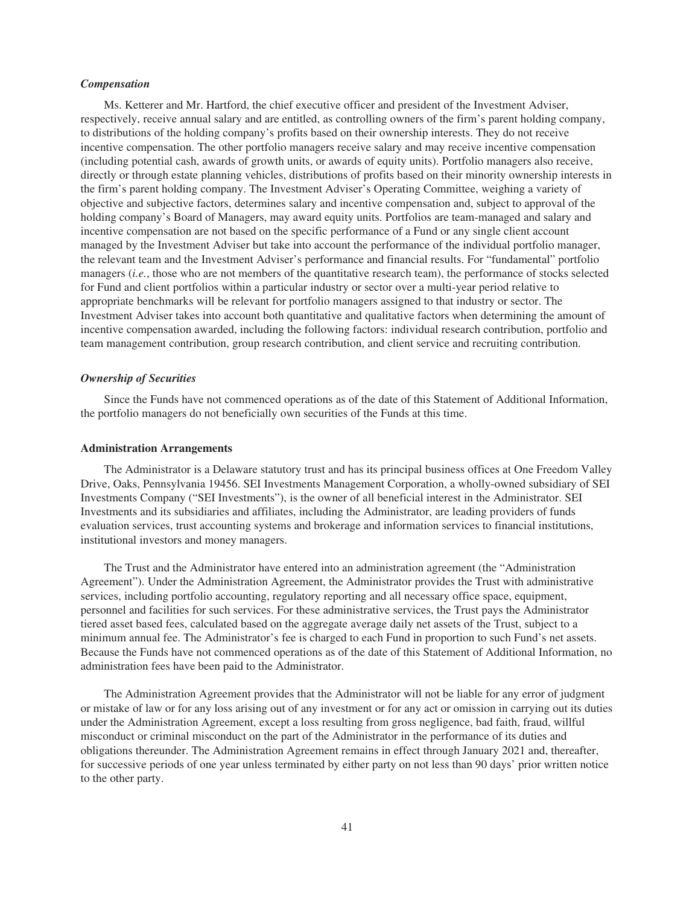# *Compensation*

Ms. Ketterer and Mr. Hartford, the chief executive officer and president of the Investment Adviser, respectively, receive annual salary and are entitled, as controlling owners of the firm's parent holding company, to distributions of the holding company's profits based on their ownership interests. They do not receive incentive compensation. The other portfolio managers receive salary and may receive incentive compensation (including potential cash, awards of growth units, or awards of equity units). Portfolio managers also receive, directly or through estate planning vehicles, distributions of profits based on their minority ownership interests in the firm's parent holding company. The Investment Adviser's Operating Committee, weighing a variety of objective and subjective factors, determines salary and incentive compensation and, subject to approval of the holding company's Board of Managers, may award equity units. Portfolios are team-managed and salary and incentive compensation are not based on the specific performance of a Fund or any single client account managed by the Investment Adviser but take into account the performance of the individual portfolio manager, the relevant team and the Investment Adviser's performance and financial results. For "fundamental" portfolio managers (*i.e.*, those who are not members of the quantitative research team), the performance of stocks selected for Fund and client portfolios within a particular industry or sector over a multi-year period relative to appropriate benchmarks will be relevant for portfolio managers assigned to that industry or sector. The Investment Adviser takes into account both quantitative and qualitative factors when determining the amount of incentive compensation awarded, including the following factors: individual research contribution, portfolio and team management contribution, group research contribution, and client service and recruiting contribution.

# *Ownership of Securities*

Since the Funds have not commenced operations as of the date of this Statement of Additional Information, the portfolio managers do not beneficially own securities of the Funds at this time.

### **Administration Arrangements**

The Administrator is a Delaware statutory trust and has its principal business offices at One Freedom Valley Drive, Oaks, Pennsylvania 19456. SEI Investments Management Corporation, a wholly-owned subsidiary of SEI Investments Company ("SEI Investments"), is the owner of all beneficial interest in the Administrator. SEI Investments and its subsidiaries and affiliates, including the Administrator, are leading providers of funds evaluation services, trust accounting systems and brokerage and information services to financial institutions, institutional investors and money managers.

The Trust and the Administrator have entered into an administration agreement (the "Administration Agreement"). Under the Administration Agreement, the Administrator provides the Trust with administrative services, including portfolio accounting, regulatory reporting and all necessary office space, equipment, personnel and facilities for such services. For these administrative services, the Trust pays the Administrator tiered asset based fees, calculated based on the aggregate average daily net assets of the Trust, subject to a minimum annual fee. The Administrator's fee is charged to each Fund in proportion to such Fund's net assets. Because the Funds have not commenced operations as of the date of this Statement of Additional Information, no administration fees have been paid to the Administrator.

The Administration Agreement provides that the Administrator will not be liable for any error of judgment or mistake of law or for any loss arising out of any investment or for any act or omission in carrying out its duties under the Administration Agreement, except a loss resulting from gross negligence, bad faith, fraud, willful misconduct or criminal misconduct on the part of the Administrator in the performance of its duties and obligations thereunder. The Administration Agreement remains in effect through January 2021 and, thereafter, for successive periods of one year unless terminated by either party on not less than 90 days' prior written notice to the other party.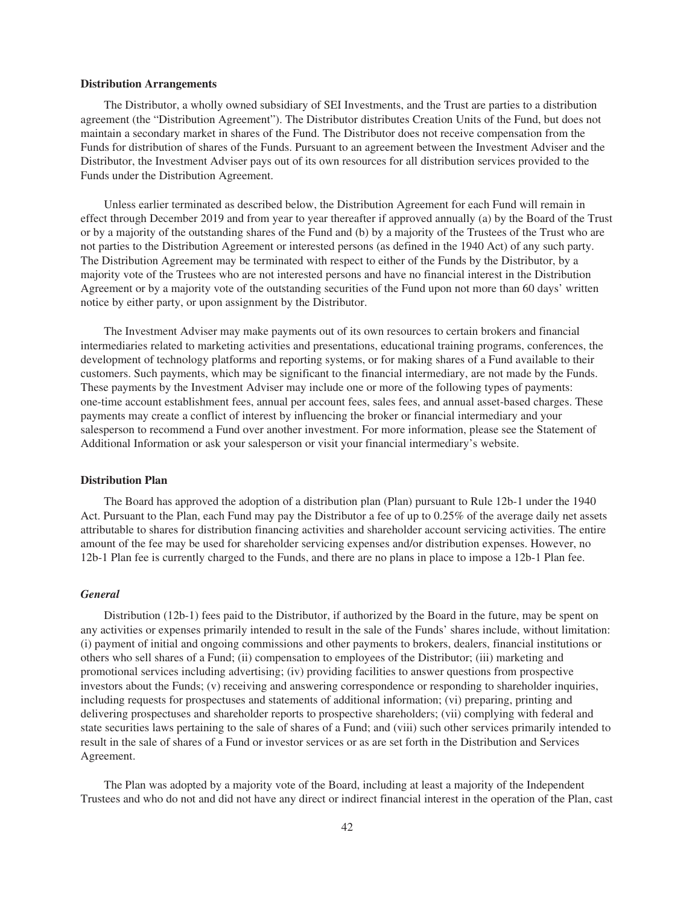#### **Distribution Arrangements**

The Distributor, a wholly owned subsidiary of SEI Investments, and the Trust are parties to a distribution agreement (the "Distribution Agreement"). The Distributor distributes Creation Units of the Fund, but does not maintain a secondary market in shares of the Fund. The Distributor does not receive compensation from the Funds for distribution of shares of the Funds. Pursuant to an agreement between the Investment Adviser and the Distributor, the Investment Adviser pays out of its own resources for all distribution services provided to the Funds under the Distribution Agreement.

Unless earlier terminated as described below, the Distribution Agreement for each Fund will remain in effect through December 2019 and from year to year thereafter if approved annually (a) by the Board of the Trust or by a majority of the outstanding shares of the Fund and (b) by a majority of the Trustees of the Trust who are not parties to the Distribution Agreement or interested persons (as defined in the 1940 Act) of any such party. The Distribution Agreement may be terminated with respect to either of the Funds by the Distributor, by a majority vote of the Trustees who are not interested persons and have no financial interest in the Distribution Agreement or by a majority vote of the outstanding securities of the Fund upon not more than 60 days' written notice by either party, or upon assignment by the Distributor.

The Investment Adviser may make payments out of its own resources to certain brokers and financial intermediaries related to marketing activities and presentations, educational training programs, conferences, the development of technology platforms and reporting systems, or for making shares of a Fund available to their customers. Such payments, which may be significant to the financial intermediary, are not made by the Funds. These payments by the Investment Adviser may include one or more of the following types of payments: one-time account establishment fees, annual per account fees, sales fees, and annual asset-based charges. These payments may create a conflict of interest by influencing the broker or financial intermediary and your salesperson to recommend a Fund over another investment. For more information, please see the Statement of Additional Information or ask your salesperson or visit your financial intermediary's website.

# **Distribution Plan**

The Board has approved the adoption of a distribution plan (Plan) pursuant to Rule 12b-1 under the 1940 Act. Pursuant to the Plan, each Fund may pay the Distributor a fee of up to 0.25% of the average daily net assets attributable to shares for distribution financing activities and shareholder account servicing activities. The entire amount of the fee may be used for shareholder servicing expenses and/or distribution expenses. However, no 12b-1 Plan fee is currently charged to the Funds, and there are no plans in place to impose a 12b-1 Plan fee.

## *General*

Distribution (12b-1) fees paid to the Distributor, if authorized by the Board in the future, may be spent on any activities or expenses primarily intended to result in the sale of the Funds' shares include, without limitation: (i) payment of initial and ongoing commissions and other payments to brokers, dealers, financial institutions or others who sell shares of a Fund; (ii) compensation to employees of the Distributor; (iii) marketing and promotional services including advertising; (iv) providing facilities to answer questions from prospective investors about the Funds; (v) receiving and answering correspondence or responding to shareholder inquiries, including requests for prospectuses and statements of additional information; (vi) preparing, printing and delivering prospectuses and shareholder reports to prospective shareholders; (vii) complying with federal and state securities laws pertaining to the sale of shares of a Fund; and (viii) such other services primarily intended to result in the sale of shares of a Fund or investor services or as are set forth in the Distribution and Services Agreement.

The Plan was adopted by a majority vote of the Board, including at least a majority of the Independent Trustees and who do not and did not have any direct or indirect financial interest in the operation of the Plan, cast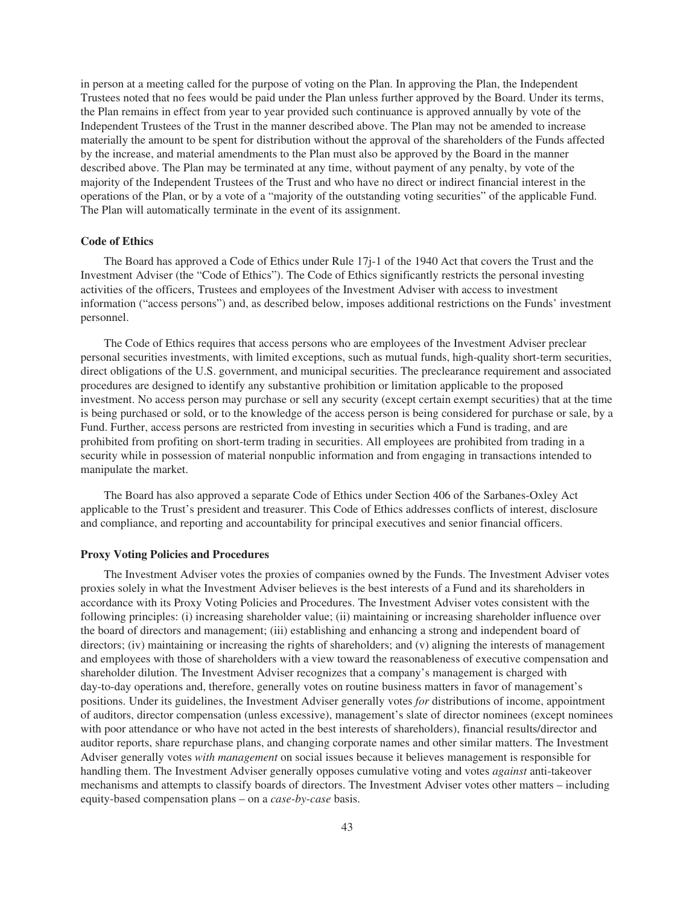in person at a meeting called for the purpose of voting on the Plan. In approving the Plan, the Independent Trustees noted that no fees would be paid under the Plan unless further approved by the Board. Under its terms, the Plan remains in effect from year to year provided such continuance is approved annually by vote of the Independent Trustees of the Trust in the manner described above. The Plan may not be amended to increase materially the amount to be spent for distribution without the approval of the shareholders of the Funds affected by the increase, and material amendments to the Plan must also be approved by the Board in the manner described above. The Plan may be terminated at any time, without payment of any penalty, by vote of the majority of the Independent Trustees of the Trust and who have no direct or indirect financial interest in the operations of the Plan, or by a vote of a "majority of the outstanding voting securities" of the applicable Fund. The Plan will automatically terminate in the event of its assignment.

## **Code of Ethics**

The Board has approved a Code of Ethics under Rule 17j-1 of the 1940 Act that covers the Trust and the Investment Adviser (the "Code of Ethics"). The Code of Ethics significantly restricts the personal investing activities of the officers, Trustees and employees of the Investment Adviser with access to investment information ("access persons") and, as described below, imposes additional restrictions on the Funds' investment personnel.

The Code of Ethics requires that access persons who are employees of the Investment Adviser preclear personal securities investments, with limited exceptions, such as mutual funds, high-quality short-term securities, direct obligations of the U.S. government, and municipal securities. The preclearance requirement and associated procedures are designed to identify any substantive prohibition or limitation applicable to the proposed investment. No access person may purchase or sell any security (except certain exempt securities) that at the time is being purchased or sold, or to the knowledge of the access person is being considered for purchase or sale, by a Fund. Further, access persons are restricted from investing in securities which a Fund is trading, and are prohibited from profiting on short-term trading in securities. All employees are prohibited from trading in a security while in possession of material nonpublic information and from engaging in transactions intended to manipulate the market.

The Board has also approved a separate Code of Ethics under Section 406 of the Sarbanes-Oxley Act applicable to the Trust's president and treasurer. This Code of Ethics addresses conflicts of interest, disclosure and compliance, and reporting and accountability for principal executives and senior financial officers.

## **Proxy Voting Policies and Procedures**

The Investment Adviser votes the proxies of companies owned by the Funds. The Investment Adviser votes proxies solely in what the Investment Adviser believes is the best interests of a Fund and its shareholders in accordance with its Proxy Voting Policies and Procedures. The Investment Adviser votes consistent with the following principles: (i) increasing shareholder value; (ii) maintaining or increasing shareholder influence over the board of directors and management; (iii) establishing and enhancing a strong and independent board of directors; (iv) maintaining or increasing the rights of shareholders; and (v) aligning the interests of management and employees with those of shareholders with a view toward the reasonableness of executive compensation and shareholder dilution. The Investment Adviser recognizes that a company's management is charged with day-to-day operations and, therefore, generally votes on routine business matters in favor of management's positions. Under its guidelines, the Investment Adviser generally votes *for* distributions of income, appointment of auditors, director compensation (unless excessive), management's slate of director nominees (except nominees with poor attendance or who have not acted in the best interests of shareholders), financial results/director and auditor reports, share repurchase plans, and changing corporate names and other similar matters. The Investment Adviser generally votes *with management* on social issues because it believes management is responsible for handling them. The Investment Adviser generally opposes cumulative voting and votes *against* anti-takeover mechanisms and attempts to classify boards of directors. The Investment Adviser votes other matters – including equity-based compensation plans – on a *case-by-case* basis.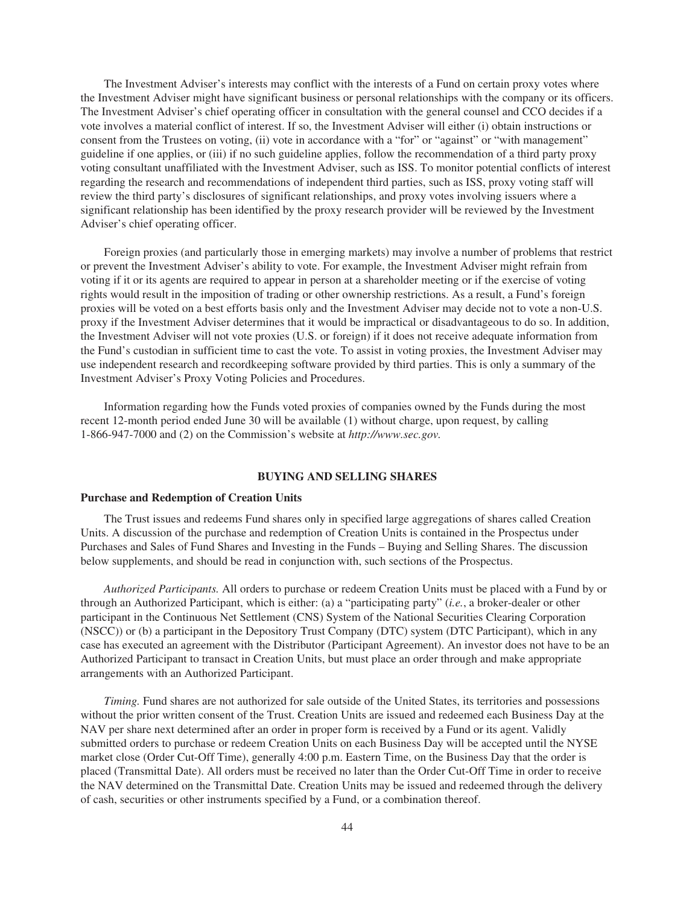The Investment Adviser's interests may conflict with the interests of a Fund on certain proxy votes where the Investment Adviser might have significant business or personal relationships with the company or its officers. The Investment Adviser's chief operating officer in consultation with the general counsel and CCO decides if a vote involves a material conflict of interest. If so, the Investment Adviser will either (i) obtain instructions or consent from the Trustees on voting, (ii) vote in accordance with a "for" or "against" or "with management" guideline if one applies, or (iii) if no such guideline applies, follow the recommendation of a third party proxy voting consultant unaffiliated with the Investment Adviser, such as ISS. To monitor potential conflicts of interest regarding the research and recommendations of independent third parties, such as ISS, proxy voting staff will review the third party's disclosures of significant relationships, and proxy votes involving issuers where a significant relationship has been identified by the proxy research provider will be reviewed by the Investment Adviser's chief operating officer.

Foreign proxies (and particularly those in emerging markets) may involve a number of problems that restrict or prevent the Investment Adviser's ability to vote. For example, the Investment Adviser might refrain from voting if it or its agents are required to appear in person at a shareholder meeting or if the exercise of voting rights would result in the imposition of trading or other ownership restrictions. As a result, a Fund's foreign proxies will be voted on a best efforts basis only and the Investment Adviser may decide not to vote a non-U.S. proxy if the Investment Adviser determines that it would be impractical or disadvantageous to do so. In addition, the Investment Adviser will not vote proxies (U.S. or foreign) if it does not receive adequate information from the Fund's custodian in sufficient time to cast the vote. To assist in voting proxies, the Investment Adviser may use independent research and recordkeeping software provided by third parties. This is only a summary of the Investment Adviser's Proxy Voting Policies and Procedures.

Information regarding how the Funds voted proxies of companies owned by the Funds during the most recent 12-month period ended June 30 will be available (1) without charge, upon request, by calling 1-866-947-7000 and (2) on the Commission's website at *http://www.sec.gov.*

## **BUYING AND SELLING SHARES**

## **Purchase and Redemption of Creation Units**

The Trust issues and redeems Fund shares only in specified large aggregations of shares called Creation Units. A discussion of the purchase and redemption of Creation Units is contained in the Prospectus under Purchases and Sales of Fund Shares and Investing in the Funds – Buying and Selling Shares. The discussion below supplements, and should be read in conjunction with, such sections of the Prospectus.

*Authorized Participants.* All orders to purchase or redeem Creation Units must be placed with a Fund by or through an Authorized Participant, which is either: (a) a "participating party" (*i.e.*, a broker-dealer or other participant in the Continuous Net Settlement (CNS) System of the National Securities Clearing Corporation (NSCC)) or (b) a participant in the Depository Trust Company (DTC) system (DTC Participant), which in any case has executed an agreement with the Distributor (Participant Agreement). An investor does not have to be an Authorized Participant to transact in Creation Units, but must place an order through and make appropriate arrangements with an Authorized Participant.

*Timing.* Fund shares are not authorized for sale outside of the United States, its territories and possessions without the prior written consent of the Trust. Creation Units are issued and redeemed each Business Day at the NAV per share next determined after an order in proper form is received by a Fund or its agent. Validly submitted orders to purchase or redeem Creation Units on each Business Day will be accepted until the NYSE market close (Order Cut-Off Time), generally 4:00 p.m. Eastern Time, on the Business Day that the order is placed (Transmittal Date). All orders must be received no later than the Order Cut-Off Time in order to receive the NAV determined on the Transmittal Date. Creation Units may be issued and redeemed through the delivery of cash, securities or other instruments specified by a Fund, or a combination thereof.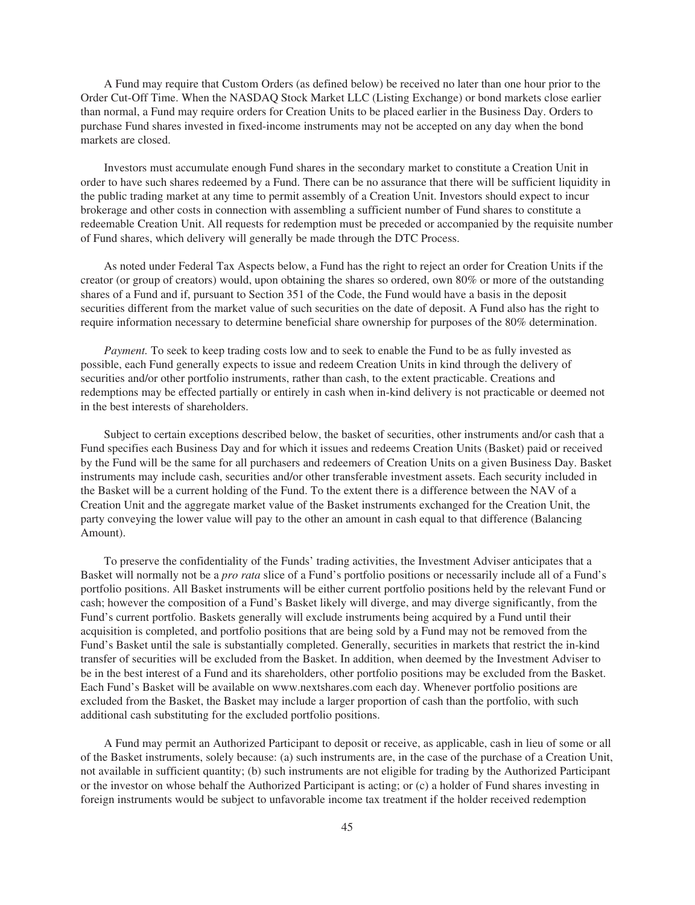A Fund may require that Custom Orders (as defined below) be received no later than one hour prior to the Order Cut-Off Time. When the NASDAQ Stock Market LLC (Listing Exchange) or bond markets close earlier than normal, a Fund may require orders for Creation Units to be placed earlier in the Business Day. Orders to purchase Fund shares invested in fixed-income instruments may not be accepted on any day when the bond markets are closed.

Investors must accumulate enough Fund shares in the secondary market to constitute a Creation Unit in order to have such shares redeemed by a Fund. There can be no assurance that there will be sufficient liquidity in the public trading market at any time to permit assembly of a Creation Unit. Investors should expect to incur brokerage and other costs in connection with assembling a sufficient number of Fund shares to constitute a redeemable Creation Unit. All requests for redemption must be preceded or accompanied by the requisite number of Fund shares, which delivery will generally be made through the DTC Process.

As noted under Federal Tax Aspects below, a Fund has the right to reject an order for Creation Units if the creator (or group of creators) would, upon obtaining the shares so ordered, own 80% or more of the outstanding shares of a Fund and if, pursuant to Section 351 of the Code, the Fund would have a basis in the deposit securities different from the market value of such securities on the date of deposit. A Fund also has the right to require information necessary to determine beneficial share ownership for purposes of the 80% determination.

*Payment.* To seek to keep trading costs low and to seek to enable the Fund to be as fully invested as possible, each Fund generally expects to issue and redeem Creation Units in kind through the delivery of securities and/or other portfolio instruments, rather than cash, to the extent practicable. Creations and redemptions may be effected partially or entirely in cash when in-kind delivery is not practicable or deemed not in the best interests of shareholders.

Subject to certain exceptions described below, the basket of securities, other instruments and/or cash that a Fund specifies each Business Day and for which it issues and redeems Creation Units (Basket) paid or received by the Fund will be the same for all purchasers and redeemers of Creation Units on a given Business Day. Basket instruments may include cash, securities and/or other transferable investment assets. Each security included in the Basket will be a current holding of the Fund. To the extent there is a difference between the NAV of a Creation Unit and the aggregate market value of the Basket instruments exchanged for the Creation Unit, the party conveying the lower value will pay to the other an amount in cash equal to that difference (Balancing Amount).

To preserve the confidentiality of the Funds' trading activities, the Investment Adviser anticipates that a Basket will normally not be a *pro rata* slice of a Fund's portfolio positions or necessarily include all of a Fund's portfolio positions. All Basket instruments will be either current portfolio positions held by the relevant Fund or cash; however the composition of a Fund's Basket likely will diverge, and may diverge significantly, from the Fund's current portfolio. Baskets generally will exclude instruments being acquired by a Fund until their acquisition is completed, and portfolio positions that are being sold by a Fund may not be removed from the Fund's Basket until the sale is substantially completed. Generally, securities in markets that restrict the in-kind transfer of securities will be excluded from the Basket. In addition, when deemed by the Investment Adviser to be in the best interest of a Fund and its shareholders, other portfolio positions may be excluded from the Basket. Each Fund's Basket will be available on www.nextshares.com each day. Whenever portfolio positions are excluded from the Basket, the Basket may include a larger proportion of cash than the portfolio, with such additional cash substituting for the excluded portfolio positions.

A Fund may permit an Authorized Participant to deposit or receive, as applicable, cash in lieu of some or all of the Basket instruments, solely because: (a) such instruments are, in the case of the purchase of a Creation Unit, not available in sufficient quantity; (b) such instruments are not eligible for trading by the Authorized Participant or the investor on whose behalf the Authorized Participant is acting; or (c) a holder of Fund shares investing in foreign instruments would be subject to unfavorable income tax treatment if the holder received redemption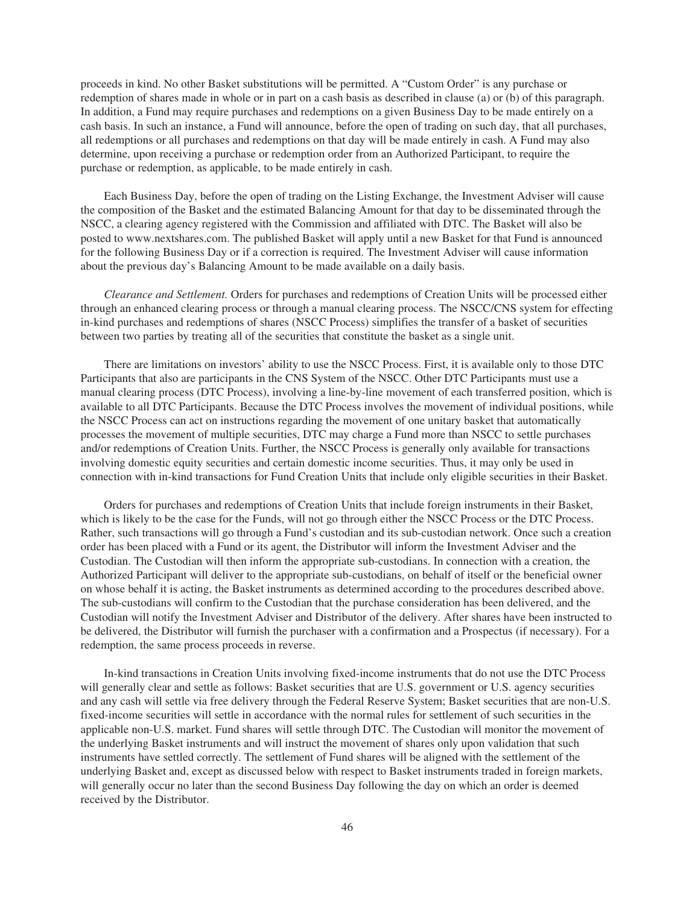proceeds in kind. No other Basket substitutions will be permitted. A "Custom Order" is any purchase or redemption of shares made in whole or in part on a cash basis as described in clause (a) or (b) of this paragraph. In addition, a Fund may require purchases and redemptions on a given Business Day to be made entirely on a cash basis. In such an instance, a Fund will announce, before the open of trading on such day, that all purchases, all redemptions or all purchases and redemptions on that day will be made entirely in cash. A Fund may also determine, upon receiving a purchase or redemption order from an Authorized Participant, to require the purchase or redemption, as applicable, to be made entirely in cash.

Each Business Day, before the open of trading on the Listing Exchange, the Investment Adviser will cause the composition of the Basket and the estimated Balancing Amount for that day to be disseminated through the NSCC, a clearing agency registered with the Commission and affiliated with DTC. The Basket will also be posted to www.nextshares.com. The published Basket will apply until a new Basket for that Fund is announced for the following Business Day or if a correction is required. The Investment Adviser will cause information about the previous day's Balancing Amount to be made available on a daily basis.

*Clearance and Settlement.* Orders for purchases and redemptions of Creation Units will be processed either through an enhanced clearing process or through a manual clearing process. The NSCC/CNS system for effecting in-kind purchases and redemptions of shares (NSCC Process) simplifies the transfer of a basket of securities between two parties by treating all of the securities that constitute the basket as a single unit.

There are limitations on investors' ability to use the NSCC Process. First, it is available only to those DTC Participants that also are participants in the CNS System of the NSCC. Other DTC Participants must use a manual clearing process (DTC Process), involving a line-by-line movement of each transferred position, which is available to all DTC Participants. Because the DTC Process involves the movement of individual positions, while the NSCC Process can act on instructions regarding the movement of one unitary basket that automatically processes the movement of multiple securities, DTC may charge a Fund more than NSCC to settle purchases and/or redemptions of Creation Units. Further, the NSCC Process is generally only available for transactions involving domestic equity securities and certain domestic income securities. Thus, it may only be used in connection with in-kind transactions for Fund Creation Units that include only eligible securities in their Basket.

Orders for purchases and redemptions of Creation Units that include foreign instruments in their Basket, which is likely to be the case for the Funds, will not go through either the NSCC Process or the DTC Process. Rather, such transactions will go through a Fund's custodian and its sub-custodian network. Once such a creation order has been placed with a Fund or its agent, the Distributor will inform the Investment Adviser and the Custodian. The Custodian will then inform the appropriate sub-custodians. In connection with a creation, the Authorized Participant will deliver to the appropriate sub-custodians, on behalf of itself or the beneficial owner on whose behalf it is acting, the Basket instruments as determined according to the procedures described above. The sub-custodians will confirm to the Custodian that the purchase consideration has been delivered, and the Custodian will notify the Investment Adviser and Distributor of the delivery. After shares have been instructed to be delivered, the Distributor will furnish the purchaser with a confirmation and a Prospectus (if necessary). For a redemption, the same process proceeds in reverse.

In-kind transactions in Creation Units involving fixed-income instruments that do not use the DTC Process will generally clear and settle as follows: Basket securities that are U.S. government or U.S. agency securities and any cash will settle via free delivery through the Federal Reserve System; Basket securities that are non-U.S. fixed-income securities will settle in accordance with the normal rules for settlement of such securities in the applicable non-U.S. market. Fund shares will settle through DTC. The Custodian will monitor the movement of the underlying Basket instruments and will instruct the movement of shares only upon validation that such instruments have settled correctly. The settlement of Fund shares will be aligned with the settlement of the underlying Basket and, except as discussed below with respect to Basket instruments traded in foreign markets, will generally occur no later than the second Business Day following the day on which an order is deemed received by the Distributor.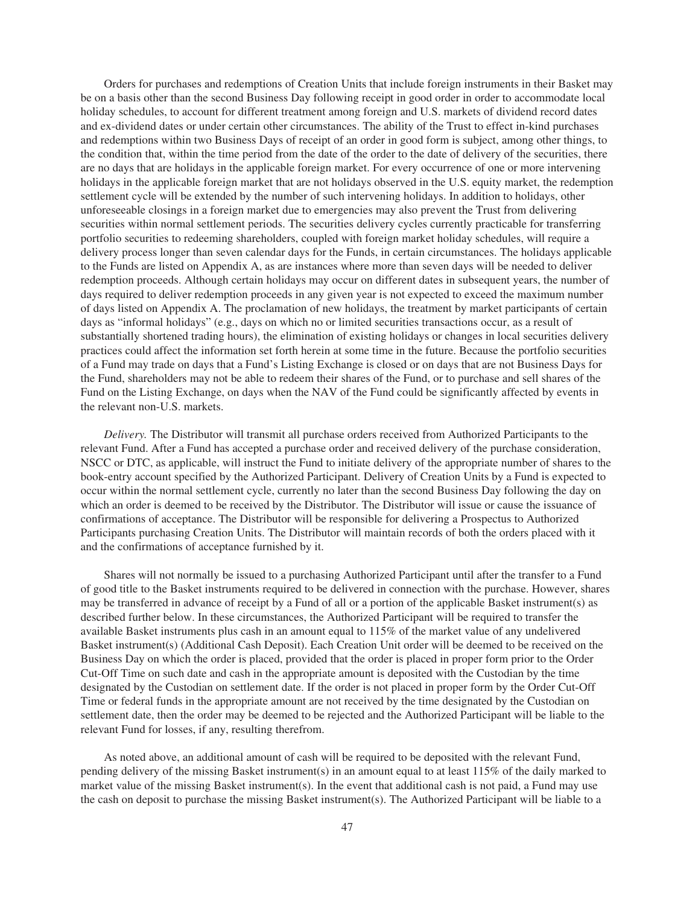Orders for purchases and redemptions of Creation Units that include foreign instruments in their Basket may be on a basis other than the second Business Day following receipt in good order in order to accommodate local holiday schedules, to account for different treatment among foreign and U.S. markets of dividend record dates and ex-dividend dates or under certain other circumstances. The ability of the Trust to effect in-kind purchases and redemptions within two Business Days of receipt of an order in good form is subject, among other things, to the condition that, within the time period from the date of the order to the date of delivery of the securities, there are no days that are holidays in the applicable foreign market. For every occurrence of one or more intervening holidays in the applicable foreign market that are not holidays observed in the U.S. equity market, the redemption settlement cycle will be extended by the number of such intervening holidays. In addition to holidays, other unforeseeable closings in a foreign market due to emergencies may also prevent the Trust from delivering securities within normal settlement periods. The securities delivery cycles currently practicable for transferring portfolio securities to redeeming shareholders, coupled with foreign market holiday schedules, will require a delivery process longer than seven calendar days for the Funds, in certain circumstances. The holidays applicable to the Funds are listed on Appendix A, as are instances where more than seven days will be needed to deliver redemption proceeds. Although certain holidays may occur on different dates in subsequent years, the number of days required to deliver redemption proceeds in any given year is not expected to exceed the maximum number of days listed on Appendix A. The proclamation of new holidays, the treatment by market participants of certain days as "informal holidays" (e.g., days on which no or limited securities transactions occur, as a result of substantially shortened trading hours), the elimination of existing holidays or changes in local securities delivery practices could affect the information set forth herein at some time in the future. Because the portfolio securities of a Fund may trade on days that a Fund's Listing Exchange is closed or on days that are not Business Days for the Fund, shareholders may not be able to redeem their shares of the Fund, or to purchase and sell shares of the Fund on the Listing Exchange, on days when the NAV of the Fund could be significantly affected by events in the relevant non-U.S. markets.

*Delivery.* The Distributor will transmit all purchase orders received from Authorized Participants to the relevant Fund. After a Fund has accepted a purchase order and received delivery of the purchase consideration, NSCC or DTC, as applicable, will instruct the Fund to initiate delivery of the appropriate number of shares to the book-entry account specified by the Authorized Participant. Delivery of Creation Units by a Fund is expected to occur within the normal settlement cycle, currently no later than the second Business Day following the day on which an order is deemed to be received by the Distributor. The Distributor will issue or cause the issuance of confirmations of acceptance. The Distributor will be responsible for delivering a Prospectus to Authorized Participants purchasing Creation Units. The Distributor will maintain records of both the orders placed with it and the confirmations of acceptance furnished by it.

Shares will not normally be issued to a purchasing Authorized Participant until after the transfer to a Fund of good title to the Basket instruments required to be delivered in connection with the purchase. However, shares may be transferred in advance of receipt by a Fund of all or a portion of the applicable Basket instrument(s) as described further below. In these circumstances, the Authorized Participant will be required to transfer the available Basket instruments plus cash in an amount equal to 115% of the market value of any undelivered Basket instrument(s) (Additional Cash Deposit). Each Creation Unit order will be deemed to be received on the Business Day on which the order is placed, provided that the order is placed in proper form prior to the Order Cut-Off Time on such date and cash in the appropriate amount is deposited with the Custodian by the time designated by the Custodian on settlement date. If the order is not placed in proper form by the Order Cut-Off Time or federal funds in the appropriate amount are not received by the time designated by the Custodian on settlement date, then the order may be deemed to be rejected and the Authorized Participant will be liable to the relevant Fund for losses, if any, resulting therefrom.

As noted above, an additional amount of cash will be required to be deposited with the relevant Fund, pending delivery of the missing Basket instrument(s) in an amount equal to at least 115% of the daily marked to market value of the missing Basket instrument(s). In the event that additional cash is not paid, a Fund may use the cash on deposit to purchase the missing Basket instrument(s). The Authorized Participant will be liable to a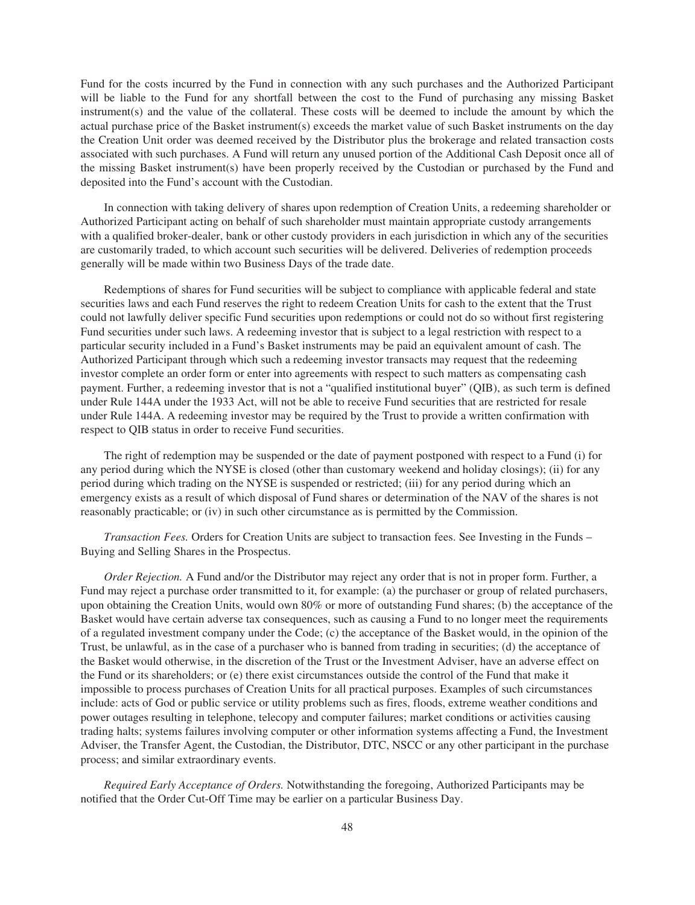Fund for the costs incurred by the Fund in connection with any such purchases and the Authorized Participant will be liable to the Fund for any shortfall between the cost to the Fund of purchasing any missing Basket instrument(s) and the value of the collateral. These costs will be deemed to include the amount by which the actual purchase price of the Basket instrument(s) exceeds the market value of such Basket instruments on the day the Creation Unit order was deemed received by the Distributor plus the brokerage and related transaction costs associated with such purchases. A Fund will return any unused portion of the Additional Cash Deposit once all of the missing Basket instrument(s) have been properly received by the Custodian or purchased by the Fund and deposited into the Fund's account with the Custodian.

In connection with taking delivery of shares upon redemption of Creation Units, a redeeming shareholder or Authorized Participant acting on behalf of such shareholder must maintain appropriate custody arrangements with a qualified broker-dealer, bank or other custody providers in each jurisdiction in which any of the securities are customarily traded, to which account such securities will be delivered. Deliveries of redemption proceeds generally will be made within two Business Days of the trade date.

Redemptions of shares for Fund securities will be subject to compliance with applicable federal and state securities laws and each Fund reserves the right to redeem Creation Units for cash to the extent that the Trust could not lawfully deliver specific Fund securities upon redemptions or could not do so without first registering Fund securities under such laws. A redeeming investor that is subject to a legal restriction with respect to a particular security included in a Fund's Basket instruments may be paid an equivalent amount of cash. The Authorized Participant through which such a redeeming investor transacts may request that the redeeming investor complete an order form or enter into agreements with respect to such matters as compensating cash payment. Further, a redeeming investor that is not a "qualified institutional buyer" (QIB), as such term is defined under Rule 144A under the 1933 Act, will not be able to receive Fund securities that are restricted for resale under Rule 144A. A redeeming investor may be required by the Trust to provide a written confirmation with respect to QIB status in order to receive Fund securities.

The right of redemption may be suspended or the date of payment postponed with respect to a Fund (i) for any period during which the NYSE is closed (other than customary weekend and holiday closings); (ii) for any period during which trading on the NYSE is suspended or restricted; (iii) for any period during which an emergency exists as a result of which disposal of Fund shares or determination of the NAV of the shares is not reasonably practicable; or (iv) in such other circumstance as is permitted by the Commission.

*Transaction Fees.* Orders for Creation Units are subject to transaction fees. See Investing in the Funds – Buying and Selling Shares in the Prospectus.

*Order Rejection.* A Fund and/or the Distributor may reject any order that is not in proper form. Further, a Fund may reject a purchase order transmitted to it, for example: (a) the purchaser or group of related purchasers, upon obtaining the Creation Units, would own 80% or more of outstanding Fund shares; (b) the acceptance of the Basket would have certain adverse tax consequences, such as causing a Fund to no longer meet the requirements of a regulated investment company under the Code; (c) the acceptance of the Basket would, in the opinion of the Trust, be unlawful, as in the case of a purchaser who is banned from trading in securities; (d) the acceptance of the Basket would otherwise, in the discretion of the Trust or the Investment Adviser, have an adverse effect on the Fund or its shareholders; or (e) there exist circumstances outside the control of the Fund that make it impossible to process purchases of Creation Units for all practical purposes. Examples of such circumstances include: acts of God or public service or utility problems such as fires, floods, extreme weather conditions and power outages resulting in telephone, telecopy and computer failures; market conditions or activities causing trading halts; systems failures involving computer or other information systems affecting a Fund, the Investment Adviser, the Transfer Agent, the Custodian, the Distributor, DTC, NSCC or any other participant in the purchase process; and similar extraordinary events.

*Required Early Acceptance of Orders.* Notwithstanding the foregoing, Authorized Participants may be notified that the Order Cut-Off Time may be earlier on a particular Business Day.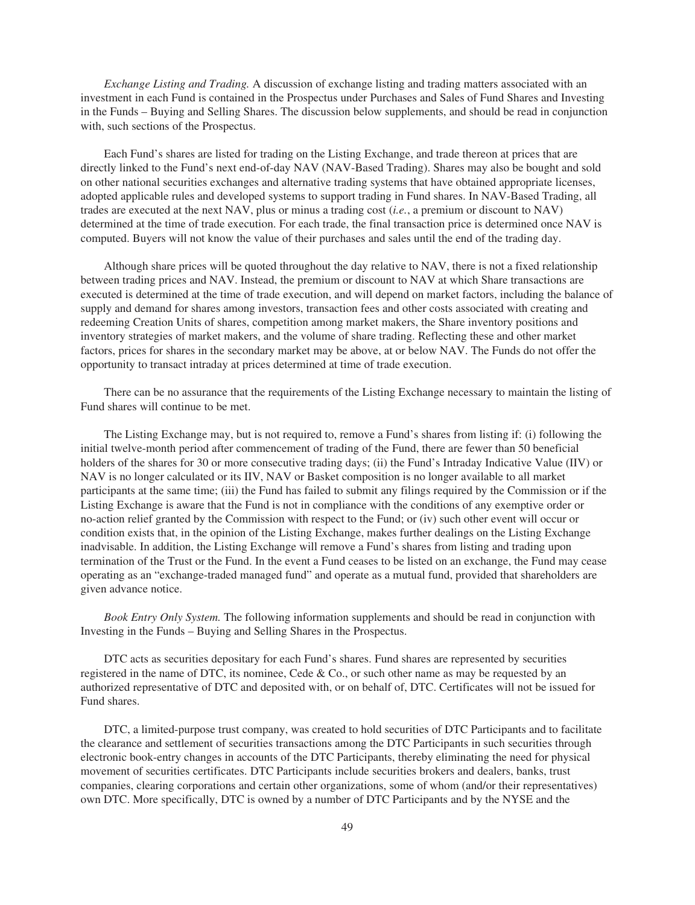*Exchange Listing and Trading.* A discussion of exchange listing and trading matters associated with an investment in each Fund is contained in the Prospectus under Purchases and Sales of Fund Shares and Investing in the Funds – Buying and Selling Shares. The discussion below supplements, and should be read in conjunction with, such sections of the Prospectus.

Each Fund's shares are listed for trading on the Listing Exchange, and trade thereon at prices that are directly linked to the Fund's next end-of-day NAV (NAV-Based Trading). Shares may also be bought and sold on other national securities exchanges and alternative trading systems that have obtained appropriate licenses, adopted applicable rules and developed systems to support trading in Fund shares. In NAV-Based Trading, all trades are executed at the next NAV, plus or minus a trading cost (*i.e.*, a premium or discount to NAV) determined at the time of trade execution. For each trade, the final transaction price is determined once NAV is computed. Buyers will not know the value of their purchases and sales until the end of the trading day.

Although share prices will be quoted throughout the day relative to NAV, there is not a fixed relationship between trading prices and NAV. Instead, the premium or discount to NAV at which Share transactions are executed is determined at the time of trade execution, and will depend on market factors, including the balance of supply and demand for shares among investors, transaction fees and other costs associated with creating and redeeming Creation Units of shares, competition among market makers, the Share inventory positions and inventory strategies of market makers, and the volume of share trading. Reflecting these and other market factors, prices for shares in the secondary market may be above, at or below NAV. The Funds do not offer the opportunity to transact intraday at prices determined at time of trade execution.

There can be no assurance that the requirements of the Listing Exchange necessary to maintain the listing of Fund shares will continue to be met.

The Listing Exchange may, but is not required to, remove a Fund's shares from listing if: (i) following the initial twelve-month period after commencement of trading of the Fund, there are fewer than 50 beneficial holders of the shares for 30 or more consecutive trading days; (ii) the Fund's Intraday Indicative Value (IIV) or NAV is no longer calculated or its IIV, NAV or Basket composition is no longer available to all market participants at the same time; (iii) the Fund has failed to submit any filings required by the Commission or if the Listing Exchange is aware that the Fund is not in compliance with the conditions of any exemptive order or no-action relief granted by the Commission with respect to the Fund; or (iv) such other event will occur or condition exists that, in the opinion of the Listing Exchange, makes further dealings on the Listing Exchange inadvisable. In addition, the Listing Exchange will remove a Fund's shares from listing and trading upon termination of the Trust or the Fund. In the event a Fund ceases to be listed on an exchange, the Fund may cease operating as an "exchange-traded managed fund" and operate as a mutual fund, provided that shareholders are given advance notice.

*Book Entry Only System.* The following information supplements and should be read in conjunction with Investing in the Funds – Buying and Selling Shares in the Prospectus.

DTC acts as securities depositary for each Fund's shares. Fund shares are represented by securities registered in the name of DTC, its nominee, Cede  $& Co.,$  or such other name as may be requested by an authorized representative of DTC and deposited with, or on behalf of, DTC. Certificates will not be issued for Fund shares.

DTC, a limited-purpose trust company, was created to hold securities of DTC Participants and to facilitate the clearance and settlement of securities transactions among the DTC Participants in such securities through electronic book-entry changes in accounts of the DTC Participants, thereby eliminating the need for physical movement of securities certificates. DTC Participants include securities brokers and dealers, banks, trust companies, clearing corporations and certain other organizations, some of whom (and/or their representatives) own DTC. More specifically, DTC is owned by a number of DTC Participants and by the NYSE and the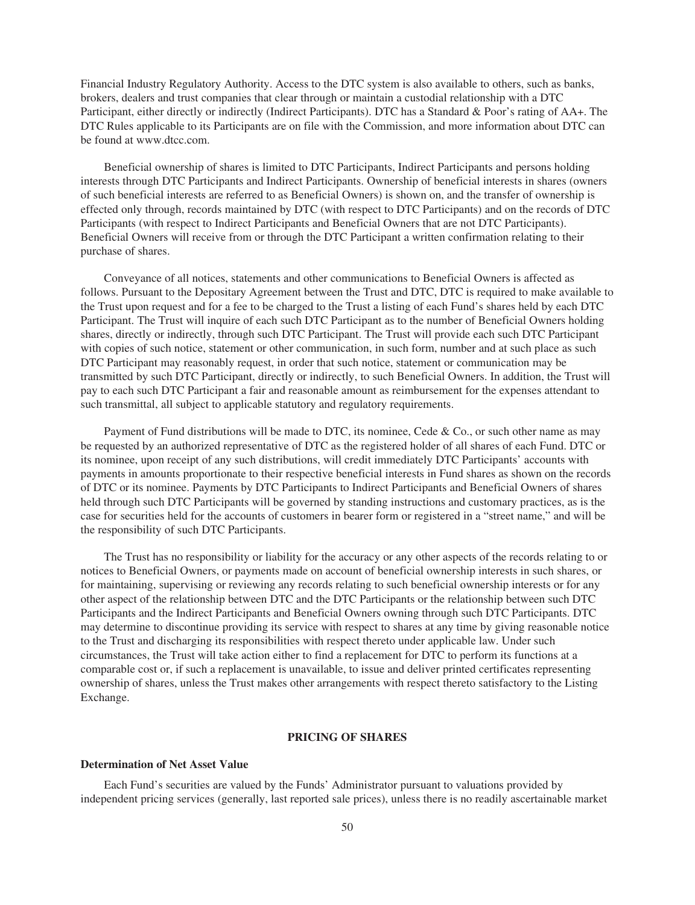Financial Industry Regulatory Authority. Access to the DTC system is also available to others, such as banks, brokers, dealers and trust companies that clear through or maintain a custodial relationship with a DTC Participant, either directly or indirectly (Indirect Participants). DTC has a Standard & Poor's rating of AA+. The DTC Rules applicable to its Participants are on file with the Commission, and more information about DTC can be found at www.dtcc.com.

Beneficial ownership of shares is limited to DTC Participants, Indirect Participants and persons holding interests through DTC Participants and Indirect Participants. Ownership of beneficial interests in shares (owners of such beneficial interests are referred to as Beneficial Owners) is shown on, and the transfer of ownership is effected only through, records maintained by DTC (with respect to DTC Participants) and on the records of DTC Participants (with respect to Indirect Participants and Beneficial Owners that are not DTC Participants). Beneficial Owners will receive from or through the DTC Participant a written confirmation relating to their purchase of shares.

Conveyance of all notices, statements and other communications to Beneficial Owners is affected as follows. Pursuant to the Depositary Agreement between the Trust and DTC, DTC is required to make available to the Trust upon request and for a fee to be charged to the Trust a listing of each Fund's shares held by each DTC Participant. The Trust will inquire of each such DTC Participant as to the number of Beneficial Owners holding shares, directly or indirectly, through such DTC Participant. The Trust will provide each such DTC Participant with copies of such notice, statement or other communication, in such form, number and at such place as such DTC Participant may reasonably request, in order that such notice, statement or communication may be transmitted by such DTC Participant, directly or indirectly, to such Beneficial Owners. In addition, the Trust will pay to each such DTC Participant a fair and reasonable amount as reimbursement for the expenses attendant to such transmittal, all subject to applicable statutory and regulatory requirements.

Payment of Fund distributions will be made to DTC, its nominee, Cede  $\&$  Co., or such other name as may be requested by an authorized representative of DTC as the registered holder of all shares of each Fund. DTC or its nominee, upon receipt of any such distributions, will credit immediately DTC Participants' accounts with payments in amounts proportionate to their respective beneficial interests in Fund shares as shown on the records of DTC or its nominee. Payments by DTC Participants to Indirect Participants and Beneficial Owners of shares held through such DTC Participants will be governed by standing instructions and customary practices, as is the case for securities held for the accounts of customers in bearer form or registered in a "street name," and will be the responsibility of such DTC Participants.

The Trust has no responsibility or liability for the accuracy or any other aspects of the records relating to or notices to Beneficial Owners, or payments made on account of beneficial ownership interests in such shares, or for maintaining, supervising or reviewing any records relating to such beneficial ownership interests or for any other aspect of the relationship between DTC and the DTC Participants or the relationship between such DTC Participants and the Indirect Participants and Beneficial Owners owning through such DTC Participants. DTC may determine to discontinue providing its service with respect to shares at any time by giving reasonable notice to the Trust and discharging its responsibilities with respect thereto under applicable law. Under such circumstances, the Trust will take action either to find a replacement for DTC to perform its functions at a comparable cost or, if such a replacement is unavailable, to issue and deliver printed certificates representing ownership of shares, unless the Trust makes other arrangements with respect thereto satisfactory to the Listing Exchange.

# **PRICING OF SHARES**

## **Determination of Net Asset Value**

Each Fund's securities are valued by the Funds' Administrator pursuant to valuations provided by independent pricing services (generally, last reported sale prices), unless there is no readily ascertainable market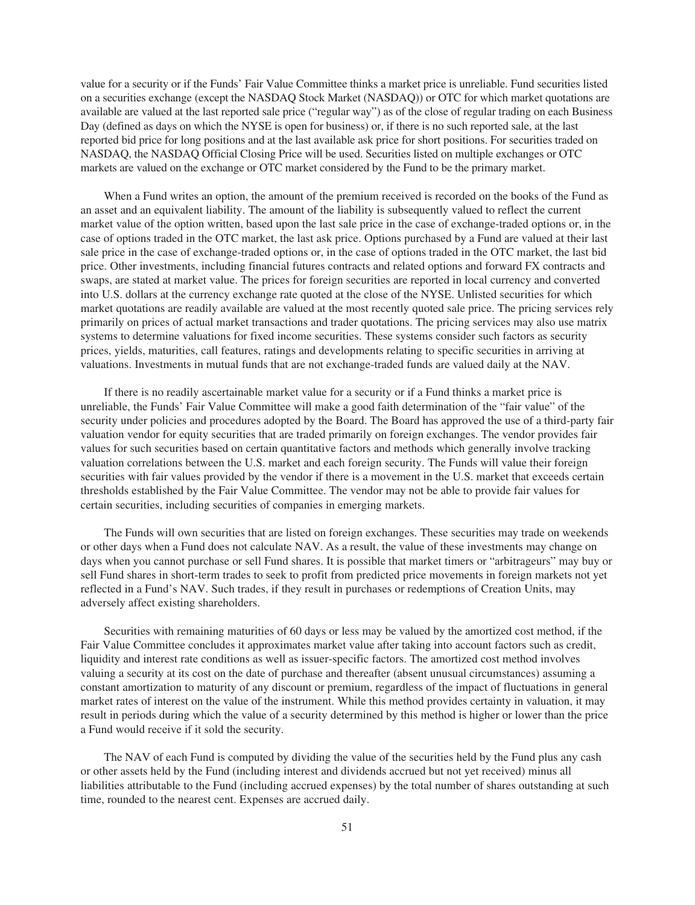value for a security or if the Funds' Fair Value Committee thinks a market price is unreliable. Fund securities listed on a securities exchange (except the NASDAQ Stock Market (NASDAQ)) or OTC for which market quotations are available are valued at the last reported sale price ("regular way") as of the close of regular trading on each Business Day (defined as days on which the NYSE is open for business) or, if there is no such reported sale, at the last reported bid price for long positions and at the last available ask price for short positions. For securities traded on NASDAQ, the NASDAQ Official Closing Price will be used. Securities listed on multiple exchanges or OTC markets are valued on the exchange or OTC market considered by the Fund to be the primary market.

When a Fund writes an option, the amount of the premium received is recorded on the books of the Fund as an asset and an equivalent liability. The amount of the liability is subsequently valued to reflect the current market value of the option written, based upon the last sale price in the case of exchange-traded options or, in the case of options traded in the OTC market, the last ask price. Options purchased by a Fund are valued at their last sale price in the case of exchange-traded options or, in the case of options traded in the OTC market, the last bid price. Other investments, including financial futures contracts and related options and forward FX contracts and swaps, are stated at market value. The prices for foreign securities are reported in local currency and converted into U.S. dollars at the currency exchange rate quoted at the close of the NYSE. Unlisted securities for which market quotations are readily available are valued at the most recently quoted sale price. The pricing services rely primarily on prices of actual market transactions and trader quotations. The pricing services may also use matrix systems to determine valuations for fixed income securities. These systems consider such factors as security prices, yields, maturities, call features, ratings and developments relating to specific securities in arriving at valuations. Investments in mutual funds that are not exchange-traded funds are valued daily at the NAV.

If there is no readily ascertainable market value for a security or if a Fund thinks a market price is unreliable, the Funds' Fair Value Committee will make a good faith determination of the "fair value" of the security under policies and procedures adopted by the Board. The Board has approved the use of a third-party fair valuation vendor for equity securities that are traded primarily on foreign exchanges. The vendor provides fair values for such securities based on certain quantitative factors and methods which generally involve tracking valuation correlations between the U.S. market and each foreign security. The Funds will value their foreign securities with fair values provided by the vendor if there is a movement in the U.S. market that exceeds certain thresholds established by the Fair Value Committee. The vendor may not be able to provide fair values for certain securities, including securities of companies in emerging markets.

The Funds will own securities that are listed on foreign exchanges. These securities may trade on weekends or other days when a Fund does not calculate NAV. As a result, the value of these investments may change on days when you cannot purchase or sell Fund shares. It is possible that market timers or "arbitrageurs" may buy or sell Fund shares in short-term trades to seek to profit from predicted price movements in foreign markets not yet reflected in a Fund's NAV. Such trades, if they result in purchases or redemptions of Creation Units, may adversely affect existing shareholders.

Securities with remaining maturities of 60 days or less may be valued by the amortized cost method, if the Fair Value Committee concludes it approximates market value after taking into account factors such as credit, liquidity and interest rate conditions as well as issuer-specific factors. The amortized cost method involves valuing a security at its cost on the date of purchase and thereafter (absent unusual circumstances) assuming a constant amortization to maturity of any discount or premium, regardless of the impact of fluctuations in general market rates of interest on the value of the instrument. While this method provides certainty in valuation, it may result in periods during which the value of a security determined by this method is higher or lower than the price a Fund would receive if it sold the security.

The NAV of each Fund is computed by dividing the value of the securities held by the Fund plus any cash or other assets held by the Fund (including interest and dividends accrued but not yet received) minus all liabilities attributable to the Fund (including accrued expenses) by the total number of shares outstanding at such time, rounded to the nearest cent. Expenses are accrued daily.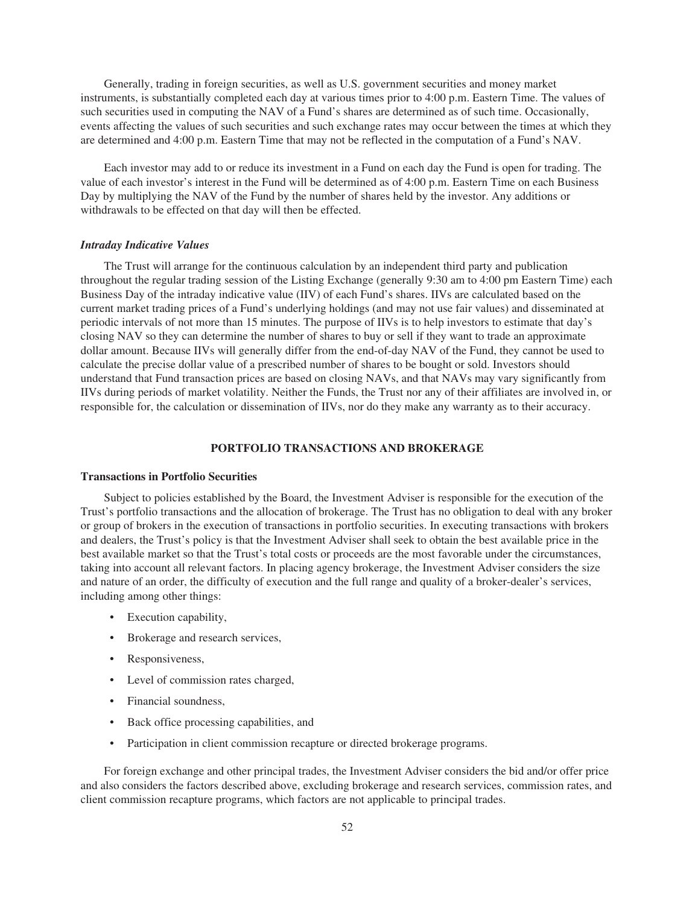Generally, trading in foreign securities, as well as U.S. government securities and money market instruments, is substantially completed each day at various times prior to 4:00 p.m. Eastern Time. The values of such securities used in computing the NAV of a Fund's shares are determined as of such time. Occasionally, events affecting the values of such securities and such exchange rates may occur between the times at which they are determined and 4:00 p.m. Eastern Time that may not be reflected in the computation of a Fund's NAV.

Each investor may add to or reduce its investment in a Fund on each day the Fund is open for trading. The value of each investor's interest in the Fund will be determined as of 4:00 p.m. Eastern Time on each Business Day by multiplying the NAV of the Fund by the number of shares held by the investor. Any additions or withdrawals to be effected on that day will then be effected.

### *Intraday Indicative Values*

The Trust will arrange for the continuous calculation by an independent third party and publication throughout the regular trading session of the Listing Exchange (generally 9:30 am to 4:00 pm Eastern Time) each Business Day of the intraday indicative value (IIV) of each Fund's shares. IIVs are calculated based on the current market trading prices of a Fund's underlying holdings (and may not use fair values) and disseminated at periodic intervals of not more than 15 minutes. The purpose of IIVs is to help investors to estimate that day's closing NAV so they can determine the number of shares to buy or sell if they want to trade an approximate dollar amount. Because IIVs will generally differ from the end-of-day NAV of the Fund, they cannot be used to calculate the precise dollar value of a prescribed number of shares to be bought or sold. Investors should understand that Fund transaction prices are based on closing NAVs, and that NAVs may vary significantly from IIVs during periods of market volatility. Neither the Funds, the Trust nor any of their affiliates are involved in, or responsible for, the calculation or dissemination of IIVs, nor do they make any warranty as to their accuracy.

# **PORTFOLIO TRANSACTIONS AND BROKERAGE**

## **Transactions in Portfolio Securities**

Subject to policies established by the Board, the Investment Adviser is responsible for the execution of the Trust's portfolio transactions and the allocation of brokerage. The Trust has no obligation to deal with any broker or group of brokers in the execution of transactions in portfolio securities. In executing transactions with brokers and dealers, the Trust's policy is that the Investment Adviser shall seek to obtain the best available price in the best available market so that the Trust's total costs or proceeds are the most favorable under the circumstances, taking into account all relevant factors. In placing agency brokerage, the Investment Adviser considers the size and nature of an order, the difficulty of execution and the full range and quality of a broker-dealer's services, including among other things:

- Execution capability,
- Brokerage and research services,
- Responsiveness,
- Level of commission rates charged,
- Financial soundness,
- Back office processing capabilities, and
- Participation in client commission recapture or directed brokerage programs.

For foreign exchange and other principal trades, the Investment Adviser considers the bid and/or offer price and also considers the factors described above, excluding brokerage and research services, commission rates, and client commission recapture programs, which factors are not applicable to principal trades.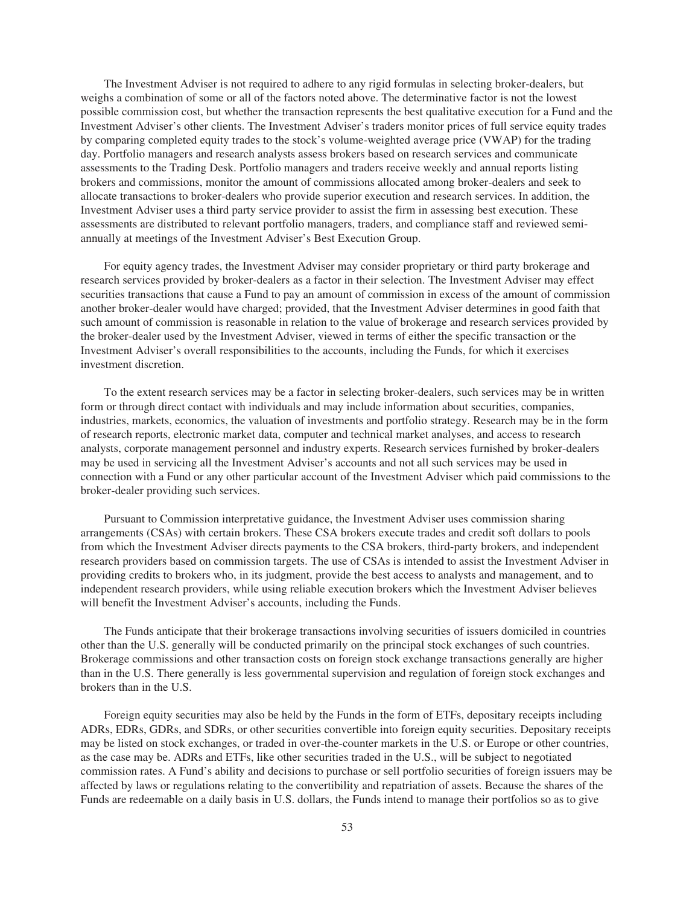The Investment Adviser is not required to adhere to any rigid formulas in selecting broker-dealers, but weighs a combination of some or all of the factors noted above. The determinative factor is not the lowest possible commission cost, but whether the transaction represents the best qualitative execution for a Fund and the Investment Adviser's other clients. The Investment Adviser's traders monitor prices of full service equity trades by comparing completed equity trades to the stock's volume-weighted average price (VWAP) for the trading day. Portfolio managers and research analysts assess brokers based on research services and communicate assessments to the Trading Desk. Portfolio managers and traders receive weekly and annual reports listing brokers and commissions, monitor the amount of commissions allocated among broker-dealers and seek to allocate transactions to broker-dealers who provide superior execution and research services. In addition, the Investment Adviser uses a third party service provider to assist the firm in assessing best execution. These assessments are distributed to relevant portfolio managers, traders, and compliance staff and reviewed semiannually at meetings of the Investment Adviser's Best Execution Group.

For equity agency trades, the Investment Adviser may consider proprietary or third party brokerage and research services provided by broker-dealers as a factor in their selection. The Investment Adviser may effect securities transactions that cause a Fund to pay an amount of commission in excess of the amount of commission another broker-dealer would have charged; provided, that the Investment Adviser determines in good faith that such amount of commission is reasonable in relation to the value of brokerage and research services provided by the broker-dealer used by the Investment Adviser, viewed in terms of either the specific transaction or the Investment Adviser's overall responsibilities to the accounts, including the Funds, for which it exercises investment discretion.

To the extent research services may be a factor in selecting broker-dealers, such services may be in written form or through direct contact with individuals and may include information about securities, companies, industries, markets, economics, the valuation of investments and portfolio strategy. Research may be in the form of research reports, electronic market data, computer and technical market analyses, and access to research analysts, corporate management personnel and industry experts. Research services furnished by broker-dealers may be used in servicing all the Investment Adviser's accounts and not all such services may be used in connection with a Fund or any other particular account of the Investment Adviser which paid commissions to the broker-dealer providing such services.

Pursuant to Commission interpretative guidance, the Investment Adviser uses commission sharing arrangements (CSAs) with certain brokers. These CSA brokers execute trades and credit soft dollars to pools from which the Investment Adviser directs payments to the CSA brokers, third-party brokers, and independent research providers based on commission targets. The use of CSAs is intended to assist the Investment Adviser in providing credits to brokers who, in its judgment, provide the best access to analysts and management, and to independent research providers, while using reliable execution brokers which the Investment Adviser believes will benefit the Investment Adviser's accounts, including the Funds.

The Funds anticipate that their brokerage transactions involving securities of issuers domiciled in countries other than the U.S. generally will be conducted primarily on the principal stock exchanges of such countries. Brokerage commissions and other transaction costs on foreign stock exchange transactions generally are higher than in the U.S. There generally is less governmental supervision and regulation of foreign stock exchanges and brokers than in the U.S.

Foreign equity securities may also be held by the Funds in the form of ETFs, depositary receipts including ADRs, EDRs, GDRs, and SDRs, or other securities convertible into foreign equity securities. Depositary receipts may be listed on stock exchanges, or traded in over-the-counter markets in the U.S. or Europe or other countries, as the case may be. ADRs and ETFs, like other securities traded in the U.S., will be subject to negotiated commission rates. A Fund's ability and decisions to purchase or sell portfolio securities of foreign issuers may be affected by laws or regulations relating to the convertibility and repatriation of assets. Because the shares of the Funds are redeemable on a daily basis in U.S. dollars, the Funds intend to manage their portfolios so as to give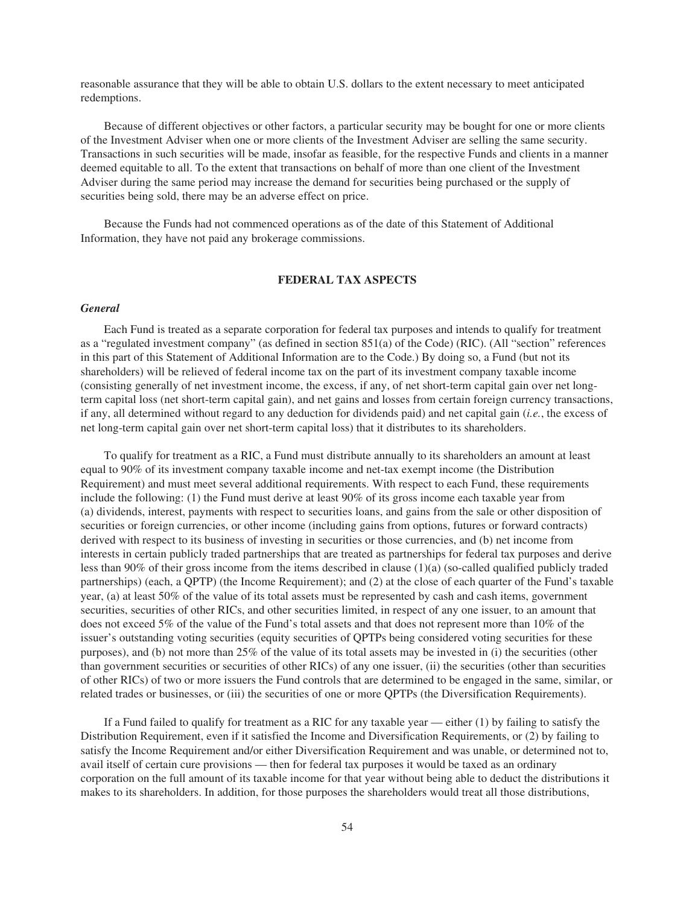reasonable assurance that they will be able to obtain U.S. dollars to the extent necessary to meet anticipated redemptions.

Because of different objectives or other factors, a particular security may be bought for one or more clients of the Investment Adviser when one or more clients of the Investment Adviser are selling the same security. Transactions in such securities will be made, insofar as feasible, for the respective Funds and clients in a manner deemed equitable to all. To the extent that transactions on behalf of more than one client of the Investment Adviser during the same period may increase the demand for securities being purchased or the supply of securities being sold, there may be an adverse effect on price.

Because the Funds had not commenced operations as of the date of this Statement of Additional Information, they have not paid any brokerage commissions.

# **FEDERAL TAX ASPECTS**

# *General*

Each Fund is treated as a separate corporation for federal tax purposes and intends to qualify for treatment as a "regulated investment company" (as defined in section 851(a) of the Code) (RIC). (All "section" references in this part of this Statement of Additional Information are to the Code.) By doing so, a Fund (but not its shareholders) will be relieved of federal income tax on the part of its investment company taxable income (consisting generally of net investment income, the excess, if any, of net short-term capital gain over net longterm capital loss (net short-term capital gain), and net gains and losses from certain foreign currency transactions, if any, all determined without regard to any deduction for dividends paid) and net capital gain (*i.e.*, the excess of net long-term capital gain over net short-term capital loss) that it distributes to its shareholders.

To qualify for treatment as a RIC, a Fund must distribute annually to its shareholders an amount at least equal to 90% of its investment company taxable income and net-tax exempt income (the Distribution Requirement) and must meet several additional requirements. With respect to each Fund, these requirements include the following: (1) the Fund must derive at least 90% of its gross income each taxable year from (a) dividends, interest, payments with respect to securities loans, and gains from the sale or other disposition of securities or foreign currencies, or other income (including gains from options, futures or forward contracts) derived with respect to its business of investing in securities or those currencies, and (b) net income from interests in certain publicly traded partnerships that are treated as partnerships for federal tax purposes and derive less than 90% of their gross income from the items described in clause (1)(a) (so-called qualified publicly traded partnerships) (each, a QPTP) (the Income Requirement); and (2) at the close of each quarter of the Fund's taxable year, (a) at least 50% of the value of its total assets must be represented by cash and cash items, government securities, securities of other RICs, and other securities limited, in respect of any one issuer, to an amount that does not exceed 5% of the value of the Fund's total assets and that does not represent more than 10% of the issuer's outstanding voting securities (equity securities of QPTPs being considered voting securities for these purposes), and (b) not more than 25% of the value of its total assets may be invested in (i) the securities (other than government securities or securities of other RICs) of any one issuer, (ii) the securities (other than securities of other RICs) of two or more issuers the Fund controls that are determined to be engaged in the same, similar, or related trades or businesses, or (iii) the securities of one or more QPTPs (the Diversification Requirements).

If a Fund failed to qualify for treatment as a RIC for any taxable year — either (1) by failing to satisfy the Distribution Requirement, even if it satisfied the Income and Diversification Requirements, or (2) by failing to satisfy the Income Requirement and/or either Diversification Requirement and was unable, or determined not to, avail itself of certain cure provisions — then for federal tax purposes it would be taxed as an ordinary corporation on the full amount of its taxable income for that year without being able to deduct the distributions it makes to its shareholders. In addition, for those purposes the shareholders would treat all those distributions,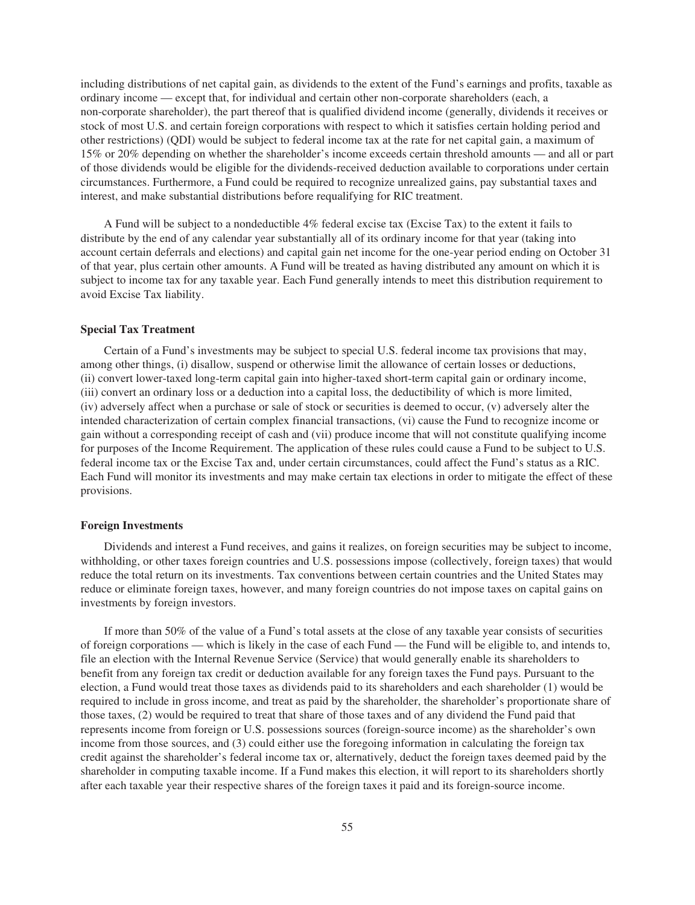including distributions of net capital gain, as dividends to the extent of the Fund's earnings and profits, taxable as ordinary income — except that, for individual and certain other non-corporate shareholders (each, a non-corporate shareholder), the part thereof that is qualified dividend income (generally, dividends it receives or stock of most U.S. and certain foreign corporations with respect to which it satisfies certain holding period and other restrictions) (QDI) would be subject to federal income tax at the rate for net capital gain, a maximum of 15% or 20% depending on whether the shareholder's income exceeds certain threshold amounts — and all or part of those dividends would be eligible for the dividends-received deduction available to corporations under certain circumstances. Furthermore, a Fund could be required to recognize unrealized gains, pay substantial taxes and interest, and make substantial distributions before requalifying for RIC treatment.

A Fund will be subject to a nondeductible 4% federal excise tax (Excise Tax) to the extent it fails to distribute by the end of any calendar year substantially all of its ordinary income for that year (taking into account certain deferrals and elections) and capital gain net income for the one-year period ending on October 31 of that year, plus certain other amounts. A Fund will be treated as having distributed any amount on which it is subject to income tax for any taxable year. Each Fund generally intends to meet this distribution requirement to avoid Excise Tax liability.

# **Special Tax Treatment**

Certain of a Fund's investments may be subject to special U.S. federal income tax provisions that may, among other things, (i) disallow, suspend or otherwise limit the allowance of certain losses or deductions, (ii) convert lower-taxed long-term capital gain into higher-taxed short-term capital gain or ordinary income, (iii) convert an ordinary loss or a deduction into a capital loss, the deductibility of which is more limited, (iv) adversely affect when a purchase or sale of stock or securities is deemed to occur, (v) adversely alter the intended characterization of certain complex financial transactions, (vi) cause the Fund to recognize income or gain without a corresponding receipt of cash and (vii) produce income that will not constitute qualifying income for purposes of the Income Requirement. The application of these rules could cause a Fund to be subject to U.S. federal income tax or the Excise Tax and, under certain circumstances, could affect the Fund's status as a RIC. Each Fund will monitor its investments and may make certain tax elections in order to mitigate the effect of these provisions.

#### **Foreign Investments**

Dividends and interest a Fund receives, and gains it realizes, on foreign securities may be subject to income, withholding, or other taxes foreign countries and U.S. possessions impose (collectively, foreign taxes) that would reduce the total return on its investments. Tax conventions between certain countries and the United States may reduce or eliminate foreign taxes, however, and many foreign countries do not impose taxes on capital gains on investments by foreign investors.

If more than 50% of the value of a Fund's total assets at the close of any taxable year consists of securities of foreign corporations — which is likely in the case of each Fund — the Fund will be eligible to, and intends to, file an election with the Internal Revenue Service (Service) that would generally enable its shareholders to benefit from any foreign tax credit or deduction available for any foreign taxes the Fund pays. Pursuant to the election, a Fund would treat those taxes as dividends paid to its shareholders and each shareholder (1) would be required to include in gross income, and treat as paid by the shareholder, the shareholder's proportionate share of those taxes, (2) would be required to treat that share of those taxes and of any dividend the Fund paid that represents income from foreign or U.S. possessions sources (foreign-source income) as the shareholder's own income from those sources, and (3) could either use the foregoing information in calculating the foreign tax credit against the shareholder's federal income tax or, alternatively, deduct the foreign taxes deemed paid by the shareholder in computing taxable income. If a Fund makes this election, it will report to its shareholders shortly after each taxable year their respective shares of the foreign taxes it paid and its foreign-source income.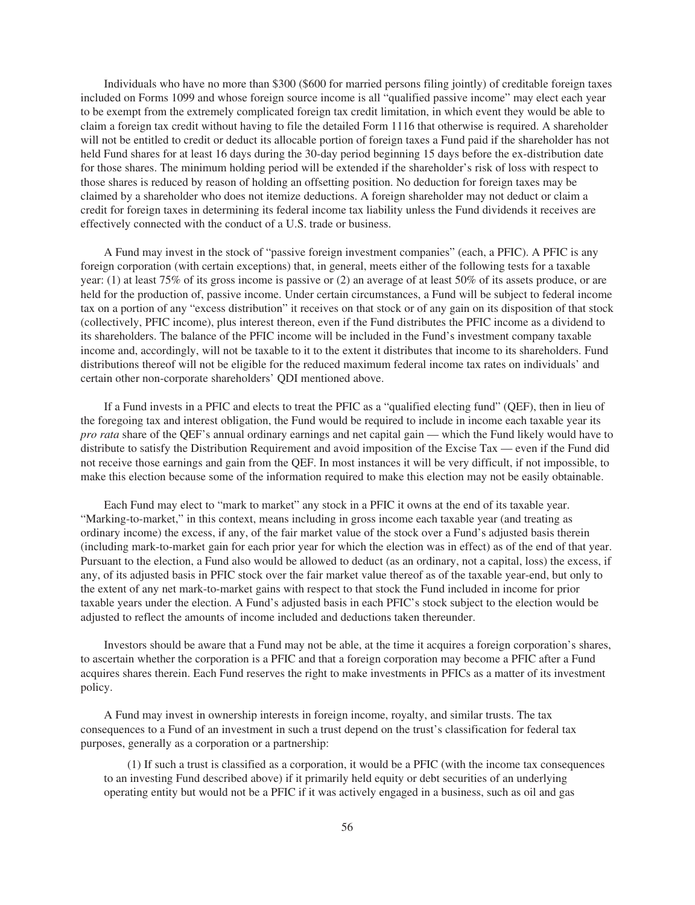Individuals who have no more than \$300 (\$600 for married persons filing jointly) of creditable foreign taxes included on Forms 1099 and whose foreign source income is all "qualified passive income" may elect each year to be exempt from the extremely complicated foreign tax credit limitation, in which event they would be able to claim a foreign tax credit without having to file the detailed Form 1116 that otherwise is required. A shareholder will not be entitled to credit or deduct its allocable portion of foreign taxes a Fund paid if the shareholder has not held Fund shares for at least 16 days during the 30-day period beginning 15 days before the ex-distribution date for those shares. The minimum holding period will be extended if the shareholder's risk of loss with respect to those shares is reduced by reason of holding an offsetting position. No deduction for foreign taxes may be claimed by a shareholder who does not itemize deductions. A foreign shareholder may not deduct or claim a credit for foreign taxes in determining its federal income tax liability unless the Fund dividends it receives are effectively connected with the conduct of a U.S. trade or business.

A Fund may invest in the stock of "passive foreign investment companies" (each, a PFIC). A PFIC is any foreign corporation (with certain exceptions) that, in general, meets either of the following tests for a taxable year: (1) at least 75% of its gross income is passive or (2) an average of at least 50% of its assets produce, or are held for the production of, passive income. Under certain circumstances, a Fund will be subject to federal income tax on a portion of any "excess distribution" it receives on that stock or of any gain on its disposition of that stock (collectively, PFIC income), plus interest thereon, even if the Fund distributes the PFIC income as a dividend to its shareholders. The balance of the PFIC income will be included in the Fund's investment company taxable income and, accordingly, will not be taxable to it to the extent it distributes that income to its shareholders. Fund distributions thereof will not be eligible for the reduced maximum federal income tax rates on individuals' and certain other non-corporate shareholders' QDI mentioned above.

If a Fund invests in a PFIC and elects to treat the PFIC as a "qualified electing fund" (QEF), then in lieu of the foregoing tax and interest obligation, the Fund would be required to include in income each taxable year its *pro rata* share of the QEF's annual ordinary earnings and net capital gain — which the Fund likely would have to distribute to satisfy the Distribution Requirement and avoid imposition of the Excise Tax — even if the Fund did not receive those earnings and gain from the QEF. In most instances it will be very difficult, if not impossible, to make this election because some of the information required to make this election may not be easily obtainable.

Each Fund may elect to "mark to market" any stock in a PFIC it owns at the end of its taxable year. "Marking-to-market," in this context, means including in gross income each taxable year (and treating as ordinary income) the excess, if any, of the fair market value of the stock over a Fund's adjusted basis therein (including mark-to-market gain for each prior year for which the election was in effect) as of the end of that year. Pursuant to the election, a Fund also would be allowed to deduct (as an ordinary, not a capital, loss) the excess, if any, of its adjusted basis in PFIC stock over the fair market value thereof as of the taxable year-end, but only to the extent of any net mark-to-market gains with respect to that stock the Fund included in income for prior taxable years under the election. A Fund's adjusted basis in each PFIC's stock subject to the election would be adjusted to reflect the amounts of income included and deductions taken thereunder.

Investors should be aware that a Fund may not be able, at the time it acquires a foreign corporation's shares, to ascertain whether the corporation is a PFIC and that a foreign corporation may become a PFIC after a Fund acquires shares therein. Each Fund reserves the right to make investments in PFICs as a matter of its investment policy.

A Fund may invest in ownership interests in foreign income, royalty, and similar trusts. The tax consequences to a Fund of an investment in such a trust depend on the trust's classification for federal tax purposes, generally as a corporation or a partnership:

(1) If such a trust is classified as a corporation, it would be a PFIC (with the income tax consequences to an investing Fund described above) if it primarily held equity or debt securities of an underlying operating entity but would not be a PFIC if it was actively engaged in a business, such as oil and gas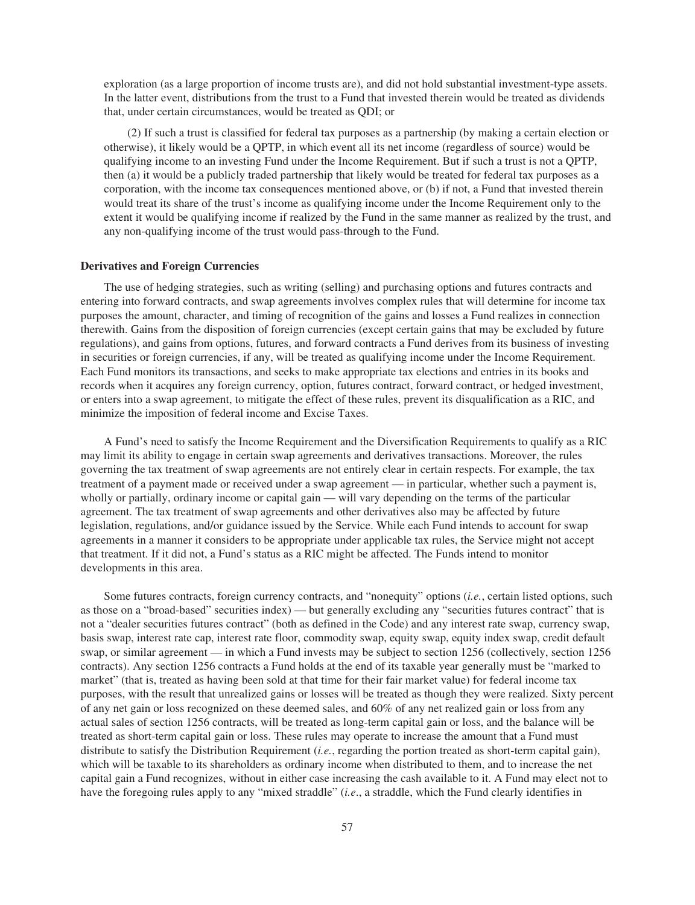exploration (as a large proportion of income trusts are), and did not hold substantial investment-type assets. In the latter event, distributions from the trust to a Fund that invested therein would be treated as dividends that, under certain circumstances, would be treated as QDI; or

(2) If such a trust is classified for federal tax purposes as a partnership (by making a certain election or otherwise), it likely would be a QPTP, in which event all its net income (regardless of source) would be qualifying income to an investing Fund under the Income Requirement. But if such a trust is not a QPTP, then (a) it would be a publicly traded partnership that likely would be treated for federal tax purposes as a corporation, with the income tax consequences mentioned above, or (b) if not, a Fund that invested therein would treat its share of the trust's income as qualifying income under the Income Requirement only to the extent it would be qualifying income if realized by the Fund in the same manner as realized by the trust, and any non-qualifying income of the trust would pass-through to the Fund.

### **Derivatives and Foreign Currencies**

The use of hedging strategies, such as writing (selling) and purchasing options and futures contracts and entering into forward contracts, and swap agreements involves complex rules that will determine for income tax purposes the amount, character, and timing of recognition of the gains and losses a Fund realizes in connection therewith. Gains from the disposition of foreign currencies (except certain gains that may be excluded by future regulations), and gains from options, futures, and forward contracts a Fund derives from its business of investing in securities or foreign currencies, if any, will be treated as qualifying income under the Income Requirement. Each Fund monitors its transactions, and seeks to make appropriate tax elections and entries in its books and records when it acquires any foreign currency, option, futures contract, forward contract, or hedged investment, or enters into a swap agreement, to mitigate the effect of these rules, prevent its disqualification as a RIC, and minimize the imposition of federal income and Excise Taxes.

A Fund's need to satisfy the Income Requirement and the Diversification Requirements to qualify as a RIC may limit its ability to engage in certain swap agreements and derivatives transactions. Moreover, the rules governing the tax treatment of swap agreements are not entirely clear in certain respects. For example, the tax treatment of a payment made or received under a swap agreement — in particular, whether such a payment is, wholly or partially, ordinary income or capital gain — will vary depending on the terms of the particular agreement. The tax treatment of swap agreements and other derivatives also may be affected by future legislation, regulations, and/or guidance issued by the Service. While each Fund intends to account for swap agreements in a manner it considers to be appropriate under applicable tax rules, the Service might not accept that treatment. If it did not, a Fund's status as a RIC might be affected. The Funds intend to monitor developments in this area.

Some futures contracts, foreign currency contracts, and "nonequity" options (*i.e.*, certain listed options, such as those on a "broad-based" securities index) — but generally excluding any "securities futures contract" that is not a "dealer securities futures contract" (both as defined in the Code) and any interest rate swap, currency swap, basis swap, interest rate cap, interest rate floor, commodity swap, equity swap, equity index swap, credit default swap, or similar agreement — in which a Fund invests may be subject to section 1256 (collectively, section 1256 contracts). Any section 1256 contracts a Fund holds at the end of its taxable year generally must be "marked to market" (that is, treated as having been sold at that time for their fair market value) for federal income tax purposes, with the result that unrealized gains or losses will be treated as though they were realized. Sixty percent of any net gain or loss recognized on these deemed sales, and 60% of any net realized gain or loss from any actual sales of section 1256 contracts, will be treated as long-term capital gain or loss, and the balance will be treated as short-term capital gain or loss. These rules may operate to increase the amount that a Fund must distribute to satisfy the Distribution Requirement (*i.e.*, regarding the portion treated as short-term capital gain), which will be taxable to its shareholders as ordinary income when distributed to them, and to increase the net capital gain a Fund recognizes, without in either case increasing the cash available to it. A Fund may elect not to have the foregoing rules apply to any "mixed straddle" (*i.e*., a straddle, which the Fund clearly identifies in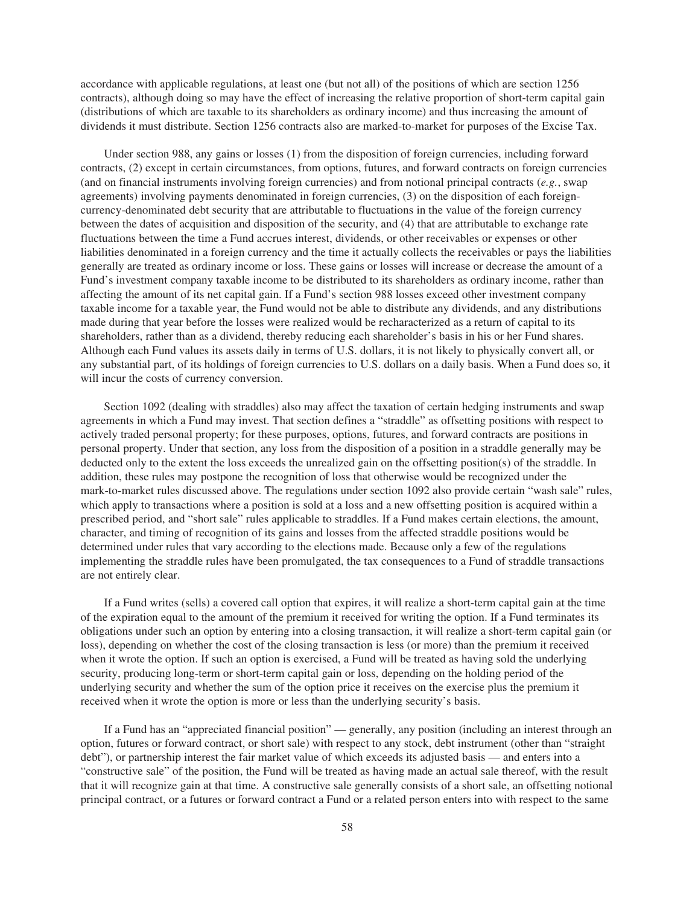accordance with applicable regulations, at least one (but not all) of the positions of which are section 1256 contracts), although doing so may have the effect of increasing the relative proportion of short-term capital gain (distributions of which are taxable to its shareholders as ordinary income) and thus increasing the amount of dividends it must distribute. Section 1256 contracts also are marked-to-market for purposes of the Excise Tax.

Under section 988, any gains or losses (1) from the disposition of foreign currencies, including forward contracts, (2) except in certain circumstances, from options, futures, and forward contracts on foreign currencies (and on financial instruments involving foreign currencies) and from notional principal contracts (*e.g.*, swap agreements) involving payments denominated in foreign currencies, (3) on the disposition of each foreigncurrency-denominated debt security that are attributable to fluctuations in the value of the foreign currency between the dates of acquisition and disposition of the security, and (4) that are attributable to exchange rate fluctuations between the time a Fund accrues interest, dividends, or other receivables or expenses or other liabilities denominated in a foreign currency and the time it actually collects the receivables or pays the liabilities generally are treated as ordinary income or loss. These gains or losses will increase or decrease the amount of a Fund's investment company taxable income to be distributed to its shareholders as ordinary income, rather than affecting the amount of its net capital gain. If a Fund's section 988 losses exceed other investment company taxable income for a taxable year, the Fund would not be able to distribute any dividends, and any distributions made during that year before the losses were realized would be recharacterized as a return of capital to its shareholders, rather than as a dividend, thereby reducing each shareholder's basis in his or her Fund shares. Although each Fund values its assets daily in terms of U.S. dollars, it is not likely to physically convert all, or any substantial part, of its holdings of foreign currencies to U.S. dollars on a daily basis. When a Fund does so, it will incur the costs of currency conversion.

Section 1092 (dealing with straddles) also may affect the taxation of certain hedging instruments and swap agreements in which a Fund may invest. That section defines a "straddle" as offsetting positions with respect to actively traded personal property; for these purposes, options, futures, and forward contracts are positions in personal property. Under that section, any loss from the disposition of a position in a straddle generally may be deducted only to the extent the loss exceeds the unrealized gain on the offsetting position(s) of the straddle. In addition, these rules may postpone the recognition of loss that otherwise would be recognized under the mark-to-market rules discussed above. The regulations under section 1092 also provide certain "wash sale" rules, which apply to transactions where a position is sold at a loss and a new offsetting position is acquired within a prescribed period, and "short sale" rules applicable to straddles. If a Fund makes certain elections, the amount, character, and timing of recognition of its gains and losses from the affected straddle positions would be determined under rules that vary according to the elections made. Because only a few of the regulations implementing the straddle rules have been promulgated, the tax consequences to a Fund of straddle transactions are not entirely clear.

If a Fund writes (sells) a covered call option that expires, it will realize a short-term capital gain at the time of the expiration equal to the amount of the premium it received for writing the option. If a Fund terminates its obligations under such an option by entering into a closing transaction, it will realize a short-term capital gain (or loss), depending on whether the cost of the closing transaction is less (or more) than the premium it received when it wrote the option. If such an option is exercised, a Fund will be treated as having sold the underlying security, producing long-term or short-term capital gain or loss, depending on the holding period of the underlying security and whether the sum of the option price it receives on the exercise plus the premium it received when it wrote the option is more or less than the underlying security's basis.

If a Fund has an "appreciated financial position" — generally, any position (including an interest through an option, futures or forward contract, or short sale) with respect to any stock, debt instrument (other than "straight debt"), or partnership interest the fair market value of which exceeds its adjusted basis — and enters into a "constructive sale" of the position, the Fund will be treated as having made an actual sale thereof, with the result that it will recognize gain at that time. A constructive sale generally consists of a short sale, an offsetting notional principal contract, or a futures or forward contract a Fund or a related person enters into with respect to the same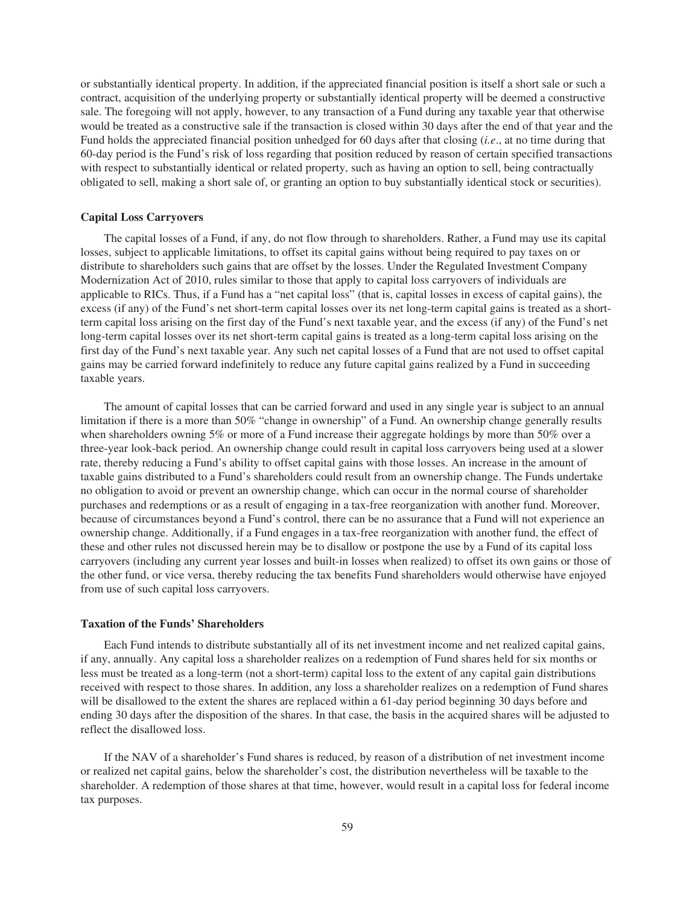or substantially identical property. In addition, if the appreciated financial position is itself a short sale or such a contract, acquisition of the underlying property or substantially identical property will be deemed a constructive sale. The foregoing will not apply, however, to any transaction of a Fund during any taxable year that otherwise would be treated as a constructive sale if the transaction is closed within 30 days after the end of that year and the Fund holds the appreciated financial position unhedged for 60 days after that closing (*i.e*., at no time during that 60-day period is the Fund's risk of loss regarding that position reduced by reason of certain specified transactions with respect to substantially identical or related property, such as having an option to sell, being contractually obligated to sell, making a short sale of, or granting an option to buy substantially identical stock or securities).

## **Capital Loss Carryovers**

The capital losses of a Fund, if any, do not flow through to shareholders. Rather, a Fund may use its capital losses, subject to applicable limitations, to offset its capital gains without being required to pay taxes on or distribute to shareholders such gains that are offset by the losses. Under the Regulated Investment Company Modernization Act of 2010, rules similar to those that apply to capital loss carryovers of individuals are applicable to RICs. Thus, if a Fund has a "net capital loss" (that is, capital losses in excess of capital gains), the excess (if any) of the Fund's net short-term capital losses over its net long-term capital gains is treated as a shortterm capital loss arising on the first day of the Fund's next taxable year, and the excess (if any) of the Fund's net long-term capital losses over its net short-term capital gains is treated as a long-term capital loss arising on the first day of the Fund's next taxable year. Any such net capital losses of a Fund that are not used to offset capital gains may be carried forward indefinitely to reduce any future capital gains realized by a Fund in succeeding taxable years.

The amount of capital losses that can be carried forward and used in any single year is subject to an annual limitation if there is a more than 50% "change in ownership" of a Fund. An ownership change generally results when shareholders owning 5% or more of a Fund increase their aggregate holdings by more than 50% over a three-year look-back period. An ownership change could result in capital loss carryovers being used at a slower rate, thereby reducing a Fund's ability to offset capital gains with those losses. An increase in the amount of taxable gains distributed to a Fund's shareholders could result from an ownership change. The Funds undertake no obligation to avoid or prevent an ownership change, which can occur in the normal course of shareholder purchases and redemptions or as a result of engaging in a tax-free reorganization with another fund. Moreover, because of circumstances beyond a Fund's control, there can be no assurance that a Fund will not experience an ownership change. Additionally, if a Fund engages in a tax-free reorganization with another fund, the effect of these and other rules not discussed herein may be to disallow or postpone the use by a Fund of its capital loss carryovers (including any current year losses and built-in losses when realized) to offset its own gains or those of the other fund, or vice versa, thereby reducing the tax benefits Fund shareholders would otherwise have enjoyed from use of such capital loss carryovers.

### **Taxation of the Funds' Shareholders**

Each Fund intends to distribute substantially all of its net investment income and net realized capital gains, if any, annually. Any capital loss a shareholder realizes on a redemption of Fund shares held for six months or less must be treated as a long-term (not a short-term) capital loss to the extent of any capital gain distributions received with respect to those shares. In addition, any loss a shareholder realizes on a redemption of Fund shares will be disallowed to the extent the shares are replaced within a 61-day period beginning 30 days before and ending 30 days after the disposition of the shares. In that case, the basis in the acquired shares will be adjusted to reflect the disallowed loss.

If the NAV of a shareholder's Fund shares is reduced, by reason of a distribution of net investment income or realized net capital gains, below the shareholder's cost, the distribution nevertheless will be taxable to the shareholder. A redemption of those shares at that time, however, would result in a capital loss for federal income tax purposes.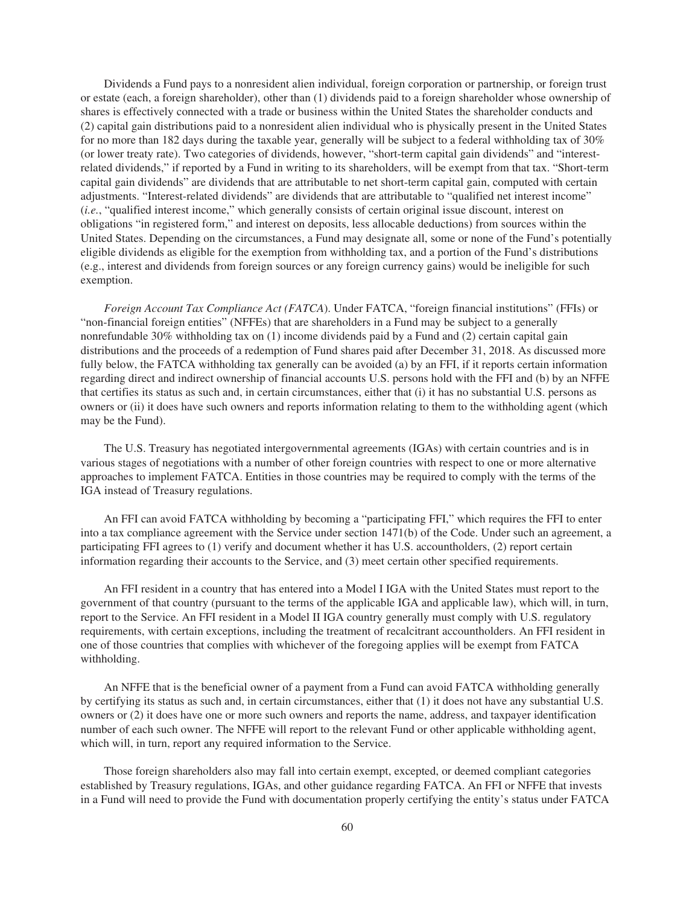Dividends a Fund pays to a nonresident alien individual, foreign corporation or partnership, or foreign trust or estate (each, a foreign shareholder), other than (1) dividends paid to a foreign shareholder whose ownership of shares is effectively connected with a trade or business within the United States the shareholder conducts and (2) capital gain distributions paid to a nonresident alien individual who is physically present in the United States for no more than 182 days during the taxable year, generally will be subject to a federal withholding tax of 30% (or lower treaty rate). Two categories of dividends, however, "short-term capital gain dividends" and "interestrelated dividends," if reported by a Fund in writing to its shareholders, will be exempt from that tax. "Short-term capital gain dividends" are dividends that are attributable to net short-term capital gain, computed with certain adjustments. "Interest-related dividends" are dividends that are attributable to "qualified net interest income" (*i.e.*, "qualified interest income," which generally consists of certain original issue discount, interest on obligations "in registered form," and interest on deposits, less allocable deductions) from sources within the United States. Depending on the circumstances, a Fund may designate all, some or none of the Fund's potentially eligible dividends as eligible for the exemption from withholding tax, and a portion of the Fund's distributions (e.g., interest and dividends from foreign sources or any foreign currency gains) would be ineligible for such exemption.

*Foreign Account Tax Compliance Act (FATCA*). Under FATCA, "foreign financial institutions" (FFIs) or "non-financial foreign entities" (NFFEs) that are shareholders in a Fund may be subject to a generally nonrefundable 30% withholding tax on (1) income dividends paid by a Fund and (2) certain capital gain distributions and the proceeds of a redemption of Fund shares paid after December 31, 2018. As discussed more fully below, the FATCA withholding tax generally can be avoided (a) by an FFI, if it reports certain information regarding direct and indirect ownership of financial accounts U.S. persons hold with the FFI and (b) by an NFFE that certifies its status as such and, in certain circumstances, either that (i) it has no substantial U.S. persons as owners or (ii) it does have such owners and reports information relating to them to the withholding agent (which may be the Fund).

The U.S. Treasury has negotiated intergovernmental agreements (IGAs) with certain countries and is in various stages of negotiations with a number of other foreign countries with respect to one or more alternative approaches to implement FATCA. Entities in those countries may be required to comply with the terms of the IGA instead of Treasury regulations.

An FFI can avoid FATCA withholding by becoming a "participating FFI," which requires the FFI to enter into a tax compliance agreement with the Service under section 1471(b) of the Code. Under such an agreement, a participating FFI agrees to (1) verify and document whether it has U.S. accountholders, (2) report certain information regarding their accounts to the Service, and (3) meet certain other specified requirements.

An FFI resident in a country that has entered into a Model I IGA with the United States must report to the government of that country (pursuant to the terms of the applicable IGA and applicable law), which will, in turn, report to the Service. An FFI resident in a Model II IGA country generally must comply with U.S. regulatory requirements, with certain exceptions, including the treatment of recalcitrant accountholders. An FFI resident in one of those countries that complies with whichever of the foregoing applies will be exempt from FATCA withholding.

An NFFE that is the beneficial owner of a payment from a Fund can avoid FATCA withholding generally by certifying its status as such and, in certain circumstances, either that (1) it does not have any substantial U.S. owners or (2) it does have one or more such owners and reports the name, address, and taxpayer identification number of each such owner. The NFFE will report to the relevant Fund or other applicable withholding agent, which will, in turn, report any required information to the Service.

Those foreign shareholders also may fall into certain exempt, excepted, or deemed compliant categories established by Treasury regulations, IGAs, and other guidance regarding FATCA. An FFI or NFFE that invests in a Fund will need to provide the Fund with documentation properly certifying the entity's status under FATCA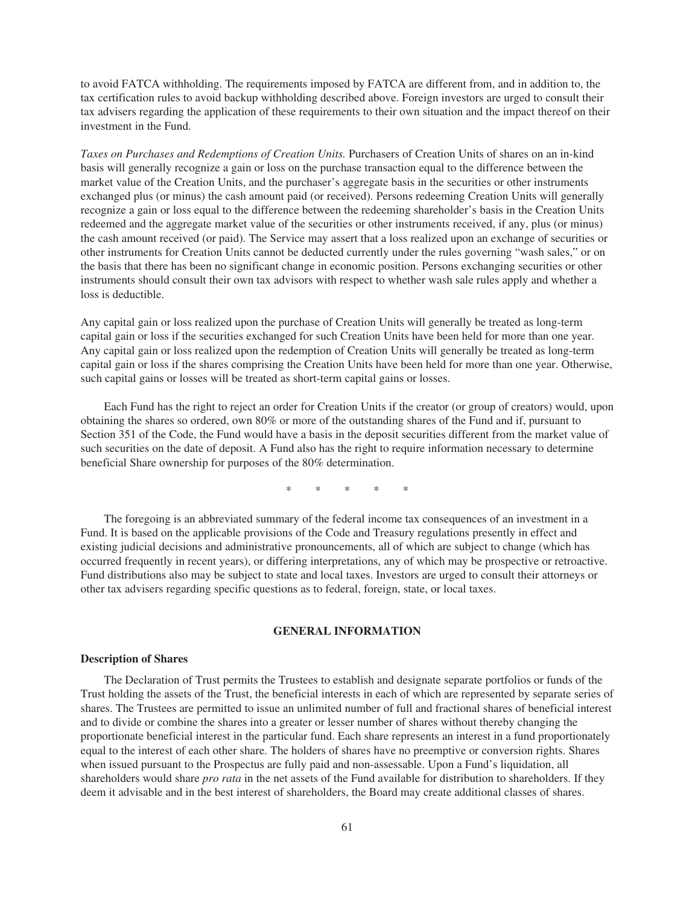to avoid FATCA withholding. The requirements imposed by FATCA are different from, and in addition to, the tax certification rules to avoid backup withholding described above. Foreign investors are urged to consult their tax advisers regarding the application of these requirements to their own situation and the impact thereof on their investment in the Fund.

*Taxes on Purchases and Redemptions of Creation Units.* Purchasers of Creation Units of shares on an in-kind basis will generally recognize a gain or loss on the purchase transaction equal to the difference between the market value of the Creation Units, and the purchaser's aggregate basis in the securities or other instruments exchanged plus (or minus) the cash amount paid (or received). Persons redeeming Creation Units will generally recognize a gain or loss equal to the difference between the redeeming shareholder's basis in the Creation Units redeemed and the aggregate market value of the securities or other instruments received, if any, plus (or minus) the cash amount received (or paid). The Service may assert that a loss realized upon an exchange of securities or other instruments for Creation Units cannot be deducted currently under the rules governing "wash sales," or on the basis that there has been no significant change in economic position. Persons exchanging securities or other instruments should consult their own tax advisors with respect to whether wash sale rules apply and whether a loss is deductible.

Any capital gain or loss realized upon the purchase of Creation Units will generally be treated as long-term capital gain or loss if the securities exchanged for such Creation Units have been held for more than one year. Any capital gain or loss realized upon the redemption of Creation Units will generally be treated as long-term capital gain or loss if the shares comprising the Creation Units have been held for more than one year. Otherwise, such capital gains or losses will be treated as short-term capital gains or losses.

Each Fund has the right to reject an order for Creation Units if the creator (or group of creators) would, upon obtaining the shares so ordered, own 80% or more of the outstanding shares of the Fund and if, pursuant to Section 351 of the Code, the Fund would have a basis in the deposit securities different from the market value of such securities on the date of deposit. A Fund also has the right to require information necessary to determine beneficial Share ownership for purposes of the 80% determination.

\*\*\*\*\*

The foregoing is an abbreviated summary of the federal income tax consequences of an investment in a Fund. It is based on the applicable provisions of the Code and Treasury regulations presently in effect and existing judicial decisions and administrative pronouncements, all of which are subject to change (which has occurred frequently in recent years), or differing interpretations, any of which may be prospective or retroactive. Fund distributions also may be subject to state and local taxes. Investors are urged to consult their attorneys or other tax advisers regarding specific questions as to federal, foreign, state, or local taxes.

# **GENERAL INFORMATION**

# **Description of Shares**

The Declaration of Trust permits the Trustees to establish and designate separate portfolios or funds of the Trust holding the assets of the Trust, the beneficial interests in each of which are represented by separate series of shares. The Trustees are permitted to issue an unlimited number of full and fractional shares of beneficial interest and to divide or combine the shares into a greater or lesser number of shares without thereby changing the proportionate beneficial interest in the particular fund. Each share represents an interest in a fund proportionately equal to the interest of each other share. The holders of shares have no preemptive or conversion rights. Shares when issued pursuant to the Prospectus are fully paid and non-assessable. Upon a Fund's liquidation, all shareholders would share *pro rata* in the net assets of the Fund available for distribution to shareholders. If they deem it advisable and in the best interest of shareholders, the Board may create additional classes of shares.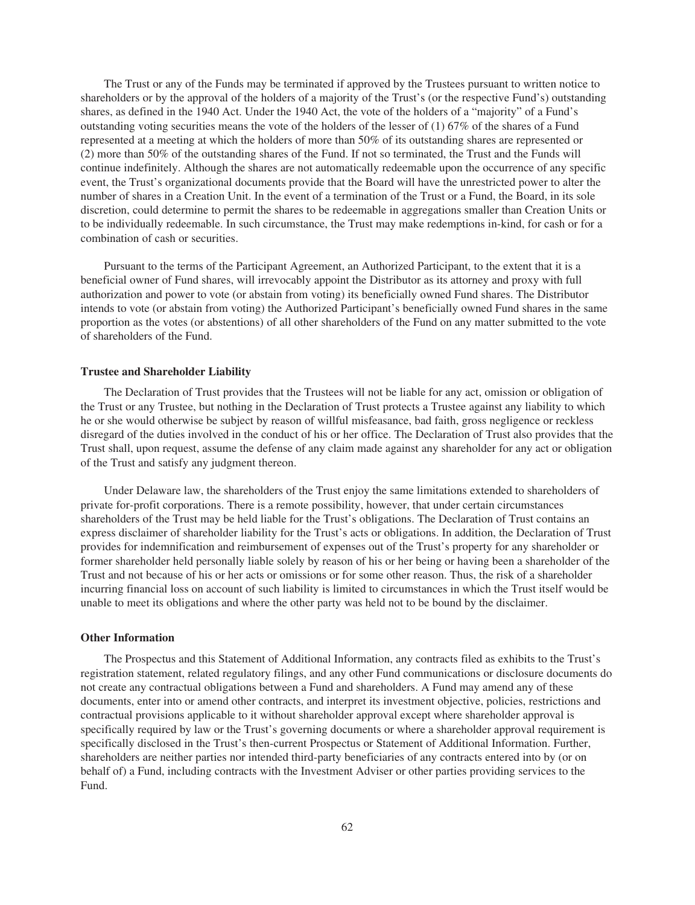The Trust or any of the Funds may be terminated if approved by the Trustees pursuant to written notice to shareholders or by the approval of the holders of a majority of the Trust's (or the respective Fund's) outstanding shares, as defined in the 1940 Act. Under the 1940 Act, the vote of the holders of a "majority" of a Fund's outstanding voting securities means the vote of the holders of the lesser of (1) 67% of the shares of a Fund represented at a meeting at which the holders of more than 50% of its outstanding shares are represented or (2) more than 50% of the outstanding shares of the Fund. If not so terminated, the Trust and the Funds will continue indefinitely. Although the shares are not automatically redeemable upon the occurrence of any specific event, the Trust's organizational documents provide that the Board will have the unrestricted power to alter the number of shares in a Creation Unit. In the event of a termination of the Trust or a Fund, the Board, in its sole discretion, could determine to permit the shares to be redeemable in aggregations smaller than Creation Units or to be individually redeemable. In such circumstance, the Trust may make redemptions in-kind, for cash or for a combination of cash or securities.

Pursuant to the terms of the Participant Agreement, an Authorized Participant, to the extent that it is a beneficial owner of Fund shares, will irrevocably appoint the Distributor as its attorney and proxy with full authorization and power to vote (or abstain from voting) its beneficially owned Fund shares. The Distributor intends to vote (or abstain from voting) the Authorized Participant's beneficially owned Fund shares in the same proportion as the votes (or abstentions) of all other shareholders of the Fund on any matter submitted to the vote of shareholders of the Fund.

## **Trustee and Shareholder Liability**

The Declaration of Trust provides that the Trustees will not be liable for any act, omission or obligation of the Trust or any Trustee, but nothing in the Declaration of Trust protects a Trustee against any liability to which he or she would otherwise be subject by reason of willful misfeasance, bad faith, gross negligence or reckless disregard of the duties involved in the conduct of his or her office. The Declaration of Trust also provides that the Trust shall, upon request, assume the defense of any claim made against any shareholder for any act or obligation of the Trust and satisfy any judgment thereon.

Under Delaware law, the shareholders of the Trust enjoy the same limitations extended to shareholders of private for-profit corporations. There is a remote possibility, however, that under certain circumstances shareholders of the Trust may be held liable for the Trust's obligations. The Declaration of Trust contains an express disclaimer of shareholder liability for the Trust's acts or obligations. In addition, the Declaration of Trust provides for indemnification and reimbursement of expenses out of the Trust's property for any shareholder or former shareholder held personally liable solely by reason of his or her being or having been a shareholder of the Trust and not because of his or her acts or omissions or for some other reason. Thus, the risk of a shareholder incurring financial loss on account of such liability is limited to circumstances in which the Trust itself would be unable to meet its obligations and where the other party was held not to be bound by the disclaimer.

## **Other Information**

The Prospectus and this Statement of Additional Information, any contracts filed as exhibits to the Trust's registration statement, related regulatory filings, and any other Fund communications or disclosure documents do not create any contractual obligations between a Fund and shareholders. A Fund may amend any of these documents, enter into or amend other contracts, and interpret its investment objective, policies, restrictions and contractual provisions applicable to it without shareholder approval except where shareholder approval is specifically required by law or the Trust's governing documents or where a shareholder approval requirement is specifically disclosed in the Trust's then-current Prospectus or Statement of Additional Information. Further, shareholders are neither parties nor intended third-party beneficiaries of any contracts entered into by (or on behalf of) a Fund, including contracts with the Investment Adviser or other parties providing services to the Fund.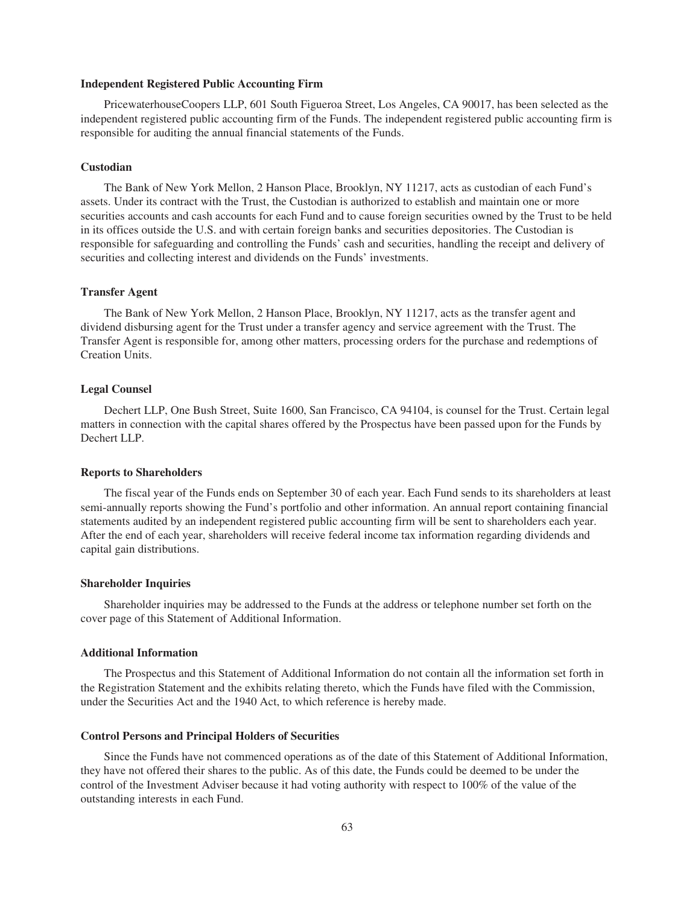#### **Independent Registered Public Accounting Firm**

PricewaterhouseCoopers LLP, 601 South Figueroa Street, Los Angeles, CA 90017, has been selected as the independent registered public accounting firm of the Funds. The independent registered public accounting firm is responsible for auditing the annual financial statements of the Funds.

# **Custodian**

The Bank of New York Mellon, 2 Hanson Place, Brooklyn, NY 11217, acts as custodian of each Fund's assets. Under its contract with the Trust, the Custodian is authorized to establish and maintain one or more securities accounts and cash accounts for each Fund and to cause foreign securities owned by the Trust to be held in its offices outside the U.S. and with certain foreign banks and securities depositories. The Custodian is responsible for safeguarding and controlling the Funds' cash and securities, handling the receipt and delivery of securities and collecting interest and dividends on the Funds' investments.

# **Transfer Agent**

The Bank of New York Mellon, 2 Hanson Place, Brooklyn, NY 11217, acts as the transfer agent and dividend disbursing agent for the Trust under a transfer agency and service agreement with the Trust. The Transfer Agent is responsible for, among other matters, processing orders for the purchase and redemptions of Creation Units.

## **Legal Counsel**

Dechert LLP, One Bush Street, Suite 1600, San Francisco, CA 94104, is counsel for the Trust. Certain legal matters in connection with the capital shares offered by the Prospectus have been passed upon for the Funds by Dechert LLP.

#### **Reports to Shareholders**

The fiscal year of the Funds ends on September 30 of each year. Each Fund sends to its shareholders at least semi-annually reports showing the Fund's portfolio and other information. An annual report containing financial statements audited by an independent registered public accounting firm will be sent to shareholders each year. After the end of each year, shareholders will receive federal income tax information regarding dividends and capital gain distributions.

#### **Shareholder Inquiries**

Shareholder inquiries may be addressed to the Funds at the address or telephone number set forth on the cover page of this Statement of Additional Information.

# **Additional Information**

The Prospectus and this Statement of Additional Information do not contain all the information set forth in the Registration Statement and the exhibits relating thereto, which the Funds have filed with the Commission, under the Securities Act and the 1940 Act, to which reference is hereby made.

### **Control Persons and Principal Holders of Securities**

Since the Funds have not commenced operations as of the date of this Statement of Additional Information, they have not offered their shares to the public. As of this date, the Funds could be deemed to be under the control of the Investment Adviser because it had voting authority with respect to 100% of the value of the outstanding interests in each Fund.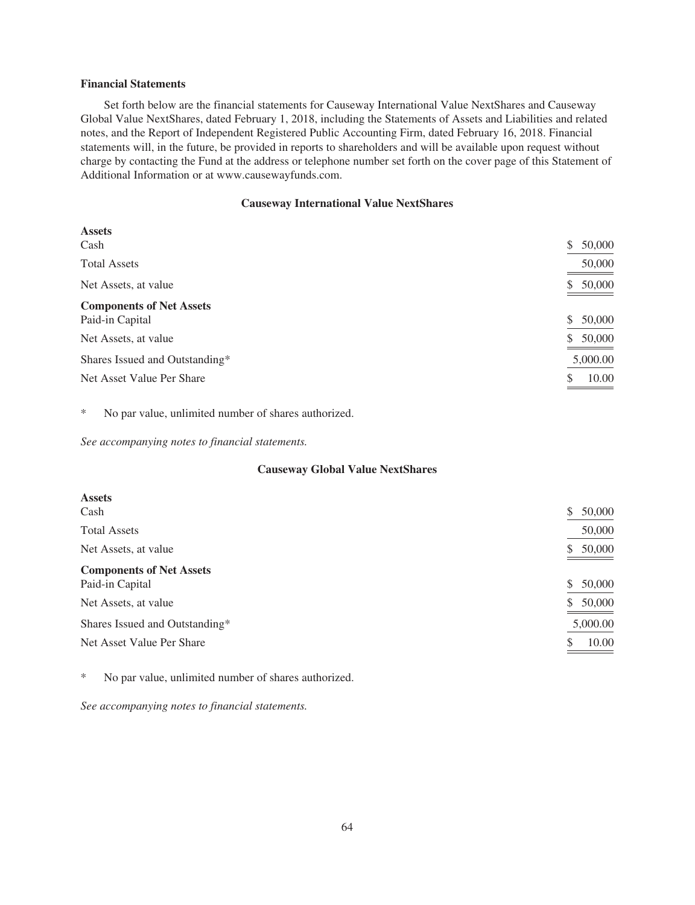## **Financial Statements**

Set forth below are the financial statements for Causeway International Value NextShares and Causeway Global Value NextShares, dated February 1, 2018, including the Statements of Assets and Liabilities and related notes, and the Report of Independent Registered Public Accounting Firm, dated February 16, 2018. Financial statements will, in the future, be provided in reports to shareholders and will be available upon request without charge by contacting the Fund at the address or telephone number set forth on the cover page of this Statement of Additional Information or at www.causewayfunds.com.

# **Causeway International Value NextShares**

| <b>Assets</b>                                      |              |
|----------------------------------------------------|--------------|
| Cash                                               | 50,000<br>\$ |
| <b>Total Assets</b>                                | 50,000       |
| Net Assets, at value                               | 50,000<br>S  |
| <b>Components of Net Assets</b><br>Paid-in Capital | 50,000<br>S  |
| Net Assets, at value                               | 50,000<br>\$ |
| Shares Issued and Outstanding*                     | 5,000.00     |
| Net Asset Value Per Share                          | 10.00<br>\$  |

\* No par value, unlimited number of shares authorized.

*See accompanying notes to financial statements.*

# **Causeway Global Value NextShares**

| <b>Assets</b>                                      |                         |
|----------------------------------------------------|-------------------------|
| Cash                                               | 50,000<br>\$            |
| <b>Total Assets</b>                                | 50,000                  |
| Net Assets, at value                               | 50,000<br>S             |
| <b>Components of Net Assets</b><br>Paid-in Capital | 50,000<br><sup>\$</sup> |
| Net Assets, at value                               | 50,000<br>\$            |
| Shares Issued and Outstanding*                     | 5,000.00                |
| Net Asset Value Per Share                          | 10.00<br>S              |

\* No par value, unlimited number of shares authorized.

*See accompanying notes to financial statements.*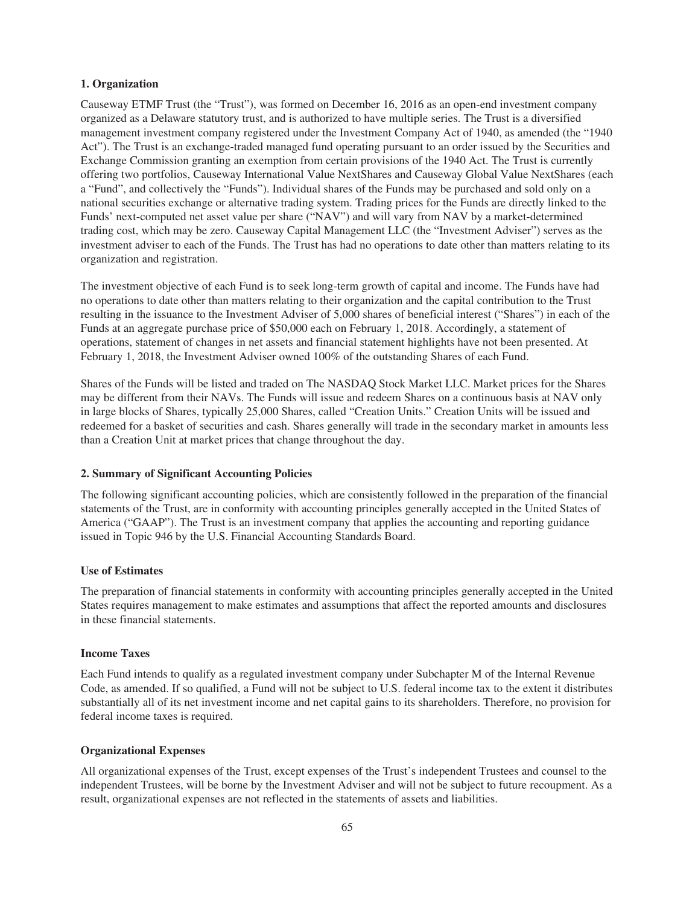# **1. Organization**

Causeway ETMF Trust (the "Trust"), was formed on December 16, 2016 as an open-end investment company organized as a Delaware statutory trust, and is authorized to have multiple series. The Trust is a diversified management investment company registered under the Investment Company Act of 1940, as amended (the "1940 Act"). The Trust is an exchange-traded managed fund operating pursuant to an order issued by the Securities and Exchange Commission granting an exemption from certain provisions of the 1940 Act. The Trust is currently offering two portfolios, Causeway International Value NextShares and Causeway Global Value NextShares (each a "Fund", and collectively the "Funds"). Individual shares of the Funds may be purchased and sold only on a national securities exchange or alternative trading system. Trading prices for the Funds are directly linked to the Funds' next-computed net asset value per share ("NAV") and will vary from NAV by a market-determined trading cost, which may be zero. Causeway Capital Management LLC (the "Investment Adviser") serves as the investment adviser to each of the Funds. The Trust has had no operations to date other than matters relating to its organization and registration.

The investment objective of each Fund is to seek long-term growth of capital and income. The Funds have had no operations to date other than matters relating to their organization and the capital contribution to the Trust resulting in the issuance to the Investment Adviser of 5,000 shares of beneficial interest ("Shares") in each of the Funds at an aggregate purchase price of \$50,000 each on February 1, 2018. Accordingly, a statement of operations, statement of changes in net assets and financial statement highlights have not been presented. At February 1, 2018, the Investment Adviser owned 100% of the outstanding Shares of each Fund.

Shares of the Funds will be listed and traded on The NASDAQ Stock Market LLC. Market prices for the Shares may be different from their NAVs. The Funds will issue and redeem Shares on a continuous basis at NAV only in large blocks of Shares, typically 25,000 Shares, called "Creation Units." Creation Units will be issued and redeemed for a basket of securities and cash. Shares generally will trade in the secondary market in amounts less than a Creation Unit at market prices that change throughout the day.

# **2. Summary of Significant Accounting Policies**

The following significant accounting policies, which are consistently followed in the preparation of the financial statements of the Trust, are in conformity with accounting principles generally accepted in the United States of America ("GAAP"). The Trust is an investment company that applies the accounting and reporting guidance issued in Topic 946 by the U.S. Financial Accounting Standards Board.

### **Use of Estimates**

The preparation of financial statements in conformity with accounting principles generally accepted in the United States requires management to make estimates and assumptions that affect the reported amounts and disclosures in these financial statements.

# **Income Taxes**

Each Fund intends to qualify as a regulated investment company under Subchapter M of the Internal Revenue Code, as amended. If so qualified, a Fund will not be subject to U.S. federal income tax to the extent it distributes substantially all of its net investment income and net capital gains to its shareholders. Therefore, no provision for federal income taxes is required.

# **Organizational Expenses**

All organizational expenses of the Trust, except expenses of the Trust's independent Trustees and counsel to the independent Trustees, will be borne by the Investment Adviser and will not be subject to future recoupment. As a result, organizational expenses are not reflected in the statements of assets and liabilities.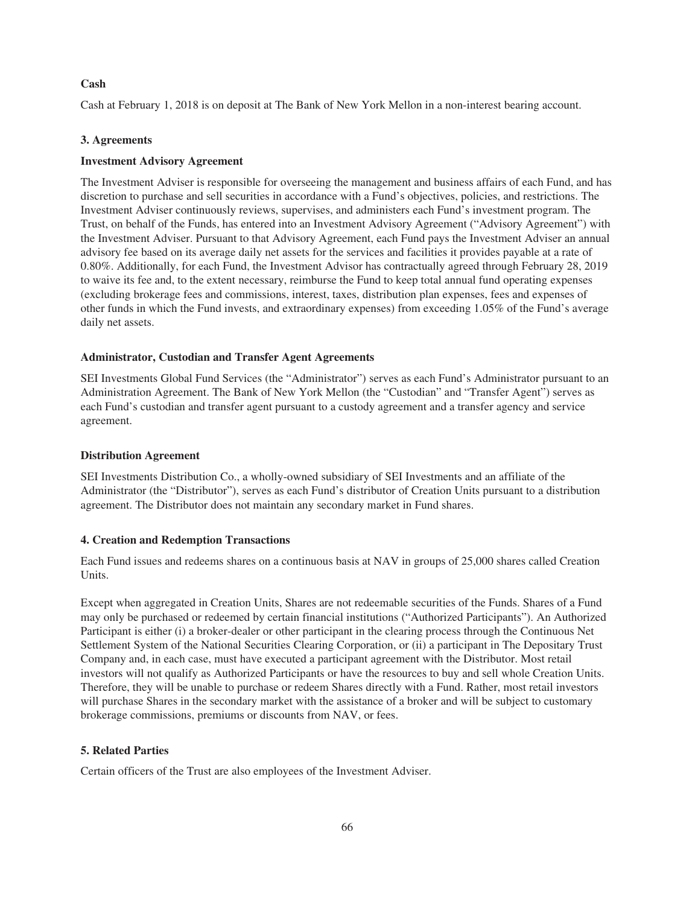# **Cash**

Cash at February 1, 2018 is on deposit at The Bank of New York Mellon in a non-interest bearing account.

# **3. Agreements**

# **Investment Advisory Agreement**

The Investment Adviser is responsible for overseeing the management and business affairs of each Fund, and has discretion to purchase and sell securities in accordance with a Fund's objectives, policies, and restrictions. The Investment Adviser continuously reviews, supervises, and administers each Fund's investment program. The Trust, on behalf of the Funds, has entered into an Investment Advisory Agreement ("Advisory Agreement") with the Investment Adviser. Pursuant to that Advisory Agreement, each Fund pays the Investment Adviser an annual advisory fee based on its average daily net assets for the services and facilities it provides payable at a rate of 0.80%. Additionally, for each Fund, the Investment Advisor has contractually agreed through February 28, 2019 to waive its fee and, to the extent necessary, reimburse the Fund to keep total annual fund operating expenses (excluding brokerage fees and commissions, interest, taxes, distribution plan expenses, fees and expenses of other funds in which the Fund invests, and extraordinary expenses) from exceeding 1.05% of the Fund's average daily net assets.

# **Administrator, Custodian and Transfer Agent Agreements**

SEI Investments Global Fund Services (the "Administrator") serves as each Fund's Administrator pursuant to an Administration Agreement. The Bank of New York Mellon (the "Custodian" and "Transfer Agent") serves as each Fund's custodian and transfer agent pursuant to a custody agreement and a transfer agency and service agreement.

# **Distribution Agreement**

SEI Investments Distribution Co., a wholly-owned subsidiary of SEI Investments and an affiliate of the Administrator (the "Distributor"), serves as each Fund's distributor of Creation Units pursuant to a distribution agreement. The Distributor does not maintain any secondary market in Fund shares.

# **4. Creation and Redemption Transactions**

Each Fund issues and redeems shares on a continuous basis at NAV in groups of 25,000 shares called Creation Units.

Except when aggregated in Creation Units, Shares are not redeemable securities of the Funds. Shares of a Fund may only be purchased or redeemed by certain financial institutions ("Authorized Participants"). An Authorized Participant is either (i) a broker-dealer or other participant in the clearing process through the Continuous Net Settlement System of the National Securities Clearing Corporation, or (ii) a participant in The Depositary Trust Company and, in each case, must have executed a participant agreement with the Distributor. Most retail investors will not qualify as Authorized Participants or have the resources to buy and sell whole Creation Units. Therefore, they will be unable to purchase or redeem Shares directly with a Fund. Rather, most retail investors will purchase Shares in the secondary market with the assistance of a broker and will be subject to customary brokerage commissions, premiums or discounts from NAV, or fees.

# **5. Related Parties**

Certain officers of the Trust are also employees of the Investment Adviser.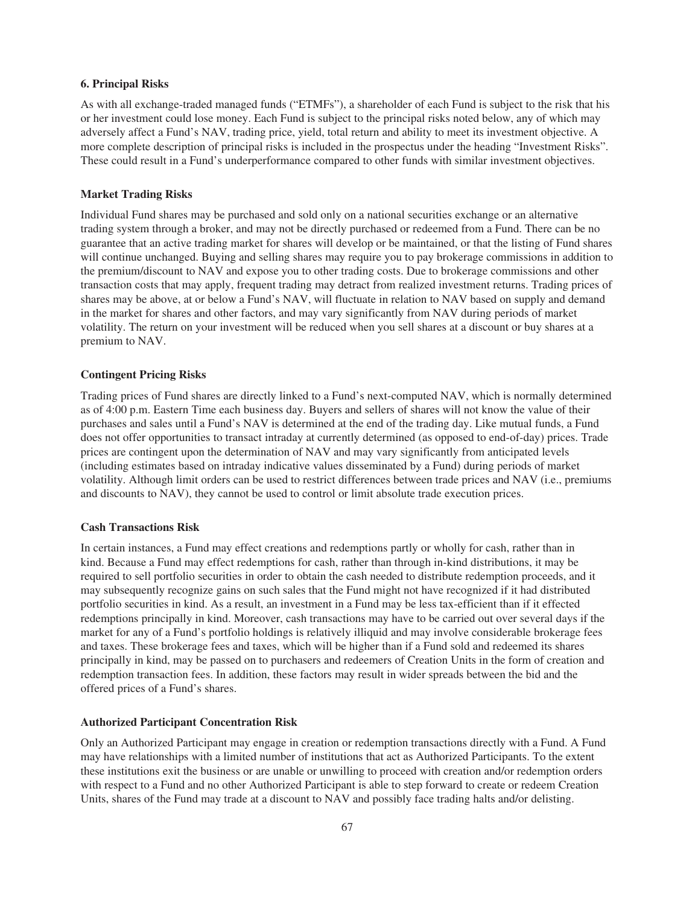# **6. Principal Risks**

As with all exchange-traded managed funds ("ETMFs"), a shareholder of each Fund is subject to the risk that his or her investment could lose money. Each Fund is subject to the principal risks noted below, any of which may adversely affect a Fund's NAV, trading price, yield, total return and ability to meet its investment objective. A more complete description of principal risks is included in the prospectus under the heading "Investment Risks". These could result in a Fund's underperformance compared to other funds with similar investment objectives.

# **Market Trading Risks**

Individual Fund shares may be purchased and sold only on a national securities exchange or an alternative trading system through a broker, and may not be directly purchased or redeemed from a Fund. There can be no guarantee that an active trading market for shares will develop or be maintained, or that the listing of Fund shares will continue unchanged. Buying and selling shares may require you to pay brokerage commissions in addition to the premium/discount to NAV and expose you to other trading costs. Due to brokerage commissions and other transaction costs that may apply, frequent trading may detract from realized investment returns. Trading prices of shares may be above, at or below a Fund's NAV, will fluctuate in relation to NAV based on supply and demand in the market for shares and other factors, and may vary significantly from NAV during periods of market volatility. The return on your investment will be reduced when you sell shares at a discount or buy shares at a premium to NAV.

## **Contingent Pricing Risks**

Trading prices of Fund shares are directly linked to a Fund's next-computed NAV, which is normally determined as of 4:00 p.m. Eastern Time each business day. Buyers and sellers of shares will not know the value of their purchases and sales until a Fund's NAV is determined at the end of the trading day. Like mutual funds, a Fund does not offer opportunities to transact intraday at currently determined (as opposed to end-of-day) prices. Trade prices are contingent upon the determination of NAV and may vary significantly from anticipated levels (including estimates based on intraday indicative values disseminated by a Fund) during periods of market volatility. Although limit orders can be used to restrict differences between trade prices and NAV (i.e., premiums and discounts to NAV), they cannot be used to control or limit absolute trade execution prices.

#### **Cash Transactions Risk**

In certain instances, a Fund may effect creations and redemptions partly or wholly for cash, rather than in kind. Because a Fund may effect redemptions for cash, rather than through in-kind distributions, it may be required to sell portfolio securities in order to obtain the cash needed to distribute redemption proceeds, and it may subsequently recognize gains on such sales that the Fund might not have recognized if it had distributed portfolio securities in kind. As a result, an investment in a Fund may be less tax-efficient than if it effected redemptions principally in kind. Moreover, cash transactions may have to be carried out over several days if the market for any of a Fund's portfolio holdings is relatively illiquid and may involve considerable brokerage fees and taxes. These brokerage fees and taxes, which will be higher than if a Fund sold and redeemed its shares principally in kind, may be passed on to purchasers and redeemers of Creation Units in the form of creation and redemption transaction fees. In addition, these factors may result in wider spreads between the bid and the offered prices of a Fund's shares.

## **Authorized Participant Concentration Risk**

Only an Authorized Participant may engage in creation or redemption transactions directly with a Fund. A Fund may have relationships with a limited number of institutions that act as Authorized Participants. To the extent these institutions exit the business or are unable or unwilling to proceed with creation and/or redemption orders with respect to a Fund and no other Authorized Participant is able to step forward to create or redeem Creation Units, shares of the Fund may trade at a discount to NAV and possibly face trading halts and/or delisting.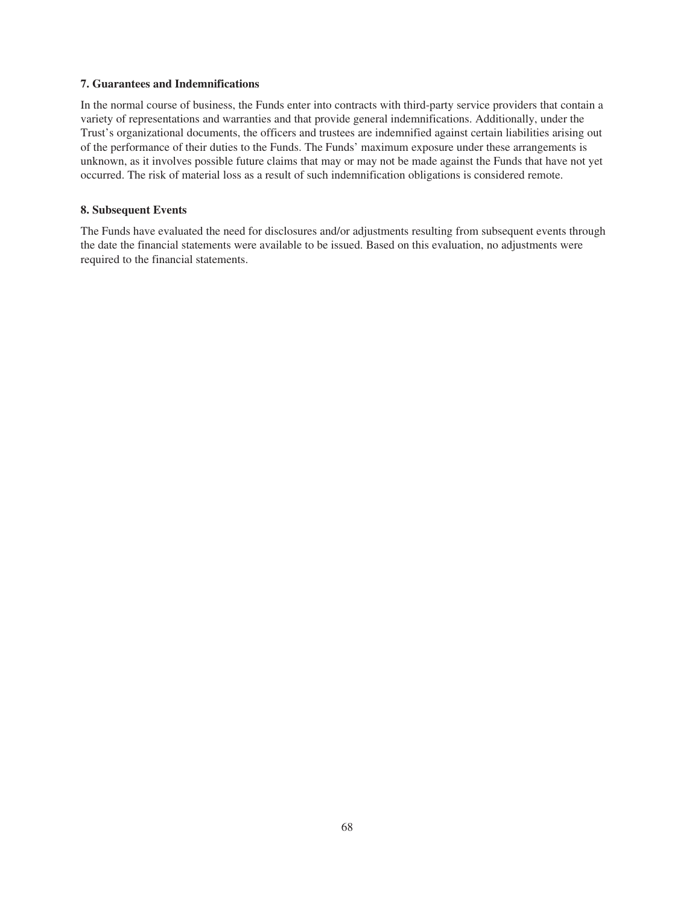# **7. Guarantees and Indemnifications**

In the normal course of business, the Funds enter into contracts with third-party service providers that contain a variety of representations and warranties and that provide general indemnifications. Additionally, under the Trust's organizational documents, the officers and trustees are indemnified against certain liabilities arising out of the performance of their duties to the Funds. The Funds' maximum exposure under these arrangements is unknown, as it involves possible future claims that may or may not be made against the Funds that have not yet occurred. The risk of material loss as a result of such indemnification obligations is considered remote.

# **8. Subsequent Events**

The Funds have evaluated the need for disclosures and/or adjustments resulting from subsequent events through the date the financial statements were available to be issued. Based on this evaluation, no adjustments were required to the financial statements.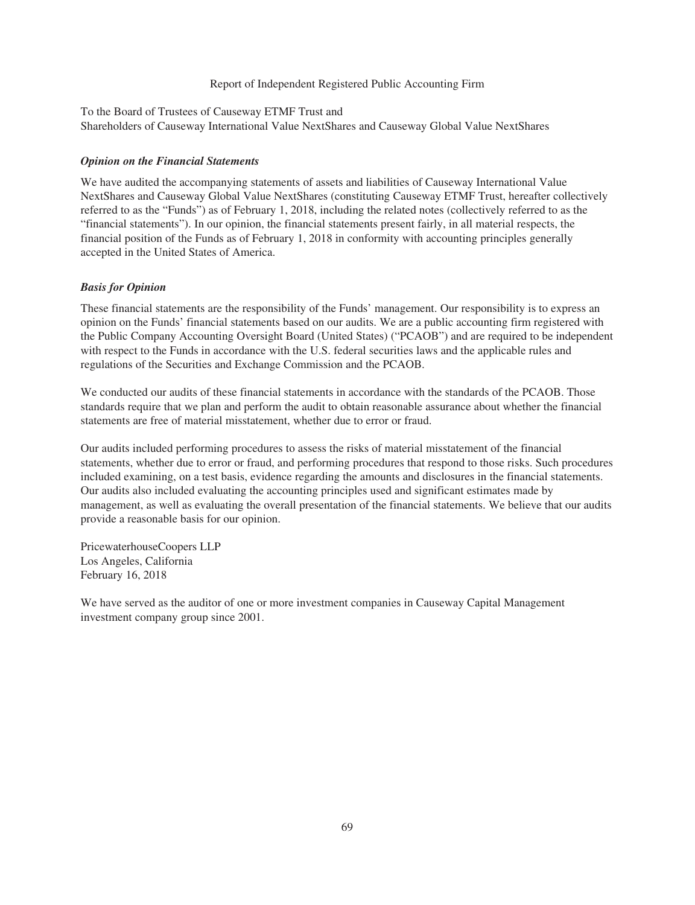# Report of Independent Registered Public Accounting Firm

To the Board of Trustees of Causeway ETMF Trust and Shareholders of Causeway International Value NextShares and Causeway Global Value NextShares

## *Opinion on the Financial Statements*

We have audited the accompanying statements of assets and liabilities of Causeway International Value NextShares and Causeway Global Value NextShares (constituting Causeway ETMF Trust, hereafter collectively referred to as the "Funds") as of February 1, 2018, including the related notes (collectively referred to as the "financial statements"). In our opinion, the financial statements present fairly, in all material respects, the financial position of the Funds as of February 1, 2018 in conformity with accounting principles generally accepted in the United States of America.

# *Basis for Opinion*

These financial statements are the responsibility of the Funds' management. Our responsibility is to express an opinion on the Funds' financial statements based on our audits. We are a public accounting firm registered with the Public Company Accounting Oversight Board (United States) ("PCAOB") and are required to be independent with respect to the Funds in accordance with the U.S. federal securities laws and the applicable rules and regulations of the Securities and Exchange Commission and the PCAOB.

We conducted our audits of these financial statements in accordance with the standards of the PCAOB. Those standards require that we plan and perform the audit to obtain reasonable assurance about whether the financial statements are free of material misstatement, whether due to error or fraud.

Our audits included performing procedures to assess the risks of material misstatement of the financial statements, whether due to error or fraud, and performing procedures that respond to those risks. Such procedures included examining, on a test basis, evidence regarding the amounts and disclosures in the financial statements. Our audits also included evaluating the accounting principles used and significant estimates made by management, as well as evaluating the overall presentation of the financial statements. We believe that our audits provide a reasonable basis for our opinion.

PricewaterhouseCoopers LLP Los Angeles, California February 16, 2018

We have served as the auditor of one or more investment companies in Causeway Capital Management investment company group since 2001.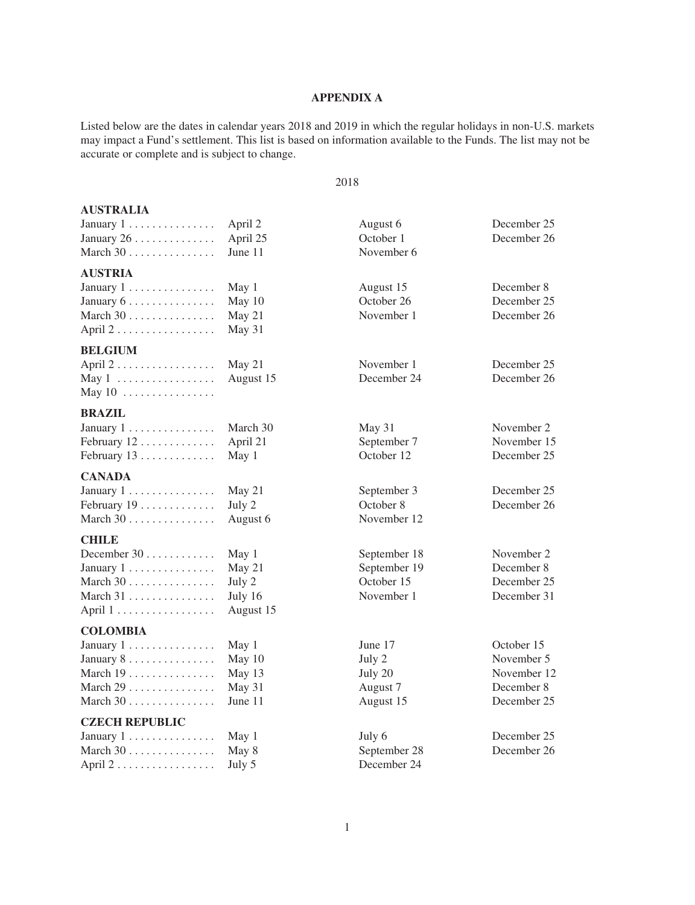# **APPENDIX A**

Listed below are the dates in calendar years 2018 and 2019 in which the regular holidays in non-U.S. markets may impact a Fund's settlement. This list is based on information available to the Funds. The list may not be accurate or complete and is subject to change.

#### 2018

| <b>AUSTRALIA</b>                           |           |              |             |
|--------------------------------------------|-----------|--------------|-------------|
| January 1                                  | April 2   | August 6     | December 25 |
| January $26 \ldots \ldots \ldots$          | April 25  | October 1    | December 26 |
| March 30                                   | June 11   | November 6   |             |
| <b>AUSTRIA</b>                             |           |              |             |
| January 1                                  | May 1     | August 15    | December 8  |
| January 6                                  | May 10    | October 26   | December 25 |
| March 30                                   | May 21    | November 1   | December 26 |
| April 2                                    | May 31    |              |             |
|                                            |           |              |             |
| <b>BELGIUM</b>                             |           |              |             |
| April 2                                    | May 21    | November 1   | December 25 |
| May $1 \ldots \ldots \ldots \ldots \ldots$ | August 15 | December 24  | December 26 |
| May $10$                                   |           |              |             |
| <b>BRAZIL</b>                              |           |              |             |
| January 1                                  | March 30  | May 31       | November 2  |
| February 12                                | April 21  | September 7  | November 15 |
| February 13                                | May 1     | October 12   | December 25 |
| <b>CANADA</b>                              |           |              |             |
| January $1, \ldots, \ldots, \ldots$        | May 21    | September 3  | December 25 |
| February 19                                | July 2    | October 8    | December 26 |
| March 30                                   | August 6  | November 12  |             |
| <b>CHILE</b>                               |           |              |             |
| December 30                                | May 1     | September 18 | November 2  |
| January 1                                  | May 21    | September 19 | December 8  |
| March 30                                   | July 2    | October 15   | December 25 |
| March $31$                                 | July 16   | November 1   | December 31 |
| April 1                                    | August 15 |              |             |
| <b>COLOMBIA</b>                            |           |              |             |
| January 1                                  | May 1     | June 17      | October 15  |
| January 8                                  | May 10    | July 2       | November 5  |
| March 19                                   | May 13    | July 20      | November 12 |
| March 29                                   | May 31    | August 7     | December 8  |
| March 30                                   | June 11   | August 15    | December 25 |
|                                            |           |              |             |
| <b>CZECH REPUBLIC</b>                      |           |              |             |
| January $1, \ldots, \ldots, \ldots$        | May 1     | July 6       | December 25 |
| March $30$                                 | May 8     | September 28 | December 26 |
| April 2                                    | July 5    | December 24  |             |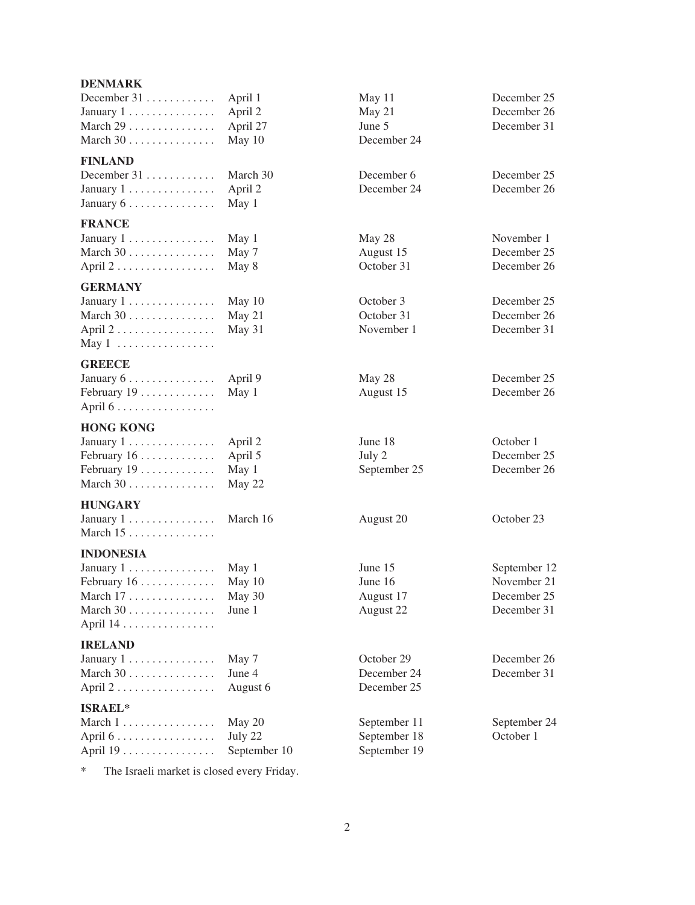#### **DENMARK**

| December $31$                       | April 1  |
|-------------------------------------|----------|
| January $1, \ldots, \ldots, \ldots$ | April 2  |
|                                     | April 27 |
|                                     | May $10$ |

# **FINLAND**

| December $31$                                   | March 3 |
|-------------------------------------------------|---------|
| January $1 \ldots \ldots \ldots \ldots$ April 2 |         |
| January $6 \ldots \ldots \ldots \ldots$ May 1   |         |

# **FRANCE**

| January 1 May 1                                    | May 28     | November 1 |
|----------------------------------------------------|------------|------------|
| March $30$ May 7                                   | August 15  | December 2 |
| April $2 \ldots \ldots \ldots \ldots \ldots$ May 8 | October 31 | December 2 |

#### **GERMANY**

| January 1 May 10                                    |  |
|-----------------------------------------------------|--|
| March $30$ May 21                                   |  |
| April $2 \ldots \ldots \ldots \ldots \ldots$ May 31 |  |
| May $1 \ldots \ldots \ldots \ldots \ldots$          |  |

#### **GREECE**

| January $6 \ldots \ldots \ldots \ldots$ April 9 |  |
|-------------------------------------------------|--|
| February $19$ May 1                             |  |
| April $6 \ldots \ldots \ldots \ldots$           |  |

#### **HONG KONG**

| January $1 \ldots \ldots \ldots \ldots$ April 2 | June 18      | October 1 |
|-------------------------------------------------|--------------|-----------|
| February $16 \ldots \ldots \ldots$ April 5      | July 2       | December  |
| February $19 \ldots \ldots \ldots \ldots$ May 1 | September 25 | December  |
| March $30$ May 22                               |              |           |

# **HUNGARY**

| January $1, \ldots, \ldots, \ldots$    |  |  |  |  |  |  |  | March 16 |
|----------------------------------------|--|--|--|--|--|--|--|----------|
| March $15 \ldots \ldots \ldots \ldots$ |  |  |  |  |  |  |  |          |

#### **INDONESIA**

| January 1 May 1                                 |  |
|-------------------------------------------------|--|
| February $16 \ldots \ldots \ldots \ldots$ May 1 |  |
| March $17 \ldots \ldots \ldots \ldots$ May 3    |  |
| March $30$ June 1                               |  |
| April 14                                        |  |

#### **IRELAND**

| January 1                 | May 7  |
|---------------------------|--------|
|                           | June 4 |
| April $2$ August $\theta$ |        |

## **ISRAEL\***

| March $1 \ldots \ldots \ldots \ldots$                | May 20    |
|------------------------------------------------------|-----------|
| April $6 \ldots \ldots \ldots \ldots \ldots$ July 22 |           |
| April 19                                             | September |

\* The Israeli market is closed every Friday.

December 24 December 31 ............ March 30 December 6 December 25 December 24

January 1 ............... March 16 August 20 October 23

- 
- 6 December 25
	- March 1 . . . . . . . . . . . . . . . . May 20 September 11 September 24 April 6 ................. July 22 September 18 October 1 September 19

December 31 ............ April 1 May 11 December 25 May 21 December 26<br>June 5 December 31 December 31

December 25 October 31 . . . . December 26 November 1 . . . . . . . December 31

> May 28 December 25 August 15 . . . . . December 26

> February 16 25<br>February 16 25<br>December 26

January 1 . . . . . . . . . . . . . . . May 1 June 15 September 12 February 16 . . . . . . . . . . . . . May 10 June 16 November 21 March 17 . . . . . . . . . . . . . . . May 30 August 17 December 25 March 30 ............... June 1 August 22 December 31

> October 29 December 26 December 24 December 31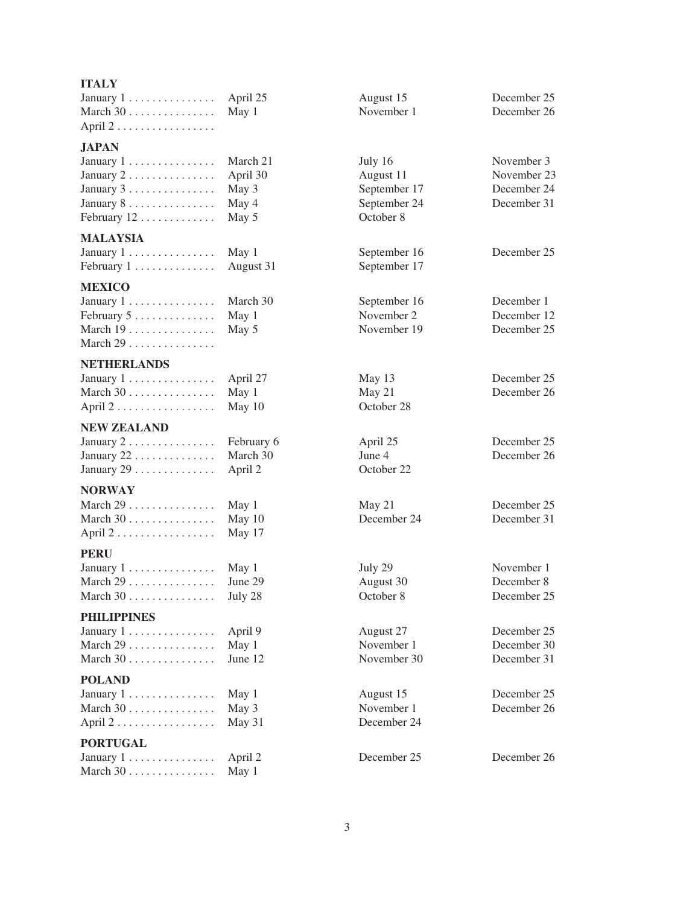| <b>ITALY</b>                                                                                                                             |                                                 |                                                                   |                                                         |
|------------------------------------------------------------------------------------------------------------------------------------------|-------------------------------------------------|-------------------------------------------------------------------|---------------------------------------------------------|
| January $1 \ldots \ldots \ldots \ldots$<br>March 30<br>April 2                                                                           | April 25<br>May 1                               | August 15<br>November 1                                           | December 25<br>December 26                              |
|                                                                                                                                          |                                                 |                                                                   |                                                         |
| <b>JAPAN</b><br>January $1, \ldots, \ldots, \ldots$<br>January $2 \ldots \ldots \ldots \ldots$<br>January 3<br>January 8.<br>February 12 | March 21<br>April 30<br>May 3<br>May 4<br>May 5 | July 16<br>August 11<br>September 17<br>September 24<br>October 8 | November 3<br>November 23<br>December 24<br>December 31 |
| <b>MALAYSIA</b>                                                                                                                          |                                                 |                                                                   |                                                         |
| January $1, \ldots, \ldots, \ldots$<br>February 1                                                                                        | May 1<br>August 31                              | September 16<br>September 17                                      | December 25                                             |
| <b>MEXICO</b><br>January $1 \ldots \ldots \ldots \ldots$<br>February 5<br>March 19<br>March 29                                           | March 30<br>May 1<br>May 5                      | September 16<br>November 2<br>November 19                         | December 1<br>December 12<br>December 25                |
| <b>NETHERLANDS</b>                                                                                                                       |                                                 |                                                                   |                                                         |
| January 1<br>March 30<br>April 2                                                                                                         | April 27<br>May 1<br>May 10                     | May 13<br>May 21<br>October 28                                    | December 25<br>December 26                              |
| <b>NEW ZEALAND</b>                                                                                                                       |                                                 |                                                                   |                                                         |
| January $2 \ldots \ldots \ldots \ldots$<br>January $22$<br>January $29$                                                                  | February 6<br>March 30<br>April 2               | April 25<br>June 4<br>October 22                                  | December 25<br>December 26                              |
| <b>NORWAY</b>                                                                                                                            |                                                 |                                                                   |                                                         |
| March 29<br>March 30<br>April 2                                                                                                          | May 1<br>May 10<br>May 17                       | May 21<br>December 24                                             | December 25<br>December 31                              |
| <b>PERU</b>                                                                                                                              |                                                 |                                                                   |                                                         |
| January 1<br>March $29$<br>March $30$                                                                                                    | May 1<br>June 29<br>July 28                     | July 29<br>August 30<br>October 8                                 | November 1<br>December 8<br>December 25                 |
| <b>PHILIPPINES</b>                                                                                                                       |                                                 |                                                                   |                                                         |
| January 1<br>March 29<br>March 30                                                                                                        | April 9<br>May 1<br>June 12                     | August 27<br>November 1<br>November 30                            | December 25<br>December 30<br>December 31               |
| <b>POLAND</b>                                                                                                                            |                                                 |                                                                   |                                                         |
| January $1, \ldots, \ldots, \ldots$<br>March 30<br>April 2                                                                               | May 1<br>May 3<br>May 31                        | August 15<br>November 1<br>December 24                            | December 25<br>December 26                              |
| <b>PORTUGAL</b>                                                                                                                          |                                                 |                                                                   |                                                         |
| January $1 \ldots \ldots \ldots \ldots$                                                                                                  | April 2                                         | December 25                                                       | December 26                                             |

March 30 . . . . . . . . . . . . . . May 1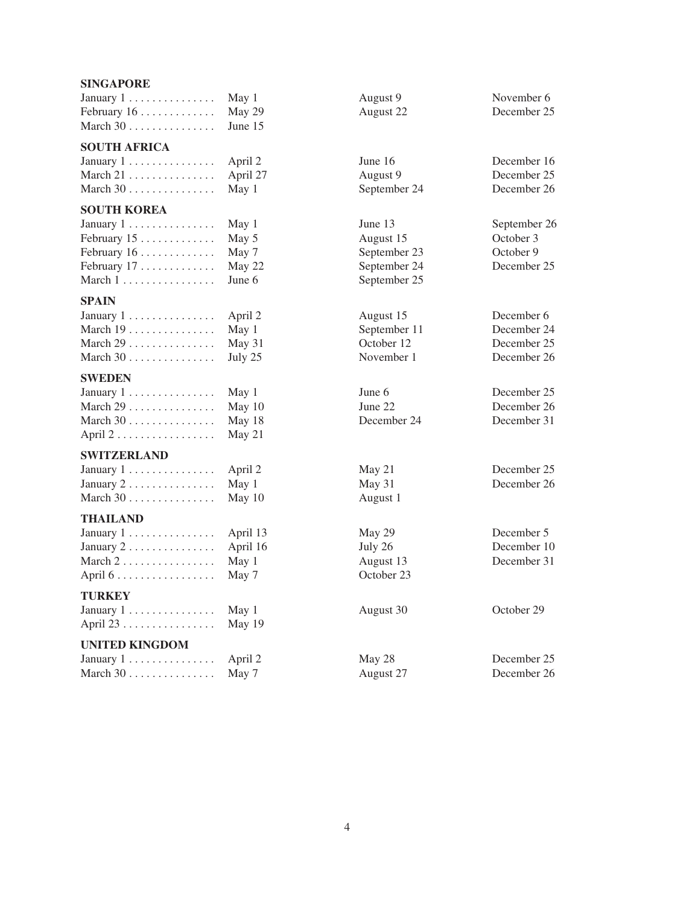# **SINGAPORE**

| January $1, \ldots, \ldots, \ldots$<br>February $16 \ldots \ldots \ldots$<br>March $30$                                                               | May 1<br>May 29<br>June 15                  | August 9<br>August 22                                                | November 6<br>December 25                               |
|-------------------------------------------------------------------------------------------------------------------------------------------------------|---------------------------------------------|----------------------------------------------------------------------|---------------------------------------------------------|
| <b>SOUTH AFRICA</b><br>January $1, \ldots, \ldots, \ldots$<br>March 21<br>March 30                                                                    | April 2<br>April 27<br>May 1                | June 16<br>August 9<br>September 24                                  | December 16<br>December 25<br>December 26               |
| <b>SOUTH KOREA</b><br>January $1, \ldots, \ldots, \ldots$<br>February $15$<br>February $16 \ldots \ldots \ldots$<br>February $17$<br>March 1          | May 1<br>May 5<br>May 7<br>May 22<br>June 6 | June 13<br>August 15<br>September 23<br>September 24<br>September 25 | September 26<br>October 3<br>October 9<br>December 25   |
| <b>SPAIN</b><br>January $1, \ldots, \ldots, \ldots$<br>March 19<br>March $29$<br>March $30$                                                           | April 2<br>May 1<br>May 31<br>July 25       | August 15<br>September 11<br>October 12<br>November 1                | December 6<br>December 24<br>December 25<br>December 26 |
| <b>SWEDEN</b><br>January $1, \ldots, \ldots, \ldots$<br>March $29$<br>March $30$<br>April $2 \ldots \ldots \ldots \ldots \ldots$                      | May 1<br>May 10<br>May 18<br>May 21         | June 6<br>June 22<br>December 24                                     | December 25<br>December 26<br>December 31               |
| <b>SWITZERLAND</b><br>January $1, \ldots, \ldots, \ldots$<br>January $2 \ldots \ldots \ldots \ldots$<br>March $30$                                    | April 2<br>May 1<br>May 10                  | May 21<br>May 31<br>August 1                                         | December 25<br>December 26                              |
| <b>THAILAND</b><br>January $1, \ldots, \ldots, \ldots$<br>January $2 \ldots \ldots \ldots \ldots$<br>March $2 \ldots \ldots \ldots \ldots$<br>April 6 | April 13<br>April 16<br>May 1<br>May 7      | May 29<br>July 26<br>August 13<br>October 23                         | December 5<br>December 10<br>December 31                |
| <b>TURKEY</b><br>January $1, \ldots, \ldots, \ldots$<br>April 23                                                                                      | May 1<br>May 19                             | August 30                                                            | October 29                                              |
| <b>UNITED KINGDOM</b><br>January $1, \ldots, \ldots, \ldots$                                                                                          | April 2                                     | May 28                                                               | December 25                                             |

March 30 . . . . . . . . . . . . . May 7 August 27 December 26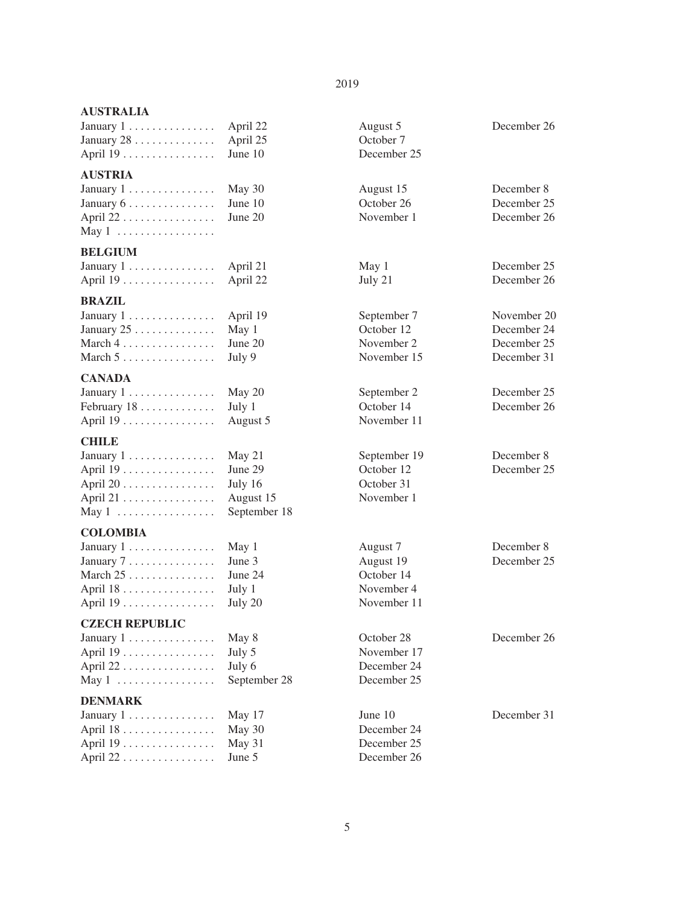#### 2019

| January $1 \ldots \ldots \ldots \ldots$ April 22 | August 5    |
|--------------------------------------------------|-------------|
| January $28 \ldots \ldots \ldots$ April $25$     | October 7   |
| April $19 \ldots \ldots \ldots \ldots$ June $10$ | December 25 |

#### **AUSTRIA**

| January 1 May 30                                |  |
|-------------------------------------------------|--|
| January $6 \ldots \ldots \ldots \ldots$ June 10 |  |
| April $22 \ldots \ldots \ldots \ldots$ June 20  |  |
| May $1 \ldots \ldots \ldots \ldots \ldots$      |  |

#### **BELGIUM**

| January 1 April 2 |  |  |  |  |  |  |  |         |
|-------------------|--|--|--|--|--|--|--|---------|
| April 19          |  |  |  |  |  |  |  | April 2 |

# **BRAZIL**

| January $1, \ldots, \ldots, \ldots$ April      |        |
|------------------------------------------------|--------|
| January $25 \ldots \ldots \ldots \ldots$ May 1 |        |
| March $4 \ldots \ldots \ldots \ldots \ldots$   | June 2 |
| March $5 \ldots \ldots \ldots \ldots$          | July 9 |

# **CANADA**

| January 1 May 20                                 | September 2 |
|--------------------------------------------------|-------------|
| February $18 \ldots \ldots \ldots \ldots$ July 1 | October 14  |
| April $19 \ldots \ldots \ldots \ldots$ August 5  | November 11 |

# **CHILE**

| January $1 \ldots \ldots \ldots \ldots$ May $21$             | September 1 |
|--------------------------------------------------------------|-------------|
| April $19$ June 29                                           | October 12  |
|                                                              | October 31  |
| April 21 . $\dots$ $\dots$ $\dots$ $\dots$ $\dots$ August 15 | November 1  |
| May 1 September 18                                           |             |

## **COLOMBIA**

| January 1 May 1                                | August 7   |
|------------------------------------------------|------------|
| January $7 \ldots \ldots \ldots \ldots$ June 3 | August 19  |
| March $25$ June $24$                           | October 14 |
| April $18 \ldots \ldots \ldots \ldots$ July 1  | November 4 |
|                                                | November 1 |
|                                                |            |

#### **CZECH REPUBLIC**

| January 1 May 8                                  | October 28  |
|--------------------------------------------------|-------------|
|                                                  | November 17 |
| April 22 July 6                                  | December 24 |
| May $1 \ldots \ldots \ldots \ldots$ September 28 | December 25 |

# **DENMARK**

| January 1 May 17                              | June $10$   |
|-----------------------------------------------|-------------|
| April $18 \ldots \ldots \ldots \ldots$ May 30 | December 24 |
| April $19$ May 31                             | December 25 |
| April $22$ June 5                             | December 26 |

| April 22<br>April 25<br>June 10                           | August 5<br>October 7<br>December 25                             | December 26                                              |
|-----------------------------------------------------------|------------------------------------------------------------------|----------------------------------------------------------|
| May 30<br>June 10<br>June 20                              | August 15<br>October 26<br>November 1                            | December 8<br>December 25<br>December 26                 |
| April 21<br>April 22                                      | May 1<br>July 21                                                 | December 25<br>December 26                               |
| April 19<br>May 1<br>June 20<br>July 9                    | September 7<br>October 12<br>November 2<br>November 15           | November 20<br>December 24<br>December 25<br>December 31 |
| May 20<br>July 1<br>August 5                              | September 2<br>October 14<br>November 11                         | December 25<br>December 26                               |
| May 21<br>June 29<br>July 16<br>August 15<br>September 18 | September 19<br>October 12<br>October 31<br>November 1           | December 8<br>December 25                                |
| May 1<br>June 3<br>June 24<br>July 1<br>July 20           | August 7<br>August 19<br>October 14<br>November 4<br>November 11 | December 8<br>December 25                                |
| May 8<br>July 5<br>July 6<br>September 28                 | October 28<br>November 17<br>December 24<br>December 25          | December 26                                              |
| May 17<br>May 30                                          | June 10<br>December 24                                           | December 31                                              |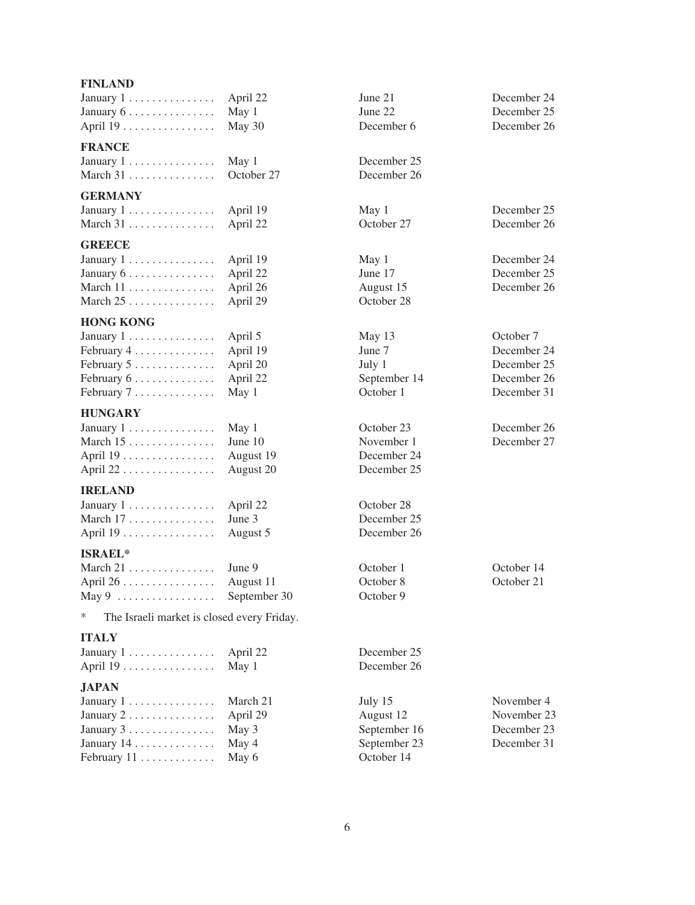| <b>FINLAND</b>                             |                    |              |             |
|--------------------------------------------|--------------------|--------------|-------------|
| January $1, \ldots, \ldots, \ldots$        | April 22           | June 21      | December 24 |
| January 6                                  | May 1              | June 22      | December 25 |
| April 19                                   | May 30             | December 6   | December 26 |
|                                            |                    |              |             |
| <b>FRANCE</b>                              |                    |              |             |
| January $1, \ldots, \ldots, \ldots$        | May 1              | December 25  |             |
| March 31                                   | October 27         | December 26  |             |
| <b>GERMANY</b>                             |                    |              |             |
| January $1, \ldots, \ldots, \ldots$        | April 19           | May 1        | December 25 |
| March 31                                   | April 22           | October 27   | December 26 |
|                                            |                    |              |             |
| <b>GREECE</b>                              |                    |              |             |
| January $1, \ldots, \ldots, \ldots$        | April 19           | May 1        | December 24 |
| January $6 \ldots \ldots \ldots \ldots$    | April 22           | June 17      | December 25 |
| March 11                                   | April 26           | August 15    | December 26 |
| March $25$                                 | April 29           | October 28   |             |
| <b>HONG KONG</b>                           |                    |              |             |
| January $1, \ldots, \ldots, \ldots$        | April 5            | May 13       | October 7   |
| February 4                                 | April 19           | June 7       | December 24 |
| February 5                                 | April 20           | July 1       | December 25 |
| February 6                                 | April 22           | September 14 | December 26 |
|                                            |                    | October 1    |             |
| February 7                                 | May 1              |              | December 31 |
| <b>HUNGARY</b>                             |                    |              |             |
| January 1                                  | May 1              | October 23   | December 26 |
| March $15 \ldots \ldots \ldots \ldots$     | June 10            | November 1   | December 27 |
| April 19                                   | August 19          | December 24  |             |
| April 22                                   | August 20          | December 25  |             |
| <b>IRELAND</b>                             |                    |              |             |
| January $1, \ldots, \ldots, \ldots$        |                    | October 28   |             |
|                                            | April 22<br>June 3 | December 25  |             |
| March 17                                   |                    |              |             |
| April 19                                   | August 5           | December 26  |             |
| <b>ISRAEL*</b>                             |                    |              |             |
| March $21$                                 | June 9             | October 1    | October 14  |
| April 26                                   | August 11          | October 8    | October 21  |
| May $9 \ldots \ldots \ldots \ldots \ldots$ | September 30       | October 9    |             |
| ∗                                          |                    |              |             |
| The Israeli market is closed every Friday. |                    |              |             |
| <b>ITALY</b>                               |                    |              |             |
| January $1, \ldots, \ldots, \ldots$        | April 22           | December 25  |             |
| April 19                                   | May 1              | December 26  |             |
| <b>JAPAN</b>                               |                    |              |             |
| January $1, \ldots, \ldots, \ldots$        | March 21           | July 15      | November 4  |
|                                            |                    |              |             |

January 2 ............... April 29 August 12 November 23 January 3 . . . . . . . . . . . . . . . May 3 September 16 December 23 January 14 . . . . . . . . . . . . . . May 4 September 23 December 31 February  $11$  . . . . . . . . . . . . . May 6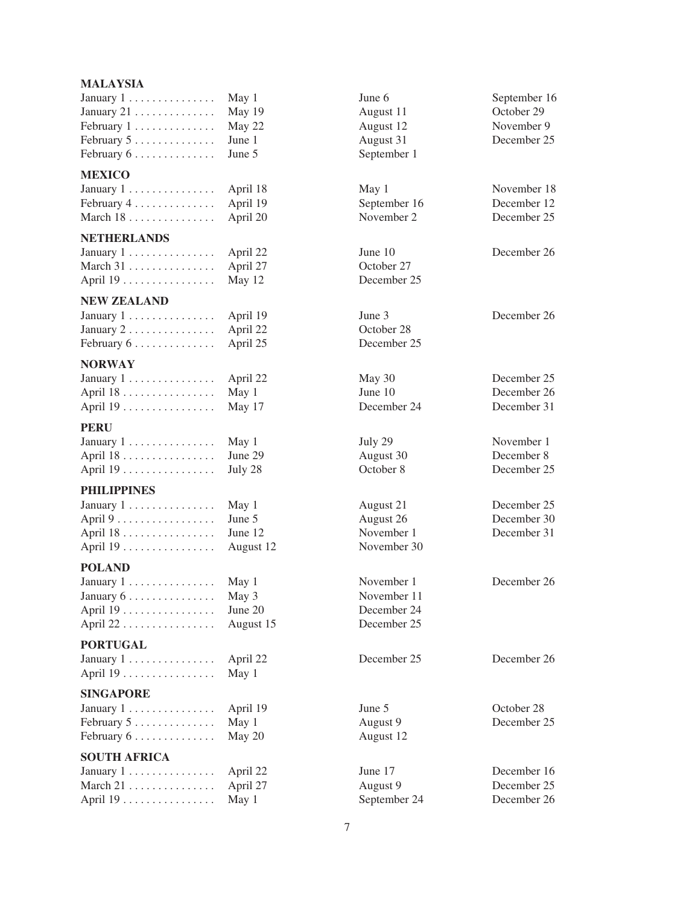# **MALAYSIA**

| January $1 \ldots \ldots \ldots \ldots$ May 1   | June 6      | September  |
|-------------------------------------------------|-------------|------------|
| January 21 . $\dots$ . $\dots$ . $\dots$ May 19 | August 11   | October 29 |
| February $1, \ldots, \ldots, \ldots$ May 22     | August 12   | November   |
| February $5 \ldots \ldots \ldots \ldots$ June 1 | August 31   | December:  |
| February $6 \ldots \ldots \ldots \ldots$ June 5 | September 1 |            |

#### **MEXICO**

| January $1, \ldots, \ldots, \ldots$ April 18      |  |
|---------------------------------------------------|--|
| February $4 \ldots \ldots \ldots \ldots$ April 19 |  |
| March 18 April 20                                 |  |

## **NETHERLANDS**

| January $1, \ldots, \ldots, \ldots$ | April 2  |
|-------------------------------------|----------|
| March $31$ April 2                  |          |
| April 19                            | May $12$ |

#### **NEW ZEALAND**

|                                                  | June 3      |
|--------------------------------------------------|-------------|
| January $2 \ldots \ldots \ldots \ldots$ April 22 | October 28  |
| February $6 \ldots \ldots \ldots$ April 25       | December 25 |

#### **NORWAY**

| January 1 April 2                            |  |
|----------------------------------------------|--|
| April $18 \ldots \ldots \ldots \ldots$ May 1 |  |
| April 19 May 1                               |  |

## **PERU**

| January $1, \ldots, \ldots, \ldots$    | May 1  |
|----------------------------------------|--------|
| April $18 \ldots \ldots \ldots \ldots$ | June 2 |
| April 19                               | July 2 |

# **PHILIPPINES**

| January 1 May 1                                     |         |
|-----------------------------------------------------|---------|
| April $9 \ldots \ldots \ldots \ldots \ldots$ June 5 |         |
| April $18 \ldots \ldots \ldots \ldots$              | June 12 |
| April 19 August                                     |         |

# **POLAND**

| January 1 May 1                               | November 1  |
|-----------------------------------------------|-------------|
| January $6 \ldots \ldots \ldots \ldots$ May 3 | November 11 |
| April $19$ June $20$                          | December 24 |
|                                               | December 25 |

#### **PORTUGAL**

| January $1, \ldots, \ldots, \ldots$ |  |  |  |  |  |  |  | April 22 |
|-------------------------------------|--|--|--|--|--|--|--|----------|
| April 19                            |  |  |  |  |  |  |  | May 1    |

#### **SINGAPORE**

| January $1 \ldots \ldots \ldots \ldots$ April 19 | June $5$  | October 28 |
|--------------------------------------------------|-----------|------------|
| February $5 \ldots \ldots \ldots \ldots$ May 1   | August 9  | December:  |
| February $6 \ldots \ldots \ldots \ldots$ May 20  | August 12 |            |

## **SOUTH AFRICA**

| January $1, \ldots, \ldots, \ldots$ . April 2. |  |
|------------------------------------------------|--|
| March 21  April 2                              |  |
| April 19 . $\dots$ . $\dots$ . $\dots$ May 1   |  |

| June 6    |
|-----------|
| August 11 |
| August 12 |
| August 31 |
| September |

8 **May 1** November 18

January 1 ............... April 22 June 10 December 26 October 27 2 December 25

December 24

12 November 30

2 December 25 December 26

February 5 . . . . . . . . . . . . . . May 1 August 9 December 25 February 6 . . . . . . . . . . . . . . May 20 August 12

February 1 . . . . . . . . . . . . . . May 22 August 12 November 9 December 25

September 16

February 4 .............. April 19 September 16 December 12 0 November 2 December 25

January 1 ............... April 19 June 3 December 26

22 May 30 December 25 April 18 . . . . . . . . . . . . . . . . May 1 June 10 December 26

July 29 November 1 April 18 ................ June 29 August 30 December 8 December 25

> January 1 . . . . . . . . . . . . . . . May 1 August 21 December 25 December 30 November 1 December 31

> November 1 . . . . . December 26

2 June 17 December 16 March 21 ............... April 27 August 9 December 25 September 24 December 26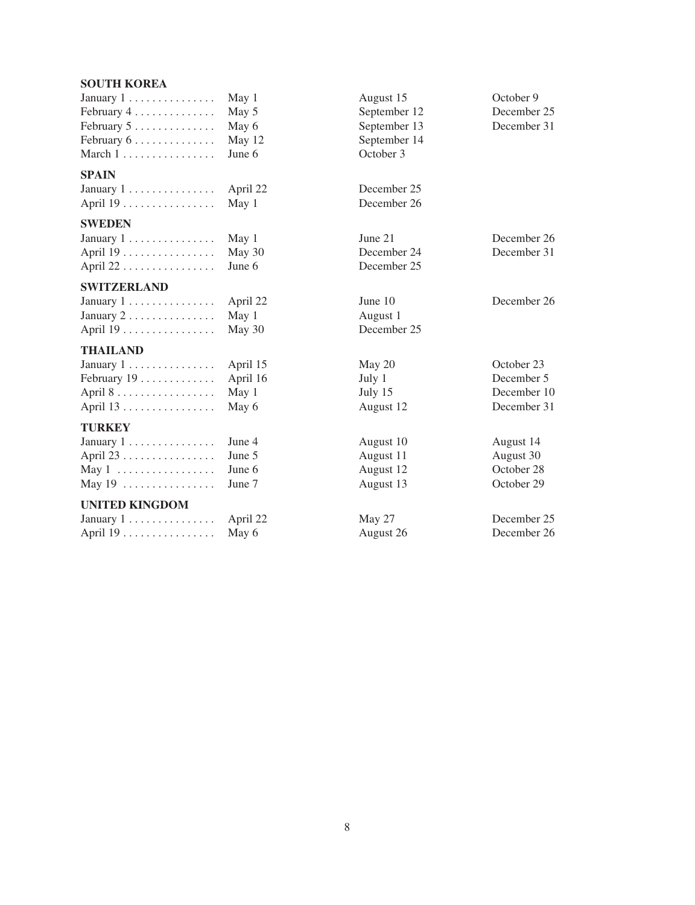## **SOUTH KOREA**

| January $1 \ldots \ldots \ldots \ldots$   | May 1           |
|-------------------------------------------|-----------------|
| February $4 \ldots \ldots \ldots \ldots$  | May 5           |
| February $5 \ldots \ldots \ldots$         | May $\epsilon$  |
| February $6 \ldots \ldots \ldots$         | May 1           |
| March $1, \ldots, \ldots, \ldots, \ldots$ | June $\epsilon$ |
|                                           |                 |

## **SPAIN**

January 1 . . . . . . . . . . . . . . April 22 December 25 April 19 . . . . . . . . . . . . . . . May 1 December 26

# **SWEDEN**

| January 1 May 1                                         |  |
|---------------------------------------------------------|--|
| April 19 . $\dots$ . $\dots$ . $\dots$ . $\ldots$ May 3 |  |
| April 22 June 6                                         |  |

#### **SWITZERLAND**

| January $1 \ldots \ldots \ldots \ldots$ April 22 | June $10$   |
|--------------------------------------------------|-------------|
| January $2 \ldots \ldots \ldots \ldots$ May 1    | August 1    |
| April $19 \ldots \ldots \ldots \ldots$ May 30    | December 25 |

# **THAILAND**

| January $1 \ldots \ldots \ldots \ldots$ April 15   | May 20    | October 23 |  |  |
|----------------------------------------------------|-----------|------------|--|--|
| February $19 \ldots \ldots \ldots$ April 16        | July 1    | December:  |  |  |
| April $8 \ldots \ldots \ldots \ldots \ldots$ May 1 | July 15   | December   |  |  |
| April $13 \ldots \ldots \ldots \ldots$ May 6       | August 12 | December:  |  |  |

# **TURKEY**

| January $1 \ldots \ldots \ldots \ldots$ June 4 | August 10 | August 14  |
|------------------------------------------------|-----------|------------|
| April $23 \ldots  \ldots$ June 5               | August 11 | August 30  |
| May 1 June 6                                   | August 12 | October 28 |
| May 19 $\dots \dots \dots \dots \dots$ June 7  | August 13 | October 29 |

#### **UNITED KINGDOM**

| January $1 \ldots \ldots \ldots \ldots$ |  |  |  |  |  |  |  | April 2 |
|-----------------------------------------|--|--|--|--|--|--|--|---------|
| April 19                                |  |  |  |  |  |  |  | May 6   |

January 1 . . . . . . . . . . . . . . . May 1 August 15 October 9 February 4 . . . . . . . . . . . . . . May 5 September 12 December 25 September 13 12 **September 14** 6 **October 3** January 1 . . . . . . . . . . . . . . . May 1 June 21 December 26 December 24 December 25 2 June 10 December 26 August 1 for the state of the United States of the United States of the December 5 ... July 15 . . . . . . December 10 August 12 . . . . . . December 31 January 1 ............... June 4 August 10 August 14 April 23 ................ June 5 August 11 August 30

August 12

2 **May 27** December 25 August 26 . . . . . . December 26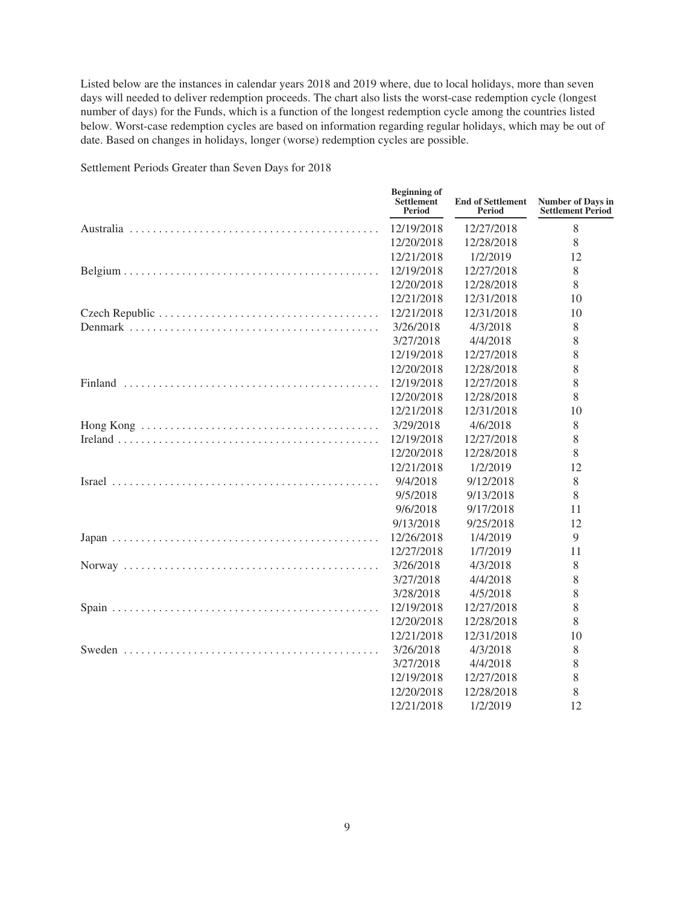Listed below are the instances in calendar years 2018 and 2019 where, due to local holidays, more than seven days will needed to deliver redemption proceeds. The chart also lists the worst-case redemption cycle (longest number of days) for the Funds, which is a function of the longest redemption cycle among the countries listed below. Worst-case redemption cycles are based on information regarding regular holidays, which may be out of date. Based on changes in holidays, longer (worse) redemption cycles are possible.

| <b>Beginning of</b><br><b>Settlement</b><br><b>Period</b> | <b>End of Settlement</b><br><b>Period</b> | <b>Number of Days in</b><br><b>Settlement Period</b> |
|-----------------------------------------------------------|-------------------------------------------|------------------------------------------------------|
| 12/19/2018                                                | 12/27/2018                                | 8                                                    |
| 12/20/2018                                                | 12/28/2018                                | 8                                                    |
| 12/21/2018                                                | 1/2/2019                                  | 12                                                   |
| 12/19/2018                                                | 12/27/2018                                | 8                                                    |
| 12/20/2018                                                | 12/28/2018                                | 8                                                    |
| 12/21/2018                                                | 12/31/2018                                | 10                                                   |
| 12/21/2018                                                | 12/31/2018                                | 10                                                   |
| 3/26/2018                                                 | 4/3/2018                                  | 8                                                    |
| 3/27/2018                                                 | 4/4/2018                                  | 8                                                    |
| 12/19/2018                                                | 12/27/2018                                | 8                                                    |
| 12/20/2018                                                | 12/28/2018                                | 8                                                    |
| 12/19/2018                                                | 12/27/2018                                | 8                                                    |
| 12/20/2018                                                | 12/28/2018                                | 8                                                    |
| 12/21/2018                                                | 12/31/2018                                | 10                                                   |
| 3/29/2018                                                 | 4/6/2018                                  | 8                                                    |
| 12/19/2018                                                | 12/27/2018                                | 8                                                    |
| 12/20/2018                                                | 12/28/2018                                | 8                                                    |
| 12/21/2018                                                | 1/2/2019                                  | 12                                                   |
| 9/4/2018                                                  | 9/12/2018                                 | 8                                                    |
| 9/5/2018                                                  | 9/13/2018                                 | 8                                                    |
| 9/6/2018                                                  | 9/17/2018                                 | 11                                                   |
| 9/13/2018                                                 | 9/25/2018                                 | 12                                                   |
| 12/26/2018                                                | 1/4/2019                                  | 9                                                    |
| 12/27/2018                                                | 1/7/2019                                  | 11                                                   |
| 3/26/2018                                                 | 4/3/2018                                  | 8                                                    |
| 3/27/2018                                                 | 4/4/2018                                  | 8                                                    |
| 3/28/2018                                                 | 4/5/2018                                  | 8                                                    |
| 12/19/2018                                                | 12/27/2018                                | 8                                                    |
| 12/20/2018                                                | 12/28/2018                                | 8                                                    |
| 12/21/2018                                                | 12/31/2018                                | 10                                                   |
| 3/26/2018                                                 | 4/3/2018                                  | 8                                                    |
| 3/27/2018                                                 | 4/4/2018                                  | 8                                                    |
| 12/19/2018                                                | 12/27/2018                                | 8                                                    |
| 12/20/2018                                                | 12/28/2018                                | 8                                                    |
| 12/21/2018                                                | 1/2/2019                                  | 12                                                   |

Settlement Periods Greater than Seven Days for 2018